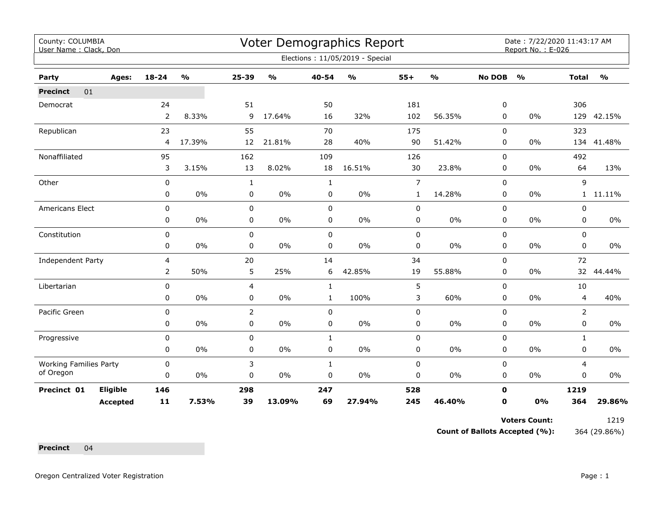| County: COLUMBIA<br>User Name: Clack, Don |                 |                |               |              |               |              | Voter Demographics Report       |                |               |               | Date: 7/22/2020 11:43:17 AM<br>Report No.: E-026 |              |               |
|-------------------------------------------|-----------------|----------------|---------------|--------------|---------------|--------------|---------------------------------|----------------|---------------|---------------|--------------------------------------------------|--------------|---------------|
|                                           |                 |                |               |              |               |              | Elections: 11/05/2019 - Special |                |               |               |                                                  |              |               |
| Party                                     | Ages:           | 18-24          | $\frac{0}{0}$ | $25 - 39$    | $\frac{1}{2}$ | 40-54        | $\frac{1}{2}$                   | $55+$          | $\frac{1}{2}$ | <b>No DOB</b> | $\frac{1}{2}$                                    | <b>Total</b> | $\frac{1}{2}$ |
| <b>Precinct</b><br>01                     |                 |                |               |              |               |              |                                 |                |               |               |                                                  |              |               |
| Democrat                                  |                 | 24             |               | 51           |               | 50           |                                 | 181            |               | 0             |                                                  | 306          |               |
|                                           |                 | $\overline{2}$ | 8.33%         | 9            | 17.64%        | 16           | 32%                             | 102            | 56.35%        | 0             | 0%                                               |              | 129 42.15%    |
| Republican                                |                 | 23             |               | 55           |               | 70           |                                 | 175            |               | $\Omega$      |                                                  | 323          |               |
|                                           |                 | 4              | 17.39%        | 12           | 21.81%        | 28           | 40%                             | 90             | 51.42%        | 0             | $0\%$                                            | 134          | 41.48%        |
| Nonaffiliated                             |                 | 95             |               | 162          |               | 109          |                                 | 126            |               | $\Omega$      |                                                  | 492          |               |
|                                           |                 | 3              | 3.15%         | 13           | 8.02%         | 18           | 16.51%                          | 30             | 23.8%         | 0             | 0%                                               | 64           | 13%           |
| Other                                     |                 | 0              |               | $\mathbf{1}$ |               | $\mathbf{1}$ |                                 | $\overline{7}$ |               | 0             |                                                  | 9            |               |
|                                           |                 | 0              | $0\%$         | 0            | $0\%$         | 0            | $0\%$                           | $\mathbf{1}$   | 14.28%        | 0             | 0%                                               | 1            | 11.11%        |
| Americans Elect                           |                 | 0              |               | $\pmb{0}$    |               | 0            |                                 | $\pmb{0}$      |               | 0             |                                                  | 0            |               |
|                                           |                 | 0              | 0%            | 0            | 0%            | $\mathbf 0$  | 0%                              | 0              | 0%            | 0             | 0%                                               | $\mathbf 0$  | $0\%$         |
| Constitution                              |                 | 0              |               | 0            |               | $\mathbf 0$  |                                 | $\pmb{0}$      |               | 0             |                                                  | $\Omega$     |               |
|                                           |                 | 0              | $0\%$         | 0            | $0\%$         | $\mathbf 0$  | $0\%$                           | $\pmb{0}$      | 0%            | 0             | 0%                                               | 0            | 0%            |
| Independent Party                         |                 | 4              |               | 20           |               | 14           |                                 | 34             |               | 0             |                                                  | 72           |               |
|                                           |                 | 2              | 50%           | 5            | 25%           | 6            | 42.85%                          | 19             | 55.88%        | 0             | $0\%$                                            | 32           | 44.44%        |
| Libertarian                               |                 | 0              |               | 4            |               | $\mathbf{1}$ |                                 | 5              |               | 0             |                                                  | 10           |               |
|                                           |                 | 0              | 0%            | 0            | $0\%$         | $\mathbf{1}$ | 100%                            | 3              | 60%           | 0             | 0%                                               | 4            | 40%           |
| Pacific Green                             |                 | 0              |               | 2            |               | 0            |                                 | $\pmb{0}$      |               | $\Omega$      |                                                  | 2            |               |
|                                           |                 | 0              | $0\%$         | 0            | $0\%$         | $\mathbf 0$  | $0\%$                           | $\pmb{0}$      | 0%            | 0             | $0\%$                                            | 0            | $0\%$         |
| Progressive                               |                 | 0              |               | 0            |               | $\mathbf{1}$ |                                 | $\pmb{0}$      |               | 0             |                                                  | $\mathbf{1}$ |               |
|                                           |                 | 0              | $0\%$         | 0            | $0\%$         | 0            | 0%                              | 0              | 0%            | 0             | 0%                                               | 0            | 0%            |
| <b>Working Families Party</b>             |                 | 0              |               | 3            |               | $\mathbf{1}$ |                                 | $\pmb{0}$      |               | 0             |                                                  | 4            |               |
| of Oregon                                 |                 | 0              | $0\%$         | 0            | $0\%$         | $\pmb{0}$    | $0\%$                           | $\pmb{0}$      | $0\%$         | 0             | 0%                                               | 0            | $0\%$         |
| Precinct 01                               | Eligible        | 146            |               | 298          |               | 247          |                                 | 528            |               | $\mathbf 0$   |                                                  | 1219         |               |
|                                           | <b>Accepted</b> | $11$           | 7.53%         | 39           | 13.09%        | 69           | 27.94%                          | 245            | 46.40%        | 0             | 0%                                               | 364          | 29.86%        |

**Voters Count:** 1219

**Count of Ballots Accepted (%):** 364 (29.86%)

**Precinct** 04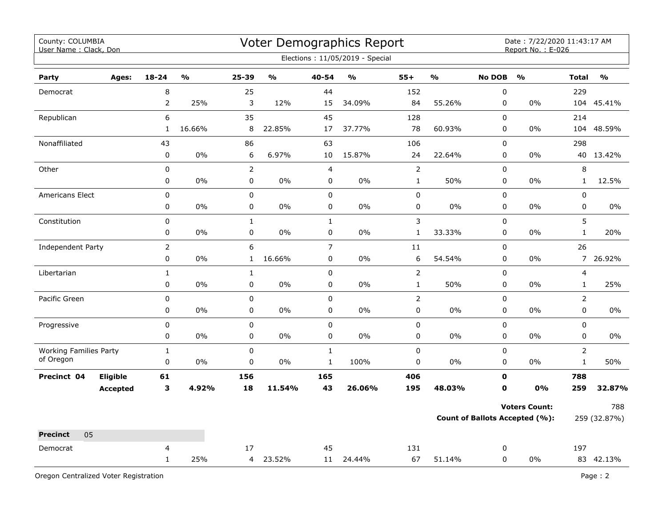| County: COLUMBIA<br>User Name: Clack, Don  |                 |                |                         |                        |                         |                | Voter Demographics Report<br>Elections: 11/05/2019 - Special |                |                         |                            | Date: 7/22/2020 11:43:17 AM<br>Report No.: E-026 |                |                         |
|--------------------------------------------|-----------------|----------------|-------------------------|------------------------|-------------------------|----------------|--------------------------------------------------------------|----------------|-------------------------|----------------------------|--------------------------------------------------|----------------|-------------------------|
|                                            |                 |                |                         |                        |                         |                |                                                              |                |                         |                            |                                                  |                |                         |
| Party                                      | Ages:           | $18 - 24$      | $\mathbf{0}/\mathbf{0}$ | 25-39                  | $\mathbf{0}/\mathbf{0}$ | 40-54          | $\mathbf{O}/\mathbf{o}$                                      | $55+$          | $\mathbf{0}/\mathbf{0}$ | <b>No DOB</b>              | $\mathbf{O}/\mathbf{O}$                          | <b>Total</b>   | $\mathbf{O}/\mathbf{O}$ |
| Democrat                                   |                 | 8              |                         | 25                     |                         | 44             |                                                              | 152            |                         | $\pmb{0}$                  |                                                  | 229            |                         |
|                                            |                 | $\overline{2}$ | 25%                     | 3                      | 12%                     | 15             | 34.09%                                                       | 84             | 55.26%                  | 0                          | 0%                                               |                | 104 45.41%              |
| Republican                                 |                 | 6              |                         | 35                     |                         | 45             |                                                              | 128            |                         | $\mathbf 0$<br>$\mathbf 0$ | 0%                                               | 214            |                         |
|                                            |                 | $\mathbf{1}$   | 16.66%                  | 8                      | 22.85%                  | 17             | 37.77%                                                       | 78             | 60.93%                  |                            |                                                  | 104            | 48.59%                  |
| Nonaffiliated                              |                 | 43             |                         | 86                     |                         | 63             |                                                              | 106            |                         | 0                          |                                                  | 298            |                         |
|                                            |                 | $\pmb{0}$      | 0%                      | 6                      | 6.97%                   | 10             | 15.87%                                                       | 24             | 22.64%                  | 0                          | 0%                                               |                | 40 13.42%               |
| Other                                      |                 | $\pmb{0}$      |                         | $\overline{2}$         |                         | $\overline{4}$ |                                                              | $\overline{2}$ |                         | $\mathsf 0$                |                                                  | 8              |                         |
|                                            |                 | 0              | 0%                      | $\mathsf 0$            | 0%                      | 0              | 0%                                                           | $\mathbf{1}$   | 50%                     | $\mathsf 0$                | 0%                                               | $\mathbf{1}$   | 12.5%                   |
| <b>Americans Elect</b>                     |                 | $\mathsf 0$    | 0%                      | $\pmb{0}$<br>$\pmb{0}$ |                         | $\mathbf 0$    |                                                              | 0              | 0%                      | 0                          | $0\%$                                            | 0              |                         |
|                                            |                 | $\pmb{0}$      |                         |                        | $0\%$                   | $\pmb{0}$      | 0%                                                           | 0              |                         | $\pmb{0}$                  |                                                  | $\mathbf 0$    | 0%                      |
| Constitution                               |                 | $\pmb{0}$      |                         | $\mathbf 1$            |                         | $1\,$          |                                                              | 3              |                         | $\pmb{0}$                  |                                                  | 5              |                         |
|                                            |                 | 0              | 0%                      | $\pmb{0}$              | 0%                      | $\pmb{0}$      | 0%                                                           | $\mathbf 1$    | 33.33%                  | 0                          | 0%                                               | $\mathbf{1}$   | 20%                     |
| <b>Independent Party</b>                   |                 | $\overline{2}$ |                         | 6                      |                         | $\overline{7}$ |                                                              | 11             |                         | $\mathbf 0$                |                                                  | 26             |                         |
|                                            |                 | 0              | 0%                      | $\mathbf{1}$           | 16.66%                  | $\pmb{0}$      | 0%                                                           | 6              | 54.54%                  | $\pmb{0}$                  | 0%                                               | $\overline{7}$ | 26.92%                  |
| Libertarian                                |                 | $\mathbf{1}$   |                         | $\mathbf{1}$           |                         | $\pmb{0}$      |                                                              | $\overline{2}$ |                         | $\pmb{0}$                  |                                                  | 4              |                         |
|                                            |                 | $\pmb{0}$      | 0%                      | 0                      | 0%                      | $\pmb{0}$      | 0%                                                           | $\mathbf 1$    | 50%                     | 0                          | 0%                                               | $\mathbf{1}$   | 25%                     |
| Pacific Green                              |                 | $\mathbf 0$    |                         | $\mathbf 0$            |                         | $\mathbf 0$    |                                                              | $\overline{2}$ |                         | $\mathbf 0$                |                                                  | $\overline{2}$ |                         |
|                                            |                 | 0              | 0%                      | $\mathbf 0$            | 0%                      | $\mathbf 0$    | 0%                                                           | 0              | 0%                      | $\mathbf 0$                | 0%                                               | 0              | $0\%$                   |
| Progressive                                |                 | $\pmb{0}$      |                         | $\pmb{0}$              |                         | $\pmb{0}$      |                                                              | 0              |                         | $\pmb{0}$                  |                                                  | 0              |                         |
|                                            |                 | 0              | 0%                      | $\mathbf 0$            | 0%                      | 0              | 0%                                                           | 0              | $0\%$                   | $\mathbf 0$                | 0%                                               | 0              | 0%                      |
| <b>Working Families Party</b><br>of Oregon |                 | $\mathbf{1}$   |                         | $\pmb{0}$              |                         | $\mathbf{1}$   |                                                              | $\pmb{0}$      |                         | $\mathsf 0$                |                                                  | $\overline{2}$ |                         |
|                                            |                 | $\pmb{0}$      | 0%                      | $\pmb{0}$              | 0%                      | $\mathbf{1}$   | 100%                                                         | 0              | 0%                      | 0                          | 0%                                               | $\mathbf{1}$   | 50%                     |
| Precinct 04                                | Eligible        | 61             |                         | 156                    |                         | 165            |                                                              | 406            |                         | $\mathbf 0$                |                                                  | 788            |                         |
|                                            | <b>Accepted</b> | 3              | 4.92%                   | 18                     | 11.54%                  | 43             | 26.06%                                                       | 195            | 48.03%                  | $\mathbf 0$                | 0%                                               | 259            | 32.87%                  |
|                                            |                 |                |                         |                        |                         |                |                                                              |                |                         |                            | <b>Voters Count:</b>                             |                | 788                     |
|                                            |                 |                |                         |                        |                         |                |                                                              |                |                         |                            | Count of Ballots Accepted (%):                   |                | 259 (32.87%)            |
| 05<br><b>Precinct</b>                      |                 |                |                         |                        |                         |                |                                                              |                |                         |                            |                                                  |                |                         |
| Democrat                                   |                 | 4              |                         | 17                     |                         | 45             |                                                              | 131            |                         | 0                          |                                                  | 197            |                         |
|                                            |                 | $\mathbf{1}$   | 25%                     |                        | 4 23.52%                |                | 11 24.44%                                                    | 67             | 51.14%                  | 0                          | 0%                                               |                | 83 42.13%               |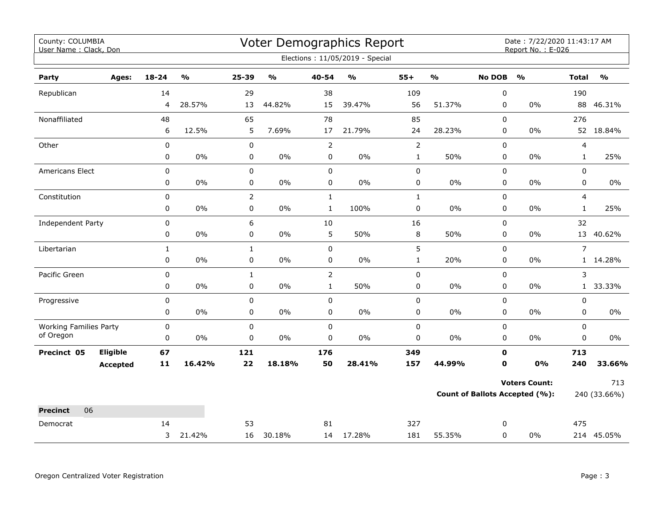| County: COLUMBIA<br>User Name: Clack, Don  |                 |              |                         |                |                                   |                | <b>Voter Demographics Report</b>  |                |                         |               | Date: 7/22/2020 11:43:17 AM<br>Report No.: E-026 |                |                                   |
|--------------------------------------------|-----------------|--------------|-------------------------|----------------|-----------------------------------|----------------|-----------------------------------|----------------|-------------------------|---------------|--------------------------------------------------|----------------|-----------------------------------|
|                                            |                 |              |                         |                |                                   |                | Elections: 11/05/2019 - Special   |                |                         |               |                                                  |                |                                   |
| Party                                      | Ages:           | $18 - 24$    | $\mathbf{O}/\mathbf{O}$ | 25-39          | $\mathsf{o}\mathsf{v}_\mathsf{o}$ | 40-54          | $\mathsf{o}\mathsf{v}_\mathsf{o}$ | $55+$          | $\mathbf{O}/\mathbf{o}$ | <b>No DOB</b> | $\mathbf{O}/\mathbf{o}$                          | <b>Total</b>   | $\mathsf{o}\mathsf{v}_\mathsf{o}$ |
| Republican                                 |                 | 14           |                         | 29             |                                   | 38             |                                   | 109            |                         | 0             |                                                  | 190            |                                   |
|                                            |                 | 4            | 28.57%                  | 13             | 44.82%                            | 15             | 39.47%                            | 56             | 51.37%                  | 0             | $0\%$                                            |                | 88 46.31%                         |
| Nonaffiliated                              |                 | 48           |                         | 65             |                                   | 78             |                                   | 85             |                         | $\Omega$      |                                                  | 276            |                                   |
|                                            |                 | 6            | 12.5%                   | 5              | 7.69%                             | 17             | 21.79%                            | 24             | 28.23%                  | 0             | $0\%$                                            |                | 52 18.84%                         |
| Other                                      |                 | $\pmb{0}$    |                         | 0              |                                   | $\overline{2}$ |                                   | $\overline{2}$ |                         | $\mathsf 0$   |                                                  | $\overline{4}$ |                                   |
|                                            |                 | $\pmb{0}$    | $0\%$                   | 0              | $0\%$                             | $\pmb{0}$      | $0\%$                             | $\mathbf{1}$   | 50%                     | $\pmb{0}$     | $0\%$                                            | $\mathbf{1}$   | 25%                               |
| Americans Elect                            |                 | 0            |                         | 0              |                                   | $\pmb{0}$      |                                   | 0              |                         | $\pmb{0}$     |                                                  | 0              |                                   |
|                                            |                 | $\mathbf 0$  | 0%                      | $\mathbf 0$    | 0%                                | $\mathbf 0$    | $0\%$                             | 0              | $0\%$                   | $\mathbf 0$   | $0\%$                                            | $\mathbf 0$    | $0\%$                             |
| Constitution                               |                 | $\pmb{0}$    |                         | $\overline{2}$ |                                   | $\mathbf{1}$   |                                   | $\mathbf{1}$   |                         | $\mathsf 0$   |                                                  | $\overline{4}$ |                                   |
|                                            |                 | 0            | 0%                      | $\pmb{0}$      | $0\%$                             | $\mathbf{1}$   | 100%                              | 0              | $0\%$                   | $\pmb{0}$     | $0\%$                                            | 1              | 25%                               |
| Independent Party                          |                 | 0            |                         | 6              |                                   | 10             |                                   | 16             |                         | $\pmb{0}$     |                                                  | 32             |                                   |
|                                            |                 | 0            | 0%                      | $\pmb{0}$      | $0\%$                             | 5              | 50%                               | 8              | 50%                     | $\pmb{0}$     | $0\%$                                            |                | 13 40.62%                         |
| Libertarian                                |                 | $\mathbf{1}$ |                         | $\mathbf{1}$   |                                   | $\mathbf 0$    |                                   | 5              |                         | $\mathbf 0$   |                                                  | $\overline{7}$ |                                   |
|                                            |                 | 0            | 0%                      | 0              | $0\%$                             | 0              | 0%                                | $\mathbf{1}$   | 20%                     | $\mathbf 0$   | $0\%$                                            |                | 1 14.28%                          |
| Pacific Green                              |                 | $\pmb{0}$    |                         | $\mathbf{1}$   |                                   | $\overline{2}$ |                                   | $\pmb{0}$      |                         | $\pmb{0}$     |                                                  | 3              |                                   |
|                                            |                 | 0            | 0%                      | 0              | $0\%$                             | $\mathbf{1}$   | 50%                               | 0              | $0\%$                   | 0             | $0\%$                                            | 1              | 33.33%                            |
| Progressive                                |                 | $\pmb{0}$    |                         | 0              |                                   | $\mathbf 0$    |                                   | 0              |                         | $\mathbf 0$   |                                                  | 0              |                                   |
|                                            |                 | 0            | 0%                      | 0              | 0%                                | 0              | 0%                                | 0              | 0%                      | 0             | $0\%$                                            | 0              | 0%                                |
| <b>Working Families Party</b><br>of Oregon |                 | $\pmb{0}$    |                         | 0              |                                   | $\mathbf 0$    |                                   | $\pmb{0}$      |                         | $\mathbf 0$   |                                                  | $\mathbf 0$    |                                   |
|                                            |                 | $\pmb{0}$    | 0%                      | $\pmb{0}$      | $0\%$                             | $\mathbf 0$    | $0\%$                             | $\pmb{0}$      | $0\%$                   | $\mathbf 0$   | $0\%$                                            | 0              | 0%                                |
| Precinct 05                                | <b>Eligible</b> | 67           |                         | 121            |                                   | 176            |                                   | 349            |                         | 0             |                                                  | 713            |                                   |
|                                            | <b>Accepted</b> | 11           | 16.42%                  | 22             | 18.18%                            | 50             | 28.41%                            | 157            | 44.99%                  | 0             | 0%                                               | 240            | 33.66%                            |
|                                            |                 |              |                         |                |                                   |                |                                   |                |                         |               | <b>Voters Count:</b>                             |                | 713                               |
|                                            |                 |              |                         |                |                                   |                |                                   |                |                         |               | <b>Count of Ballots Accepted (%):</b>            |                | 240 (33.66%)                      |
| 06<br><b>Precinct</b>                      |                 |              |                         |                |                                   |                |                                   |                |                         |               |                                                  |                |                                   |
| Democrat                                   |                 | 14           |                         | 53             |                                   | 81             |                                   | 327            |                         | 0             |                                                  | 475            |                                   |
|                                            |                 | 3            | 21.42%                  | 16             | 30.18%                            |                | 14 17.28%                         | 181            | 55.35%                  | 0             | $0\%$                                            |                | 214 45.05%                        |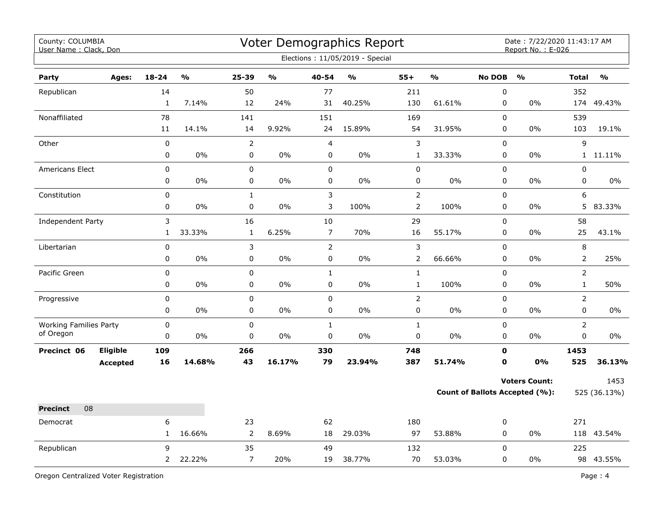| County: COLUMBIA<br>User Name: Clack, Don |                 |              |        |                  |               |                | Voter Demographics Report<br>Elections: 11/05/2019 - Special |                |                         |               | Date: 7/22/2020 11:43:17 AM<br>Report No.: E-026 |                |                         |
|-------------------------------------------|-----------------|--------------|--------|------------------|---------------|----------------|--------------------------------------------------------------|----------------|-------------------------|---------------|--------------------------------------------------|----------------|-------------------------|
| Party                                     | Ages:           | $18 - 24$    | %      | 25-39            | $\frac{1}{2}$ | 40-54          | $\mathsf{o}\mathsf{v}_\mathsf{o}$                            | $55+$          | $\mathbf{0}/\mathbf{0}$ | <b>No DOB</b> | $\frac{0}{0}$                                    | <b>Total</b>   | $\mathbf{O}/\mathbf{O}$ |
| Republican                                |                 | 14           |        | 50               |               | 77             |                                                              | 211            |                         | $\pmb{0}$     |                                                  | 352            |                         |
|                                           |                 | $\mathbf{1}$ | 7.14%  | 12               | 24%           | 31             | 40.25%                                                       | 130            | 61.61%                  | $\pmb{0}$     | 0%                                               | 174            | 49.43%                  |
| Nonaffiliated                             |                 | 78           |        | 141              |               | 151            |                                                              | 169            |                         | $\mathbf 0$   |                                                  | 539            |                         |
|                                           |                 | 11           | 14.1%  | 14               | 9.92%         | 24             | 15.89%                                                       | 54             | 31.95%                  | $\pmb{0}$     | 0%                                               | 103            | 19.1%                   |
| Other                                     |                 | $\pmb{0}$    |        | $\overline{2}$   |               | 4              |                                                              | $\mathsf 3$    |                         | $\pmb{0}$     |                                                  | 9              |                         |
|                                           |                 | 0            | 0%     | $\pmb{0}$        | $0\%$         | 0              | 0%                                                           | $\mathbf{1}$   | 33.33%                  | 0             | 0%                                               |                | 1 11.11%                |
| Americans Elect                           |                 | 0            |        | $\mathbf 0$      |               | $\mathbf 0$    |                                                              | $\pmb{0}$      |                         | 0             |                                                  | 0              |                         |
|                                           |                 | 0            | 0%     | 0                | 0%            | 0              | 0%                                                           | $\mathsf 0$    | 0%                      | 0             | 0%                                               | 0              | 0%                      |
| Constitution                              |                 | 0            |        | $\mathbf 1$      |               | $\mathsf 3$    |                                                              | $\mathsf{2}$   |                         | $\pmb{0}$     |                                                  | 6              |                         |
|                                           |                 | 0            | 0%     | $\boldsymbol{0}$ | 0%            | 3              | 100%                                                         | $\overline{2}$ | 100%                    | 0             | 0%                                               | 5              | 83.33%                  |
| <b>Independent Party</b>                  |                 | 3            |        | 16               |               | 10             |                                                              | 29             |                         | $\pmb{0}$     |                                                  | 58             |                         |
|                                           |                 | $\mathbf{1}$ | 33.33% | $\mathbf 1$      | 6.25%         | $\overline{7}$ | 70%                                                          | 16             | 55.17%                  | $\pmb{0}$     | 0%                                               | 25             | 43.1%                   |
| Libertarian                               |                 | $\pmb{0}$    |        | 3                |               | $\mathsf{2}$   |                                                              | $\mathfrak{Z}$ |                         | $\pmb{0}$     |                                                  | $\,8\,$        |                         |
|                                           |                 | $\mathbf 0$  | $0\%$  | 0                | $0\%$         | $\pmb{0}$      | $0\%$                                                        | $\overline{2}$ | 66.66%                  | $\mathbf 0$   | 0%                                               | $\overline{2}$ | 25%                     |
| Pacific Green                             |                 | 0            |        | $\pmb{0}$        |               | $\mathbf{1}$   |                                                              | $\mathbf 1$    |                         | $\pmb{0}$     |                                                  | $\overline{2}$ |                         |
|                                           |                 | 0            | 0%     | 0                | 0%            | 0              | 0%                                                           | $\mathbf{1}$   | 100%                    | 0             | $0\%$                                            | $\mathbf{1}$   | 50%                     |
| Progressive                               |                 | 0            |        | 0                |               | $\mathbf 0$    |                                                              | $\overline{2}$ |                         | $\Omega$      |                                                  | $\overline{2}$ |                         |
|                                           |                 | 0            | 0%     | $\pmb{0}$        | 0%            | $\mathbf 0$    | 0%                                                           | 0              | $0\%$                   | $\mathbf 0$   | 0%                                               | 0              | 0%                      |
| <b>Working Families Party</b>             |                 | 0            |        | $\mathbf 0$      |               | $\mathbf{1}$   |                                                              | $\mathbf 1$    |                         | $\mathbf 0$   |                                                  | $\overline{2}$ |                         |
| of Oregon                                 |                 | 0            | 0%     | 0                | $0\%$         | 0              | 0%                                                           | 0              | $0\%$                   | 0             | $0\%$                                            | 0              | 0%                      |
| Precinct 06                               | Eligible        | 109          |        | 266              |               | 330            |                                                              | 748            |                         | $\mathbf 0$   |                                                  | 1453           |                         |
|                                           | <b>Accepted</b> | 16           | 14.68% | 43               | 16.17%        | 79             | 23.94%                                                       | 387            | 51.74%                  | $\mathbf 0$   | 0%                                               | 525            | 36.13%                  |
|                                           |                 |              |        |                  |               |                |                                                              |                |                         |               | <b>Voters Count:</b>                             |                | 1453                    |
|                                           |                 |              |        |                  |               |                |                                                              |                |                         |               | <b>Count of Ballots Accepted (%):</b>            |                | 525 (36.13%)            |
| 08<br><b>Precinct</b>                     |                 |              |        |                  |               |                |                                                              |                |                         |               |                                                  |                |                         |
| Democrat                                  |                 | 6            |        | 23               |               | 62             |                                                              | 180            |                         | 0             |                                                  | 271            |                         |
|                                           |                 | $\mathbf{1}$ | 16.66% | $\overline{2}$   | 8.69%         | 18             | 29.03%                                                       | 97             | 53.88%                  | $\pmb{0}$     | 0%                                               |                | 118 43.54%              |
| Republican                                |                 | 9            |        | 35               |               | 49             |                                                              | 132            |                         | $\mathbf 0$   |                                                  | 225            |                         |
|                                           |                 | $2^{\circ}$  | 22.22% | $\overline{7}$   | 20%           | 19             | 38.77%                                                       | 70             | 53.03%                  | $\mathbf 0$   | 0%                                               |                | 98 43.55%               |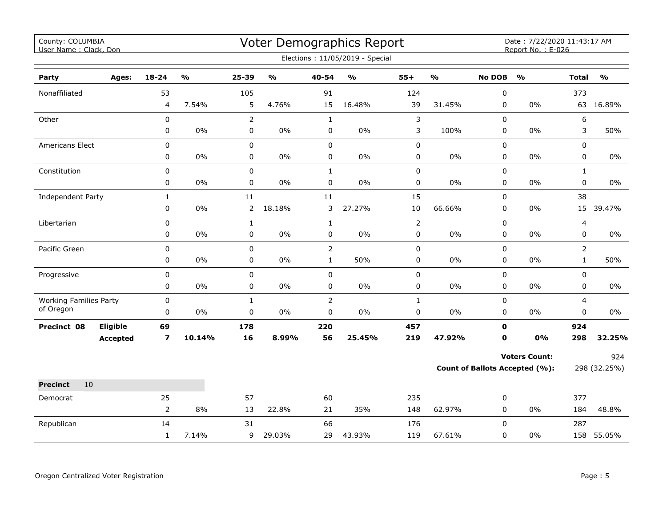| County: COLUMBIA<br>User Name: Clack, Don  |                 |                         |                         |                |               |                | Voter Demographics Report         |                |        |               | Date: 7/22/2020 11:43:17 AM<br>Report No.: E-026 |                |               |
|--------------------------------------------|-----------------|-------------------------|-------------------------|----------------|---------------|----------------|-----------------------------------|----------------|--------|---------------|--------------------------------------------------|----------------|---------------|
|                                            |                 |                         |                         |                |               |                | Elections: 11/05/2019 - Special   |                |        |               |                                                  |                |               |
| Party                                      | Ages:           | 18-24                   | $\mathbf{O}/\mathbf{o}$ | 25-39          | $\frac{1}{2}$ | 40-54          | $\mathsf{o}\mathsf{v}_\mathsf{o}$ | $55+$          | %      | <b>No DOB</b> | $\frac{1}{2}$                                    | <b>Total</b>   | $\frac{1}{2}$ |
| Nonaffiliated                              |                 | 53                      |                         | 105            |               | 91             |                                   | 124            |        | 0             |                                                  | 373            |               |
|                                            |                 | 4                       | 7.54%                   | 5              | 4.76%         | 15             | 16.48%                            | 39             | 31.45% | 0             | $0\%$                                            |                | 63 16.89%     |
| Other                                      |                 | 0                       |                         | $\overline{2}$ |               | $\mathbf{1}$   |                                   | $\mathsf{3}$   |        | 0             |                                                  | 6              |               |
|                                            |                 | 0                       | 0%                      | 0              | $0\%$         | 0              | $0\%$                             | 3              | 100%   | 0             | 0%                                               | 3              | 50%           |
| Americans Elect                            |                 | 0                       |                         | $\pmb{0}$      |               | $\pmb{0}$      |                                   | $\pmb{0}$      |        | 0             |                                                  | 0              |               |
|                                            |                 | 0                       | $0\%$                   | 0              | $0\%$         | $\pmb{0}$      | $0\%$                             | $\pmb{0}$      | $0\%$  | 0             | $0\%$                                            | 0              | 0%            |
| Constitution                               |                 | 0                       |                         | 0              |               | $\mathbf{1}$   |                                   | $\pmb{0}$      |        | $\Omega$      |                                                  | $\mathbf{1}$   |               |
|                                            |                 | 0                       | 0%                      | 0              | 0%            | $\mathbf 0$    | 0%                                | $\pmb{0}$      | 0%     | $\mathbf 0$   | 0%                                               | 0              | $0\%$         |
| Independent Party                          |                 | $\mathbf 1$             |                         | 11             |               | 11             |                                   | 15             |        | 0             |                                                  | 38             |               |
|                                            |                 | 0                       | 0%                      | $\overline{2}$ | 18.18%        | 3              | 27.27%                            | $10\,$         | 66.66% | 0             | $0\%$                                            | 15             | 39.47%        |
| Libertarian                                |                 | 0                       |                         | $\mathbf{1}$   |               | $\mathbf 1$    |                                   | $\overline{2}$ |        | 0             |                                                  | 4              |               |
|                                            |                 | 0                       | $0\%$                   | 0              | $0\%$         | $\pmb{0}$      | $0\%$                             | $\pmb{0}$      | 0%     | 0             | $0\%$                                            | 0              | $0\%$         |
| Pacific Green                              |                 | 0                       |                         | 0              |               | $\overline{2}$ |                                   | $\mathsf 0$    |        | 0             |                                                  | $\overline{2}$ |               |
|                                            |                 | 0                       | $0\%$                   | $\mathbf 0$    | 0%            | $\mathbf{1}$   | 50%                               | 0              | 0%     | 0             | $0\%$                                            | $\mathbf{1}$   | 50%           |
| Progressive                                |                 | 0                       |                         | 0              |               | $\pmb{0}$      |                                   | $\pmb{0}$      |        | 0             |                                                  | 0              |               |
|                                            |                 | 0                       | 0%                      | 0              | $0\%$         | 0              | $0\%$                             | $\mathbf 0$    | $0\%$  | 0             | 0%                                               | 0              | 0%            |
| <b>Working Families Party</b><br>of Oregon |                 | 0                       |                         | $\mathbf{1}$   |               | $\overline{2}$ |                                   | $\mathbf{1}$   |        | $\Omega$      |                                                  | 4              |               |
|                                            |                 | 0                       | $0\%$                   | 0              | 0%            | $\mathsf 0$    | $0\%$                             | $\pmb{0}$      | 0%     | 0             | 0%                                               | 0              | $0\%$         |
| Precinct 08                                | Eligible        | 69                      |                         | 178            |               | 220            |                                   | 457            |        | $\mathbf{0}$  |                                                  | 924            |               |
|                                            | <b>Accepted</b> | $\overline{\mathbf{z}}$ | 10.14%                  | 16             | 8.99%         | 56             | 25.45%                            | 219            | 47.92% | $\mathbf 0$   | 0%                                               | 298            | 32.25%        |
|                                            |                 |                         |                         |                |               |                |                                   |                |        |               | <b>Voters Count:</b>                             |                | 924           |
|                                            |                 |                         |                         |                |               |                |                                   |                |        |               | Count of Ballots Accepted (%):                   |                | 298 (32.25%)  |
| 10<br><b>Precinct</b>                      |                 |                         |                         |                |               |                |                                   |                |        |               |                                                  |                |               |
| Democrat                                   |                 | 25                      |                         | 57             |               | 60             |                                   | 235            |        | 0             |                                                  | 377            |               |
|                                            |                 | $\overline{2}$          | 8%                      | 13             | 22.8%         | 21             | 35%                               | 148            | 62.97% | $\mathbf 0$   | 0%                                               | 184            | 48.8%         |
| Republican                                 |                 | 14                      |                         | 31             |               | 66             |                                   | 176            |        | 0             |                                                  | 287            |               |
|                                            |                 | $\mathbf{1}$            | 7.14%                   | 9              | 29.03%        | 29             | 43.93%                            | 119            | 67.61% | 0             | 0%                                               |                | 158 55.05%    |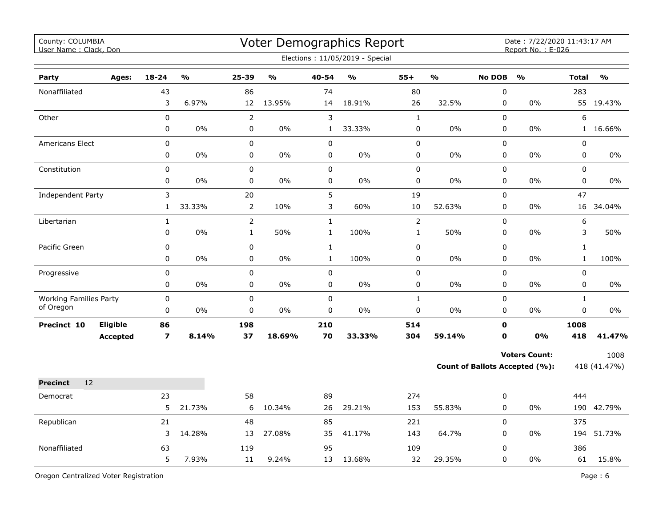| County: COLUMBIA<br>User Name: Clack, Don  |                 |                             |        |                         |               |                  | <b>Voter Demographics Report</b><br>Elections: 11/05/2019 - Special |                |               |                            | Date: 7/22/2020 11:43:17 AM<br>Report No.: E-026       |                         |                      |
|--------------------------------------------|-----------------|-----------------------------|--------|-------------------------|---------------|------------------|---------------------------------------------------------------------|----------------|---------------|----------------------------|--------------------------------------------------------|-------------------------|----------------------|
| <b>Party</b>                               | Ages:           | $18 - 24$                   | %      | $25 - 39$               | $\frac{0}{0}$ | 40-54            | $\frac{0}{0}$                                                       | $55+$          | $\frac{9}{6}$ | <b>No DOB</b>              | $\frac{9}{0}$                                          | <b>Total</b>            | $\frac{9}{0}$        |
| Nonaffiliated                              |                 | 43<br>3                     | 6.97%  | 86<br>12                | 13.95%        | 74<br>14         | 18.91%                                                              | 80<br>26       | 32.5%         | 0<br>0                     | 0%                                                     | 283                     | 55 19.43%            |
| Other                                      |                 | $\pmb{0}$                   |        | $\overline{2}$          |               | 3                |                                                                     | $\mathbf{1}$   |               | 0                          |                                                        | 6                       |                      |
|                                            |                 | $\mathbf 0$                 | $0\%$  | $\mathbf 0$             | $0\%$         | $\mathbf{1}$     | 33.33%                                                              | 0              | $0\%$         | $\mathbf 0$                | 0%                                                     | 1                       | 16.66%               |
| Americans Elect                            |                 | $\pmb{0}$                   |        | 0                       |               | 0                |                                                                     | $\pmb{0}$      |               | 0                          |                                                        | $\pmb{0}$               |                      |
|                                            |                 | 0                           | 0%     | $\mathbf 0$             | 0%            | 0                | $0\%$                                                               | 0              | 0%            | 0                          | 0%                                                     | $\mathbf 0$             | $0\%$                |
| Constitution                               |                 | $\pmb{0}$<br>$\mathbf 0$    | 0%     | $\Omega$<br>$\mathbf 0$ | 0%            | 0<br>$\mathbf 0$ | 0%                                                                  | $\pmb{0}$<br>0 | 0%            | $\Omega$<br>$\mathbf 0$    | 0%                                                     | $\Omega$<br>$\mathbf 0$ | $0\%$                |
|                                            |                 |                             |        |                         |               |                  |                                                                     |                |               |                            |                                                        |                         |                      |
| Independent Party                          |                 | $\mathsf 3$<br>$\mathbf{1}$ | 33.33% | 20<br>$\overline{2}$    | 10%           | 5<br>3           | 60%                                                                 | 19<br>$10\,$   | 52.63%        | 0<br>0                     | 0%                                                     | 47<br>16                | 34.04%               |
| Libertarian                                |                 | $\mathbf{1}$                |        | $\overline{2}$          |               | $\mathbf{1}$     |                                                                     | $\overline{2}$ |               | 0                          |                                                        | 6                       |                      |
|                                            |                 | $\mathbf 0$                 | $0\%$  | $\mathbf{1}$            | 50%           | $\mathbf 1$      | 100%                                                                | $\mathbf 1$    | 50%           | 0                          | 0%                                                     | 3                       | 50%                  |
| Pacific Green                              |                 | $\pmb{0}$                   |        | 0                       |               | $\mathbf{1}$     |                                                                     | $\pmb{0}$      |               | 0                          |                                                        | $\mathbf{1}$            |                      |
|                                            |                 | 0                           | $0\%$  | 0                       | $0\%$         | $\mathbf{1}$     | 100%                                                                | 0              | $0\%$         | 0                          | 0%                                                     | $\mathbf{1}$            | 100%                 |
| Progressive                                |                 | $\pmb{0}$                   |        | 0                       |               | 0                |                                                                     | $\pmb{0}$      |               | 0                          |                                                        | $\pmb{0}$               |                      |
|                                            |                 | 0                           | 0%     | 0                       | $0\%$         | 0                | 0%                                                                  | 0              | 0%            | $\mathbf 0$                | 0%                                                     | $\mathbf 0$             | $0\%$                |
| <b>Working Families Party</b><br>of Oregon |                 | $\mathbf 0$                 |        | $\mathbf 0$             |               | $\mathbf 0$      |                                                                     | $\mathbf{1}$   |               | 0                          |                                                        | $\mathbf{1}$            |                      |
|                                            |                 | 0                           | 0%     | 0                       | $0\%$         | $\pmb{0}$        | 0%                                                                  | 0              | 0%            | $\mathbf 0$                | 0%                                                     | $\mathbf 0$             | $0\%$                |
| Precinct 10                                | Eligible        | 86<br>$\overline{ }$        | 8.14%  | 198<br>37               | 18.69%        | 210<br>70        | 33.33%                                                              | 514<br>304     | 59.14%        | $\mathbf 0$<br>$\mathbf 0$ | 0%                                                     | 1008<br>418             | 41.47%               |
|                                            | <b>Accepted</b> |                             |        |                         |               |                  |                                                                     |                |               |                            |                                                        |                         |                      |
|                                            |                 |                             |        |                         |               |                  |                                                                     |                |               |                            | <b>Voters Count:</b><br>Count of Ballots Accepted (%): |                         | 1008<br>418 (41.47%) |
| 12<br><b>Precinct</b>                      |                 |                             |        |                         |               |                  |                                                                     |                |               |                            |                                                        |                         |                      |
| Democrat                                   |                 | 23                          |        | 58                      |               | 89               |                                                                     | 274            |               | 0                          |                                                        | 444                     |                      |
|                                            |                 | 5                           | 21.73% | 6                       | 10.34%        | 26               | 29.21%                                                              | 153            | 55.83%        | 0                          | 0%                                                     |                         | 190 42.79%           |
| Republican                                 |                 | 21                          |        | 48                      |               | 85               |                                                                     | 221            |               | 0                          |                                                        | 375                     |                      |
|                                            |                 | 3                           | 14.28% | 13                      | 27.08%        | 35               | 41.17%                                                              | 143            | 64.7%         | $\mathbf 0$                | 0%                                                     |                         | 194 51.73%           |
| Nonaffiliated                              |                 | 63                          |        | 119                     |               | 95               |                                                                     | 109            |               | $\mathbf 0$                |                                                        | 386                     |                      |
|                                            |                 | 5                           | 7.93%  | 11                      | 9.24%         | 13               | 13.68%                                                              | 32             | 29.35%        | 0                          | 0%                                                     | 61                      | 15.8%                |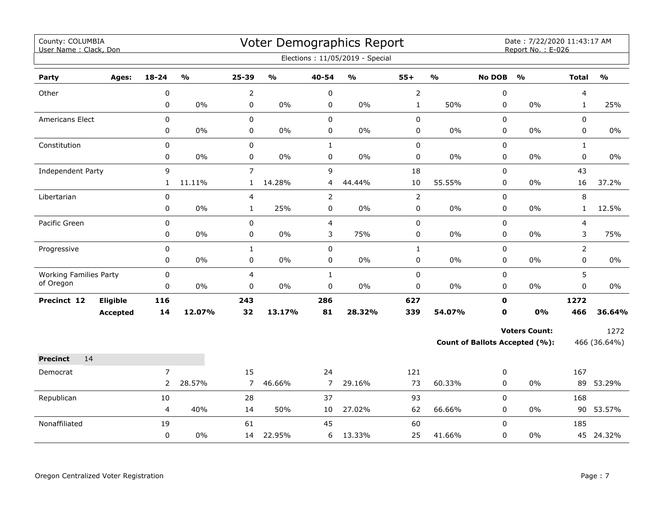| County: COLUMBIA<br>User Name: Clack, Don |                 |                |               |                |               |                | Voter Demographics Report<br>Elections: 11/05/2019 - Special |                |               |               | Date: 7/22/2020 11:43:17 AM<br>Report No.: E-026 |                |               |
|-------------------------------------------|-----------------|----------------|---------------|----------------|---------------|----------------|--------------------------------------------------------------|----------------|---------------|---------------|--------------------------------------------------|----------------|---------------|
| Party                                     | Ages:           | $18 - 24$      | $\frac{1}{2}$ | $25 - 39$      | $\frac{0}{0}$ | 40-54          | $\frac{1}{2}$                                                | $55+$          | $\frac{1}{2}$ | <b>No DOB</b> | $\frac{1}{2}$                                    | <b>Total</b>   | $\frac{1}{2}$ |
| Other                                     |                 | 0              |               | $\overline{2}$ |               | $\pmb{0}$      |                                                              | $\overline{2}$ |               | 0             |                                                  | 4              |               |
|                                           |                 | 0              | $0\%$         | 0              | $0\%$         | $\pmb{0}$      | $0\%$                                                        | $\mathbf{1}$   | 50%           | 0             | $0\%$                                            | $\mathbf{1}$   | 25%           |
| <b>Americans Elect</b>                    |                 | 0              |               | 0              |               | $\mathsf 0$    |                                                              | 0              |               | $\mathbf 0$   |                                                  | $\Omega$       |               |
|                                           |                 | 0              | $0\%$         | 0              | $0\%$         | 0              | $0\%$                                                        | 0              | 0%            | 0             | $0\%$                                            | 0              | 0%            |
| Constitution                              |                 | 0              |               | 0              |               | $\mathbf{1}$   |                                                              | $\pmb{0}$      |               | 0             |                                                  | $\mathbf{1}$   |               |
|                                           |                 | 0              | 0%            | 0              | $0\%$         | $\pmb{0}$      | 0%                                                           | 0              | 0%            | 0             | $0\%$                                            | $\mathbf 0$    | $0\%$         |
| <b>Independent Party</b>                  |                 | 9              |               | $\overline{7}$ |               | 9              |                                                              | 18             |               | 0             |                                                  | 43             |               |
|                                           |                 | $\mathbf{1}$   | 11.11%        | $\mathbf{1}$   | 14.28%        | $\overline{4}$ | 44.44%                                                       | $10\,$         | 55.55%        | 0             | $0\%$                                            | 16             | 37.2%         |
| Libertarian                               |                 | $\pmb{0}$      |               | 4              |               | $\overline{2}$ |                                                              | $\overline{2}$ |               | 0             |                                                  | 8              |               |
|                                           |                 | 0              | $0\%$         | $\mathbf{1}$   | 25%           | $\pmb{0}$      | $0\%$                                                        | 0              | 0%            | $\mathbf 0$   | $0\%$                                            | $\mathbf{1}$   | 12.5%         |
| Pacific Green                             |                 | 0              |               | 0              |               | $\overline{4}$ |                                                              | 0              |               | $\mathbf 0$   |                                                  | $\overline{4}$ |               |
|                                           |                 | 0              | $0\%$         | 0              | $0\%$         | 3              | 75%                                                          | 0              | 0%            | 0             | 0%                                               | 3              | 75%           |
| Progressive                               |                 | 0              |               | $\mathbf{1}$   |               | $\pmb{0}$      |                                                              | $\mathbf{1}$   |               | 0             |                                                  | $\overline{2}$ |               |
|                                           |                 | 0              | $0\%$         | 0              | $0\%$         | 0              | $0\%$                                                        | 0              | 0%            | $\mathbf 0$   | $0\%$                                            | 0              | $0\%$         |
| <b>Working Families Party</b>             |                 | 0              |               | 4              |               | $\mathbf 1$    |                                                              | 0              |               | 0             |                                                  | 5              |               |
| of Oregon                                 |                 | $\Omega$       | $0\%$         | 0              | $0\%$         | $\pmb{0}$      | $0\%$                                                        | 0              | 0%            | 0             | $0\%$                                            | 0              | 0%            |
| Precinct 12                               | Eligible        | 116            |               | 243            |               | 286            |                                                              | 627            |               | $\mathbf 0$   |                                                  | 1272           |               |
|                                           | <b>Accepted</b> | 14             | 12.07%        | 32             | 13.17%        | 81             | 28.32%                                                       | 339            | 54.07%        | $\mathbf 0$   | 0%                                               | 466            | 36.64%        |
|                                           |                 |                |               |                |               |                |                                                              |                |               |               | <b>Voters Count:</b>                             |                | 1272          |
|                                           |                 |                |               |                |               |                |                                                              |                |               |               | <b>Count of Ballots Accepted (%):</b>            |                | 466 (36.64%)  |
| 14<br><b>Precinct</b>                     |                 |                |               |                |               |                |                                                              |                |               |               |                                                  |                |               |
| Democrat                                  |                 | $\overline{7}$ |               | 15             |               | 24             |                                                              | 121            |               | 0             |                                                  | 167            |               |
|                                           |                 | $\overline{2}$ | 28.57%        | 7              | 46.66%        | $\overline{7}$ | 29.16%                                                       | 73             | 60.33%        | 0             | $0\%$                                            | 89             | 53.29%        |
| Republican                                |                 | 10             |               | 28             |               | 37             |                                                              | 93             |               | 0             |                                                  | 168            |               |
|                                           |                 | 4              | 40%           | 14             | 50%           | 10             | 27.02%                                                       | 62             | 66.66%        | 0             | $0\%$                                            |                | 90 53.57%     |
| Nonaffiliated                             |                 | 19             |               | 61             |               | 45             |                                                              | 60             |               | $\mathbf 0$   |                                                  | 185            |               |
|                                           |                 | $\pmb{0}$      | 0%            | 14             | 22.95%        | 6              | 13.33%                                                       | 25             | 41.66%        | 0             | 0%                                               |                | 45 24.32%     |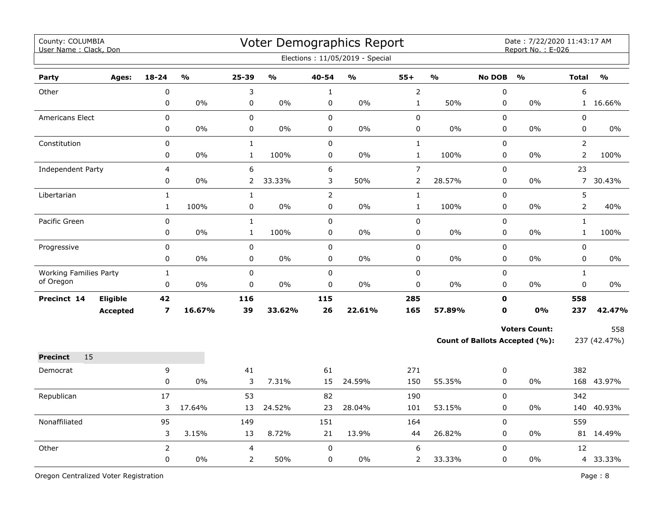| County: COLUMBIA<br>User Name: Clack, Don |                 |                         |                                   |                |               |                | Voter Demographics Report<br>Elections: 11/05/2019 - Special |                |                         |               | Date: 7/22/2020 11:43:17 AM<br>Report No.: E-026 |                |                         |
|-------------------------------------------|-----------------|-------------------------|-----------------------------------|----------------|---------------|----------------|--------------------------------------------------------------|----------------|-------------------------|---------------|--------------------------------------------------|----------------|-------------------------|
| Party                                     | Ages:           | $18 - 24$               | $\mathsf{o}\mathsf{v}_\mathsf{o}$ | 25-39          | $\frac{1}{2}$ | 40-54          | $\mathsf{o}\mathsf{v}_\mathsf{o}$                            | $55+$          | $\mathbf{0}/\mathbf{0}$ | <b>No DOB</b> | $\frac{0}{0}$                                    | <b>Total</b>   | $\mathbf{O}/\mathbf{O}$ |
| Other                                     |                 | $\pmb{0}$               |                                   | 3              |               | $\mathbf{1}$   |                                                              | $\overline{2}$ |                         | 0             |                                                  | 6              |                         |
|                                           |                 | 0                       | 0%                                | 0              | 0%            | $\pmb{0}$      | 0%                                                           | $\mathbf{1}$   | 50%                     | 0             | 0%                                               |                | 1 16.66%                |
| Americans Elect                           |                 | $\pmb{0}$               |                                   | $\pmb{0}$      |               | $\pmb{0}$      |                                                              | $\pmb{0}$      |                         | 0             |                                                  | $\pmb{0}$      |                         |
|                                           |                 | 0                       | 0%                                | 0              | 0%            | $\mathbf 0$    | 0%                                                           | $\pmb{0}$      | 0%                      | 0             | 0%                                               | $\mathbf 0$    | $0\%$                   |
| Constitution                              |                 | $\pmb{0}$               |                                   | $\mathbf 1$    |               | $\pmb{0}$      |                                                              | $\mathbf{1}$   |                         | $\pmb{0}$     |                                                  | $\overline{2}$ |                         |
|                                           |                 | 0                       | $0\%$                             | $\mathbf{1}$   | 100%          | $\mathbf 0$    | $0\%$                                                        | $\mathbf{1}$   | 100%                    | $\mathbf 0$   | $0\%$                                            | $\overline{2}$ | 100%                    |
| Independent Party                         |                 | $\overline{4}$          |                                   | 6              |               | 6              |                                                              | $\overline{7}$ |                         | $\Omega$      |                                                  | 23             |                         |
|                                           |                 | 0                       | $0\%$                             | $\overline{2}$ | 33.33%        | 3              | 50%                                                          | $\overline{2}$ | 28.57%                  | 0             | 0%                                               | $7^{\circ}$    | 30.43%                  |
| Libertarian                               |                 | $\mathbf{1}$            |                                   | $\mathbf{1}$   |               | $\overline{2}$ |                                                              | $\mathbf 1$    |                         | $\mathbf 0$   |                                                  | 5              |                         |
|                                           |                 | $\mathbf{1}$            | 100%                              | 0              | $0\%$         | 0              | 0%                                                           | $\mathbf{1}$   | 100%                    | $\mathbf 0$   | 0%                                               | $\overline{2}$ | 40%                     |
| Pacific Green                             |                 | 0                       |                                   | $\mathbf{1}$   |               | $\mathbf 0$    |                                                              | $\pmb{0}$      |                         | $\mathbf 0$   |                                                  | $\mathbf{1}$   |                         |
|                                           |                 | $\pmb{0}$               | 0%                                | $\mathbf{1}$   | 100%          | $\pmb{0}$      | $0\%$                                                        | $\pmb{0}$      | 0%                      | $\mathbf 0$   | 0%                                               | $\mathbf{1}$   | 100%                    |
| Progressive                               |                 | $\pmb{0}$               |                                   | $\pmb{0}$      |               | $\pmb{0}$      |                                                              | $\mathsf 0$    |                         | $\mathbf 0$   |                                                  | 0              |                         |
|                                           |                 | 0                       | 0%                                | $\pmb{0}$      | 0%            | 0              | 0%                                                           | $\pmb{0}$      | 0%                      | $\mathbf 0$   | 0%                                               | $\mathbf 0$    | 0%                      |
| <b>Working Families Party</b>             |                 | $\mathbf{1}$            |                                   | $\mathsf 0$    |               | $\mathsf 0$    |                                                              | $\pmb{0}$      |                         | $\mathsf 0$   |                                                  | $\mathbf{1}$   |                         |
| of Oregon                                 |                 | $\pmb{0}$               | 0%                                | $\pmb{0}$      | 0%            | $\pmb{0}$      | 0%                                                           | $\pmb{0}$      | 0%                      | $\mathbf 0$   | 0%                                               | 0              | 0%                      |
| Precinct 14                               | Eligible        | 42                      |                                   | 116            |               | 115            |                                                              | 285            |                         | $\mathbf 0$   |                                                  | 558            |                         |
|                                           | <b>Accepted</b> | $\overline{\mathbf{z}}$ | 16.67%                            | 39             | 33.62%        | 26             | 22.61%                                                       | 165            | 57.89%                  | $\mathbf 0$   | 0%                                               | 237            | 42.47%                  |
|                                           |                 |                         |                                   |                |               |                |                                                              |                |                         |               | <b>Voters Count:</b>                             |                | 558                     |
|                                           |                 |                         |                                   |                |               |                |                                                              |                |                         |               | <b>Count of Ballots Accepted (%):</b>            |                | 237 (42.47%)            |
| 15<br><b>Precinct</b>                     |                 |                         |                                   |                |               |                |                                                              |                |                         |               |                                                  |                |                         |
| Democrat                                  |                 | 9                       |                                   | 41             |               | 61             |                                                              | 271            |                         | 0             |                                                  | 382            |                         |
|                                           |                 | $\pmb{0}$               | 0%                                | 3              | 7.31%         | 15             | 24.59%                                                       | 150            | 55.35%                  | 0             | $0\%$                                            |                | 168 43.97%              |
| Republican                                |                 | 17                      |                                   | 53             |               | 82             |                                                              | 190            |                         | $\mathsf 0$   |                                                  | 342            |                         |
|                                           |                 | 3                       | 17.64%                            | 13             | 24.52%        | 23             | 28.04%                                                       | 101            | 53.15%                  | $\pmb{0}$     | 0%                                               |                | 140 40.93%              |
| Nonaffiliated                             |                 | 95                      |                                   | 149            |               | 151            |                                                              | 164            |                         | $\pmb{0}$     |                                                  | 559            |                         |
|                                           |                 | 3                       | 3.15%                             | 13             | 8.72%         | 21             | 13.9%                                                        | 44             | 26.82%                  | $\mathbf 0$   | 0%                                               |                | 81 14.49%               |
| Other                                     |                 | $\overline{2}$          |                                   | 4              |               | $\pmb{0}$      |                                                              | 6              |                         | $\Omega$      |                                                  | 12             |                         |
|                                           |                 | 0                       | 0%                                | $\overline{2}$ | 50%           | $\mathbf 0$    | $0\%$                                                        | 2              | 33.33%                  | 0             | 0%                                               |                | 4 33.33%                |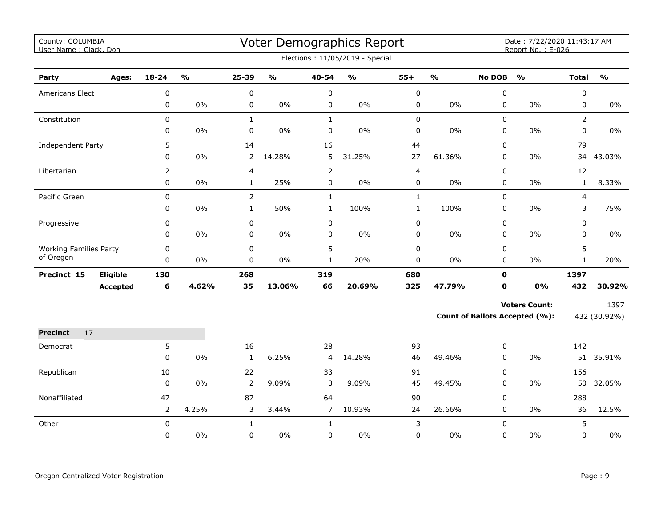| County: COLUMBIA<br>User Name: Clack, Don |                 |                |                         |                |                         |                | Voter Demographics Report<br>Elections: 11/05/2019 - Special |                |                         |               | Date: 7/22/2020 11:43:17 AM<br>Report No.: E-026 |                |               |
|-------------------------------------------|-----------------|----------------|-------------------------|----------------|-------------------------|----------------|--------------------------------------------------------------|----------------|-------------------------|---------------|--------------------------------------------------|----------------|---------------|
| Party                                     | Ages:           | 18-24          | $\mathbf{O}/\mathbf{O}$ | 25-39          | $\mathbf{0}/\mathbf{0}$ | 40-54          | $\mathsf{o}\mathsf{v}_\mathsf{o}$                            | $55+$          | $\mathbf{O}/\mathbf{o}$ | <b>No DOB</b> | $\mathbf{O}/\mathbf{O}$                          | <b>Total</b>   | $\frac{0}{0}$ |
| Americans Elect                           |                 | 0              |                         | $\pmb{0}$      |                         | 0              |                                                              | $\pmb{0}$      |                         | $\pmb{0}$     |                                                  | 0              |               |
|                                           |                 | 0              | 0%                      | 0              | 0%                      | $\pmb{0}$      | $0\%$                                                        | $\pmb{0}$      | $0\%$                   | 0             | 0%                                               | 0              | $0\%$         |
| Constitution                              |                 | 0              |                         | $\mathbf{1}$   |                         | $\mathbf{1}$   |                                                              | $\pmb{0}$      |                         | 0             |                                                  | $\overline{2}$ |               |
|                                           |                 | 0              | 0%                      | $\mathbf 0$    | 0%                      | 0              | 0%                                                           | 0              | $0\%$                   | 0             | $0\%$                                            | 0              | $0\%$         |
| Independent Party                         |                 | 5              |                         | 14             |                         | 16             |                                                              | 44             |                         | $\pmb{0}$     |                                                  | 79             |               |
|                                           |                 | 0              | 0%                      | $\overline{2}$ | 14.28%                  | 5              | 31.25%                                                       | 27             | 61.36%                  | $\mathbf 0$   | 0%                                               | 34             | 43.03%        |
| Libertarian                               |                 | $\overline{2}$ |                         | $\overline{4}$ |                         | $\overline{2}$ |                                                              | $\overline{4}$ |                         | 0             |                                                  | 12             |               |
|                                           |                 | 0              | 0%                      | $\mathbf{1}$   | 25%                     | 0              | $0\%$                                                        | 0              | $0\%$                   | 0             | 0%                                               | $\mathbf{1}$   | 8.33%         |
| Pacific Green                             |                 | 0              |                         | $\overline{2}$ |                         | $\mathbf{1}$   |                                                              | $\mathbf{1}$   |                         | $\mathbf 0$   |                                                  | 4              |               |
|                                           |                 | 0              | 0%                      | $\mathbf{1}$   | 50%                     | $\mathbf{1}$   | 100%                                                         | $\mathbf{1}$   | 100%                    | 0             | 0%                                               | 3              | 75%           |
| Progressive                               |                 | 0              |                         | 0              |                         | 0              |                                                              | $\pmb{0}$      |                         | 0             |                                                  | 0              |               |
|                                           |                 | 0              | $0\%$                   | $\pmb{0}$      | $0\%$                   | 0              | $0\%$                                                        | $\pmb{0}$      | $0\%$                   | 0             | $0\%$                                            | 0              | $0\%$         |
| <b>Working Families Party</b>             |                 | $\mathbf 0$    |                         | $\mathbf 0$    |                         | 5              |                                                              | $\pmb{0}$      |                         | $\mathbf 0$   |                                                  | 5              |               |
| of Oregon                                 |                 | 0              | 0%                      | $\mathbf 0$    | 0%                      | $\mathbf{1}$   | 20%                                                          | 0              | $0\%$                   | 0             | $0\%$                                            | $\mathbf{1}$   | 20%           |
| Precinct 15                               | Eligible        | 130            |                         | 268            |                         | 319            |                                                              | 680            |                         | $\mathbf 0$   |                                                  | 1397           |               |
|                                           | <b>Accepted</b> | 6              | 4.62%                   | 35             | 13.06%                  | 66             | 20.69%                                                       | 325            | 47.79%                  | 0             | 0%                                               | 432            | 30.92%        |
|                                           |                 |                |                         |                |                         |                |                                                              |                |                         |               | <b>Voters Count:</b>                             |                | 1397          |
|                                           |                 |                |                         |                |                         |                |                                                              |                |                         |               | Count of Ballots Accepted (%):                   |                | 432 (30.92%)  |
| <b>Precinct</b><br>17                     |                 |                |                         |                |                         |                |                                                              |                |                         |               |                                                  |                |               |
| Democrat                                  |                 | 5              |                         | 16             |                         | 28             |                                                              | 93             |                         | 0             |                                                  | 142            |               |
|                                           |                 | 0              | 0%                      | $\mathbf{1}$   | 6.25%                   | 4              | 14.28%                                                       | 46             | 49.46%                  | $\mathbf 0$   | $0\%$                                            |                | 51 35.91%     |
| Republican                                |                 | 10             |                         | 22             |                         | 33             |                                                              | 91             |                         | $\mathbf 0$   |                                                  | 156            |               |
|                                           |                 | 0              | 0%                      | $\overline{2}$ | 9.09%                   | 3              | 9.09%                                                        | 45             | 49.45%                  | 0             | 0%                                               | 50             | 32.05%        |
| Nonaffiliated                             |                 | 47             |                         | 87             |                         | 64             |                                                              | 90             |                         | $\mathbf 0$   |                                                  | 288            |               |
|                                           |                 | $\overline{2}$ | 4.25%                   | 3              | 3.44%                   | $\overline{7}$ | 10.93%                                                       | 24             | 26.66%                  | 0             | $0\%$                                            | 36             | 12.5%         |
| Other                                     |                 | $\mathbf 0$    |                         | $\mathbf{1}$   |                         | $\mathbf{1}$   |                                                              | 3              |                         | $\mathbf 0$   |                                                  | 5              |               |
|                                           |                 | 0              | 0%                      | $\mathbf 0$    | 0%                      | $\mathbf 0$    | 0%                                                           | 0              | $0\%$                   | $\mathbf 0$   | 0%                                               | 0              | 0%            |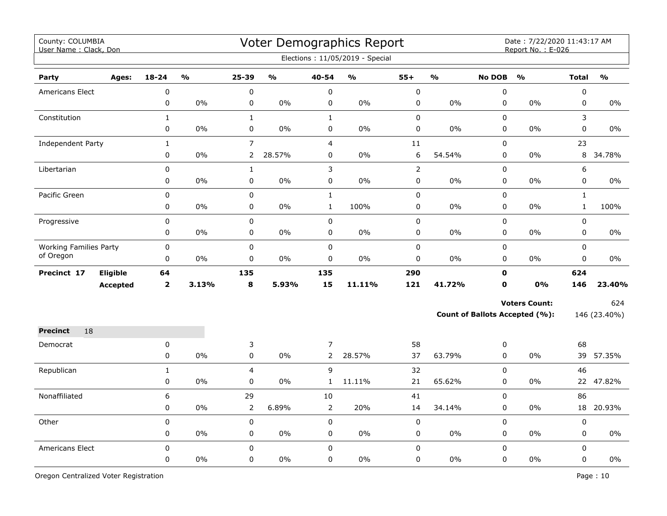| County: COLUMBIA<br>User Name: Clack, Don |                 |                |               |                |               |                | Voter Demographics Report<br>Elections: 11/05/2019 - Special |                |               |               | Date: 7/22/2020 11:43:17 AM<br>Report No.: E-026 |              |               |
|-------------------------------------------|-----------------|----------------|---------------|----------------|---------------|----------------|--------------------------------------------------------------|----------------|---------------|---------------|--------------------------------------------------|--------------|---------------|
| Party                                     | Ages:           | $18 - 24$      | $\frac{0}{0}$ | 25-39          | $\frac{0}{0}$ | 40-54          | $\frac{0}{0}$                                                | $55+$          | $\frac{1}{2}$ | <b>No DOB</b> | $\frac{1}{2}$                                    | <b>Total</b> | $\frac{0}{0}$ |
| <b>Americans Elect</b>                    |                 | $\pmb{0}$      |               | $\pmb{0}$      |               | 0              |                                                              | $\pmb{0}$      |               | $\pmb{0}$     |                                                  | $\pmb{0}$    |               |
|                                           |                 | $\mathsf 0$    | 0%            | $\mathsf 0$    | 0%            | $\pmb{0}$      | 0%                                                           | $\pmb{0}$      | 0%            | 0             | 0%                                               | $\mathbf 0$  | $0\%$         |
| Constitution                              |                 | $\mathbf{1}$   |               | $\mathbf{1}$   |               | $\mathbf{1}$   |                                                              | $\pmb{0}$      |               | 0             |                                                  | 3            |               |
|                                           |                 | $\pmb{0}$      | 0%            | $\pmb{0}$      | 0%            | $\pmb{0}$      | 0%                                                           | $\pmb{0}$      | 0%            | 0             | 0%                                               | $\pmb{0}$    | 0%            |
| Independent Party                         |                 | $\mathbf{1}$   |               | $\overline{7}$ |               | $\overline{4}$ |                                                              | $11\,$         |               | 0             |                                                  | 23           |               |
|                                           |                 | 0              | 0%            | $\overline{2}$ | 28.57%        | 0              | 0%                                                           | 6              | 54.54%        | 0             | 0%                                               |              | 8 34.78%      |
| Libertarian                               |                 | 0              |               | $\mathbf{1}$   |               | 3              |                                                              | $\overline{2}$ |               | 0             |                                                  | 6            |               |
|                                           |                 | 0              | $0\%$         | 0              | 0%            | 0              | 0%                                                           | $\pmb{0}$      | $0\%$         | 0             | $0\%$                                            | 0            | 0%            |
| Pacific Green                             |                 | $\pmb{0}$      |               | $\pmb{0}$      |               | $\mathbf 1$    |                                                              | $\pmb{0}$      |               | 0             |                                                  | $\mathbf{1}$ |               |
|                                           |                 | 0              | 0%            | 0              | $0\%$         | $\mathbf{1}$   | 100%                                                         | $\pmb{0}$      | 0%            | 0             | $0\%$                                            | $\mathbf{1}$ | 100%          |
| Progressive                               |                 | $\mathbf 0$    |               | $\mathbf 0$    |               | $\mathbf 0$    |                                                              | $\pmb{0}$      |               | 0             |                                                  | $\mathbf 0$  |               |
|                                           |                 | $\mathsf 0$    | 0%            | $\pmb{0}$      | 0%            | $\pmb{0}$      | 0%                                                           | $\pmb{0}$      | 0%            | 0             | $0\%$                                            | $\pmb{0}$    | $0\%$         |
| <b>Working Families Party</b>             |                 | 0              |               | $\pmb{0}$      |               | 0              |                                                              | $\pmb{0}$      |               | $\mathbf 0$   |                                                  | $\mathbf 0$  |               |
| of Oregon                                 |                 | 0              | 0%            | $\pmb{0}$      | 0%            | 0              | 0%                                                           | $\pmb{0}$      | 0%            | $\mathbf 0$   | 0%                                               | $\mathbf 0$  | 0%            |
| Precinct 17                               | Eligible        | 64             |               | 135            |               | 135            |                                                              | 290            |               | $\mathbf 0$   |                                                  | 624          |               |
|                                           | <b>Accepted</b> | $\overline{2}$ | 3.13%         | 8              | 5.93%         | 15             | 11.11%                                                       | 121            | 41.72%        | $\mathbf 0$   | <b>0%</b>                                        | 146          | 23.40%        |
|                                           |                 |                |               |                |               |                |                                                              |                |               |               | <b>Voters Count:</b>                             |              | 624           |
|                                           |                 |                |               |                |               |                |                                                              |                |               |               | Count of Ballots Accepted (%):                   |              | 146 (23.40%)  |
| 18<br><b>Precinct</b>                     |                 |                |               |                |               |                |                                                              |                |               |               |                                                  |              |               |
| Democrat                                  |                 | 0              |               | 3              |               | $\overline{7}$ |                                                              | 58             |               | 0             |                                                  | 68           |               |
|                                           |                 | $\mathbf 0$    | 0%            | $\mathbf 0$    | 0%            | $\overline{2}$ | 28.57%                                                       | 37             | 63.79%        | $\mathbf 0$   | $0\%$                                            | 39           | 57.35%        |
| Republican                                |                 | $\mathbf{1}$   |               | $\overline{4}$ |               | 9              |                                                              | 32             |               | 0             |                                                  | 46           |               |
|                                           |                 | $\pmb{0}$      | 0%            | 0              | $0\%$         | $\mathbf{1}$   | 11.11%                                                       | 21             | 65.62%        | 0             | $0\%$                                            |              | 22 47.82%     |
| Nonaffiliated                             |                 | 6              |               | 29             |               | 10             |                                                              | 41             |               | 0             |                                                  | 86           |               |
|                                           |                 | 0              | 0%            | $\overline{2}$ | 6.89%         | $\overline{2}$ | 20%                                                          | 14             | 34.14%        | 0             | 0%                                               |              | 18 20.93%     |
| Other                                     |                 | $\pmb{0}$      |               | $\pmb{0}$      |               | $\pmb{0}$      |                                                              | $\pmb{0}$      |               | $\pmb{0}$     |                                                  | $\pmb{0}$    |               |
|                                           |                 | 0              | 0%            | 0              | 0%            | 0              | 0%                                                           | $\pmb{0}$      | 0%            | 0             | 0%                                               | 0            | 0%            |
| Americans Elect                           |                 | $\mathbf 0$    |               | $\mathbf 0$    |               | 0              |                                                              | $\pmb{0}$      |               | 0             |                                                  | $\mathbf 0$  |               |
|                                           |                 | $\pmb{0}$      | 0%            | 0              | 0%            | 0              | 0%                                                           | $\pmb{0}$      | 0%            | 0             | 0%                                               | 0            | 0%            |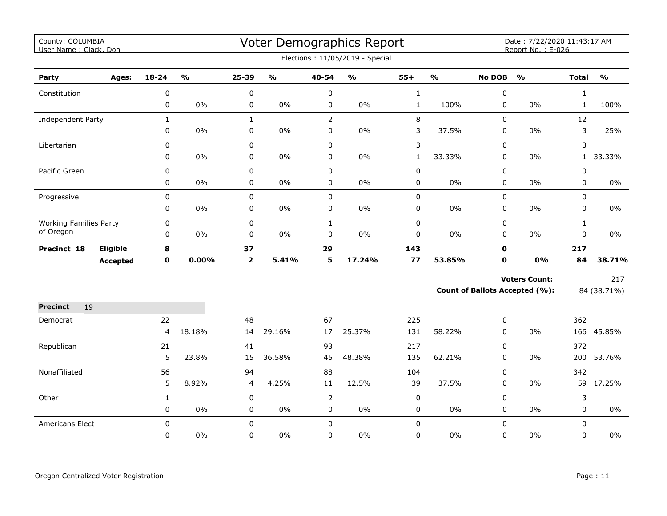| County: COLUMBIA<br>User Name: Clack, Don |                 |                |               |              |                           |                | Voter Demographics Report         |              |               |               | Date: 7/22/2020 11:43:17 AM<br>Report No.: E-026 |              |               |
|-------------------------------------------|-----------------|----------------|---------------|--------------|---------------------------|----------------|-----------------------------------|--------------|---------------|---------------|--------------------------------------------------|--------------|---------------|
|                                           |                 |                |               |              |                           |                | Elections: 11/05/2019 - Special   |              |               |               |                                                  |              |               |
| Party                                     | Ages:           | $18 - 24$      | $\frac{9}{0}$ | 25-39        | $\mathbf{o}_{\mathbf{0}}$ | 40-54          | $\mathsf{o}\mathsf{v}_\mathsf{o}$ | $55+$        | $\frac{1}{2}$ | <b>No DOB</b> | $\frac{1}{2}$                                    | <b>Total</b> | $\frac{1}{2}$ |
| Constitution                              |                 | 0              |               | 0            |                           | 0              |                                   | $\mathbf{1}$ |               | 0             |                                                  | $\mathbf{1}$ |               |
|                                           |                 | $\mathbf 0$    | $0\%$         | 0            | $0\%$                     | 0              | 0%                                | $\mathbf{1}$ | 100%          | $\mathbf 0$   | $0\%$                                            | $\mathbf{1}$ | 100%          |
| <b>Independent Party</b>                  |                 | $\mathbf{1}$   |               | $\mathbf{1}$ |                           | $\overline{2}$ |                                   | 8            |               | 0             |                                                  | 12           |               |
|                                           |                 | $\pmb{0}$      | 0%            | 0            | $0\%$                     | 0              | 0%                                | 3            | 37.5%         | 0             | 0%                                               | 3            | 25%           |
| Libertarian                               |                 | $\pmb{0}$      |               | 0            |                           | 0              |                                   | 3            |               | 0             |                                                  | 3            |               |
|                                           |                 | $\pmb{0}$      | $0\%$         | 0            | $0\%$                     | 0              | 0%                                | $\mathbf 1$  | 33.33%        | 0             | $0\%$                                            | 1            | 33.33%        |
| Pacific Green                             |                 | $\mathbf 0$    |               | $\mathbf 0$  |                           | $\mathbf 0$    |                                   | 0            |               | $\mathbf 0$   |                                                  | $\mathbf 0$  |               |
|                                           |                 | 0              | $0\%$         | 0            | $0\%$                     | 0              | 0%                                | 0            | 0%            | 0             | 0%                                               | $\mathbf 0$  | 0%            |
| Progressive                               |                 | $\pmb{0}$      |               | 0            |                           | 0              |                                   | 0            |               | 0             |                                                  | $\mathbf 0$  |               |
|                                           |                 | $\pmb{0}$      | $0\%$         | 0            | $0\%$                     | 0              | 0%                                | 0            | $0\%$         | 0             | $0\%$                                            | 0            | $0\%$         |
| <b>Working Families Party</b>             |                 | $\pmb{0}$      |               | 0            |                           | $\mathbf{1}$   |                                   | $\pmb{0}$    |               | 0             |                                                  | $\mathbf{1}$ |               |
| of Oregon                                 |                 | 0              | $0\%$         | 0            | $0\%$                     | 0              | 0%                                | 0            | 0%            | 0             | $0\%$                                            | $\pmb{0}$    | 0%            |
| Precinct 18                               | <b>Eligible</b> | 8              |               | 37           |                           | 29             |                                   | 143          |               | $\mathbf 0$   |                                                  | 217          |               |
|                                           | <b>Accepted</b> | $\mathbf 0$    | 0.00%         | $\mathbf{2}$ | 5.41%                     | 5              | 17.24%                            | 77           | 53.85%        | $\mathbf 0$   | 0%                                               | 84           | 38.71%        |
|                                           |                 |                |               |              |                           |                |                                   |              |               |               | <b>Voters Count:</b>                             |              | 217           |
|                                           |                 |                |               |              |                           |                |                                   |              |               |               | Count of Ballots Accepted (%):                   |              | 84 (38.71%)   |
| <b>Precinct</b><br>19                     |                 |                |               |              |                           |                |                                   |              |               |               |                                                  |              |               |
| Democrat                                  |                 | 22             |               | 48           |                           | 67             |                                   | 225          |               | 0             |                                                  | 362          |               |
|                                           |                 | $\overline{4}$ | 18.18%        | 14           | 29.16%                    | 17             | 25.37%                            | 131          | 58.22%        | $\mathbf 0$   | $0\%$                                            |              | 166 45.85%    |
| Republican                                |                 | 21             |               | 41           |                           | 93             |                                   | 217          |               | 0             |                                                  | 372          |               |
|                                           |                 | 5              | 23.8%         | 15           | 36.58%                    | 45             | 48.38%                            | 135          | 62.21%        | $\mathbf 0$   | $0\%$                                            |              | 200 53.76%    |
| Nonaffiliated                             |                 | 56             |               | 94           |                           | 88             |                                   | 104          |               | 0             |                                                  | 342          |               |
|                                           |                 | 5              | 8.92%         | 4            | 4.25%                     | 11             | 12.5%                             | 39           | 37.5%         | 0             | 0%                                               |              | 59 17.25%     |
| Other                                     |                 | $\mathbf{1}$   |               | 0            |                           | $\overline{2}$ |                                   | $\mathsf 0$  |               | 0             |                                                  | 3            |               |
|                                           |                 | $\mathbf 0$    | $0\%$         | 0            | $0\%$                     | 0              | $0\%$                             | 0            | $0\%$         | $\mathbf 0$   | $0\%$                                            | $\mathbf 0$  | $0\%$         |
| <b>Americans Elect</b>                    |                 | $\mathbf 0$    |               | 0            |                           | $\Omega$       |                                   | $\mathbf 0$  |               | 0             |                                                  | $\Omega$     |               |
|                                           |                 | 0              | $0\%$         | 0            | $0\%$                     | 0              | 0%                                | 0            | 0%            | 0             | $0\%$                                            | $\mathbf 0$  | $0\%$         |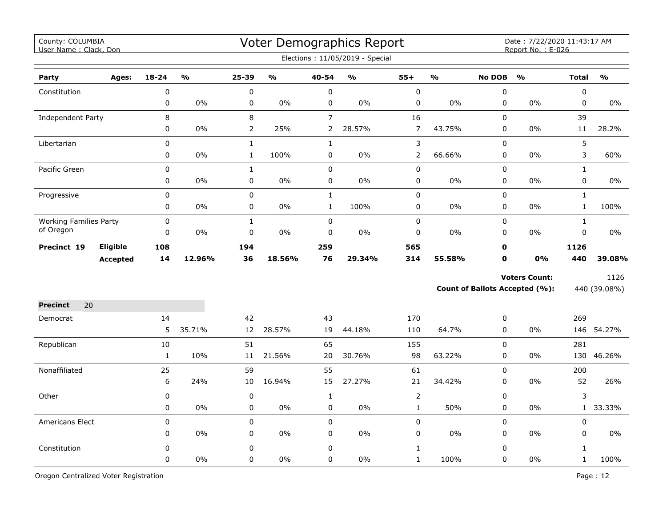| County: COLUMBIA<br>User Name: Clack, Don |                 |              |               |                |               |                | Voter Demographics Report<br>Elections: 11/05/2019 - Special |                |               |               | Date: 7/22/2020 11:43:17 AM<br>Report No.: E-026 |              |               |
|-------------------------------------------|-----------------|--------------|---------------|----------------|---------------|----------------|--------------------------------------------------------------|----------------|---------------|---------------|--------------------------------------------------|--------------|---------------|
| Party                                     | Ages:           | $18 - 24$    | $\frac{1}{2}$ | $25 - 39$      | $\frac{1}{2}$ | 40-54          | $\frac{1}{2}$                                                | $55+$          | $\frac{1}{2}$ | <b>No DOB</b> | $\frac{1}{2}$                                    | <b>Total</b> | $\frac{1}{2}$ |
| Constitution                              |                 | 0            |               | 0              |               | $\pmb{0}$      |                                                              | $\pmb{0}$      |               | 0             |                                                  | $\pmb{0}$    |               |
|                                           |                 | 0            | 0%            | 0              | $0\%$         | $\pmb{0}$      | 0%                                                           | $\mathbf 0$    | 0%            | $\pmb{0}$     | 0%                                               | $\pmb{0}$    | 0%            |
| Independent Party                         |                 | 8            |               | 8              |               | $\overline{7}$ |                                                              | 16             |               | 0             |                                                  | 39           |               |
|                                           |                 | 0            | 0%            | $\overline{2}$ | 25%           | $\overline{2}$ | 28.57%                                                       | $\overline{7}$ | 43.75%        | 0             | 0%                                               | 11           | 28.2%         |
| Libertarian                               |                 | 0            |               | $\mathbf{1}$   |               | $\mathbf 1$    |                                                              | 3              |               | 0             |                                                  | 5            |               |
|                                           |                 | 0            | 0%            | $\mathbf{1}$   | 100%          | 0              | 0%                                                           | $\overline{2}$ | 66.66%        | 0             | 0%                                               | 3            | 60%           |
| Pacific Green                             |                 | 0            |               | $\mathbf{1}$   |               | $\pmb{0}$      |                                                              | 0              |               | $\Omega$      |                                                  | $\mathbf{1}$ |               |
|                                           |                 | 0            | 0%            | 0              | 0%            | $\mathbf 0$    | 0%                                                           | 0              | 0%            | 0             | $0\%$                                            | $\mathbf 0$  | 0%            |
| Progressive                               |                 | $\mathbf 0$  |               | 0              |               | $\mathbf 1$    |                                                              | 0              |               | $\mathbf 0$   |                                                  | $\mathbf{1}$ |               |
|                                           |                 | 0            | 0%            | 0              | $0\%$         | $\mathbf{1}$   | 100%                                                         | 0              | 0%            | 0             | 0%                                               | $\mathbf{1}$ | 100%          |
| <b>Working Families Party</b>             |                 | 0            |               | $\mathbf{1}$   |               | $\pmb{0}$      |                                                              | 0              |               | $\mathbf 0$   |                                                  | $\mathbf{1}$ |               |
| of Oregon                                 |                 | 0            | $0\%$         | 0              | 0%            | $\pmb{0}$      | 0%                                                           | 0              | $0\%$         | $\pmb{0}$     | 0%                                               | $\mathsf 0$  | 0%            |
| Precinct 19                               | Eligible        | 108          |               | 194            |               | 259            |                                                              | 565            |               | $\mathbf 0$   |                                                  | 1126         |               |
|                                           | <b>Accepted</b> | 14           | 12.96%        | 36             | 18.56%        | 76             | 29.34%                                                       | 314            | 55.58%        | $\mathbf 0$   | 0%                                               | 440          | 39.08%        |
|                                           |                 |              |               |                |               |                |                                                              |                |               |               | <b>Voters Count:</b>                             |              | 1126          |
|                                           |                 |              |               |                |               |                |                                                              |                |               |               | <b>Count of Ballots Accepted (%):</b>            |              | 440 (39.08%)  |
| 20<br><b>Precinct</b>                     |                 |              |               |                |               |                |                                                              |                |               |               |                                                  |              |               |
| Democrat                                  |                 | 14           |               | 42             |               | 43             |                                                              | 170            |               | 0             |                                                  | 269          |               |
|                                           |                 | 5            | 35.71%        | 12             | 28.57%        | 19             | 44.18%                                                       | 110            | 64.7%         | 0             | 0%                                               |              | 146 54.27%    |
| Republican                                |                 | 10           |               | 51             |               | 65             |                                                              | 155            |               | $\Omega$      |                                                  | 281          |               |
|                                           |                 | $\mathbf{1}$ | 10%           | 11             | 21.56%        | 20             | 30.76%                                                       | 98             | 63.22%        | 0             | 0%                                               | 130          | 46.26%        |
| Nonaffiliated                             |                 | 25           |               | 59             |               | 55             |                                                              | 61             |               | 0             |                                                  | 200          |               |
|                                           |                 | 6            | 24%           | 10             | 16.94%        | 15             | 27.27%                                                       | 21             | 34.42%        | 0             | $0\%$                                            | 52           | 26%           |
| Other                                     |                 | 0            |               | $\pmb{0}$      |               | $\mathbf 1$    |                                                              | $\overline{2}$ |               | $\mathsf 0$   |                                                  | 3            |               |
|                                           |                 | 0            | 0%            | 0              | 0%            | $\pmb{0}$      | 0%                                                           | $\mathbf 1$    | 50%           | $\pmb{0}$     | 0%                                               | $\mathbf{1}$ | 33.33%        |
| Americans Elect                           |                 | 0            |               | $\pmb{0}$      |               | $\pmb{0}$      |                                                              | 0              |               | $\pmb{0}$     |                                                  | 0            |               |
|                                           |                 | 0            | 0%            | 0              | 0%            | $\pmb{0}$      | 0%                                                           | 0              | 0%            | $\pmb{0}$     | 0%                                               | 0            | $0\%$         |
| Constitution                              |                 | $\mathbf 0$  |               | $\mathbf 0$    |               | $\pmb{0}$      |                                                              | $\mathbf{1}$   |               | $\mathbf 0$   |                                                  | $\mathbf{1}$ |               |
|                                           |                 | 0            | $0\%$         | 0              | $0\%$         | $\mathbf 0$    | $0\%$                                                        | $\mathbf{1}$   | 100%          | 0             | 0%                                               | $\mathbf{1}$ | 100%          |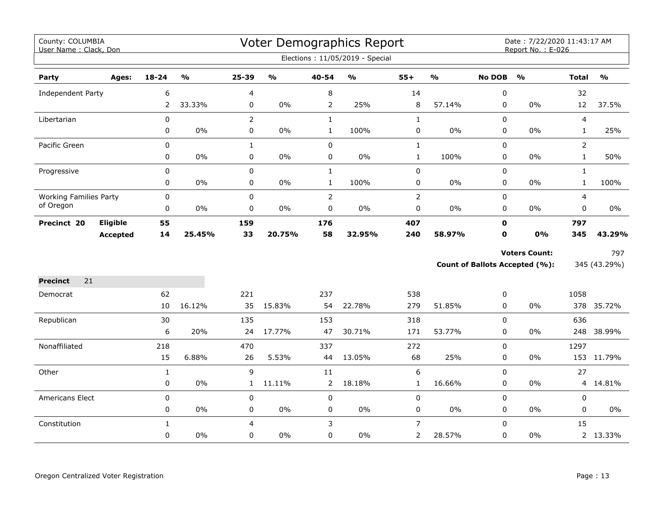| County: COLUMBIA<br>User Name: Clack, Don |                 |                |               |                |                             |                | Voter Demographics Report         |                |               |               | Date: 7/22/2020 11:43:17 AM<br>Report No.: E-026 |                |               |
|-------------------------------------------|-----------------|----------------|---------------|----------------|-----------------------------|----------------|-----------------------------------|----------------|---------------|---------------|--------------------------------------------------|----------------|---------------|
|                                           |                 |                |               |                |                             |                | Elections: 11/05/2019 - Special   |                |               |               |                                                  |                |               |
| Party                                     | Ages:           | $18 - 24$      | $\frac{1}{2}$ | 25-39          | $\mathsf{o}\!/\!\mathsf{o}$ | 40-54          | $\mathsf{o}\mathsf{v}_\mathsf{o}$ | $55+$          | $\frac{1}{2}$ | <b>No DOB</b> | $\frac{1}{2}$                                    | <b>Total</b>   | $\frac{1}{2}$ |
| Independent Party                         |                 | 6              |               | 4              |                             | 8              |                                   | 14             |               | 0             |                                                  | 32             |               |
|                                           |                 | $\overline{2}$ | 33.33%        | 0              | $0\%$                       | $\overline{2}$ | 25%                               | 8              | 57.14%        | 0             | 0%                                               | 12             | 37.5%         |
| Libertarian                               |                 | $\pmb{0}$      |               | $\overline{2}$ |                             | $\mathbf{1}$   |                                   | $\mathbf{1}$   |               | $\mathbf 0$   |                                                  | $\overline{4}$ |               |
|                                           |                 | $\pmb{0}$      | $0\%$         | 0              | $0\%$                       | $\mathbf{1}$   | 100%                              | 0              | $0\%$         | 0             | $0\%$                                            | $\mathbf{1}$   | 25%           |
| Pacific Green                             |                 | $\mathbf 0$    |               | $\mathbf{1}$   |                             | $\mathbf 0$    |                                   | $\mathbf{1}$   |               | $\mathbf 0$   |                                                  | $\overline{2}$ |               |
|                                           |                 | $\mathbf 0$    | $0\%$         | $\mathbf 0$    | $0\%$                       | 0              | $0\%$                             | $\mathbf{1}$   | 100%          | 0             | $0\%$                                            | $\mathbf{1}$   | 50%           |
| Progressive                               |                 | $\pmb{0}$      |               | 0              |                             | $\mathbf{1}$   |                                   | $\pmb{0}$      |               | 0             |                                                  | $\mathbf{1}$   |               |
|                                           |                 | $\pmb{0}$      | $0\%$         | 0              | $0\%$                       | $\mathbf{1}$   | 100%                              | 0              | 0%            | $\mathbf 0$   | $0\%$                                            | $\mathbf{1}$   | 100%          |
| <b>Working Families Party</b>             |                 | $\pmb{0}$      |               | 0              |                             | $\overline{2}$ |                                   | $\overline{2}$ |               | 0             |                                                  | $\overline{4}$ |               |
| of Oregon                                 |                 | 0              | 0%            | 0              | 0%                          | 0              | 0%                                | 0              | 0%            | 0             | 0%                                               | $\mathbf 0$    | 0%            |
| Precinct 20                               | Eligible        | 55             |               | 159            |                             | 176            |                                   | 407            |               | $\mathbf 0$   |                                                  | 797            |               |
|                                           | <b>Accepted</b> | 14             | 25.45%        | 33             | 20.75%                      | 58             | 32.95%                            | 240            | 58.97%        | $\mathbf{0}$  | 0%                                               | 345            | 43.29%        |
|                                           |                 |                |               |                |                             |                |                                   |                |               |               | <b>Voters Count:</b>                             |                | 797           |
|                                           |                 |                |               |                |                             |                |                                   |                |               |               | Count of Ballots Accepted (%):                   |                | 345 (43.29%)  |
| 21<br><b>Precinct</b>                     |                 |                |               |                |                             |                |                                   |                |               |               |                                                  |                |               |
| Democrat                                  |                 | 62             |               | 221            |                             | 237            |                                   | 538            |               | 0             |                                                  | 1058           |               |
|                                           |                 | 10             | 16.12%        | 35             | 15.83%                      | 54             | 22.78%                            | 279            | 51.85%        | $\mathbf 0$   | $0\%$                                            |                | 378 35.72%    |
| Republican                                |                 | 30             |               | 135            |                             | 153            |                                   | 318            |               | $\mathbf 0$   |                                                  | 636            |               |
|                                           |                 | 6              | 20%           | 24             | 17.77%                      | 47             | 30.71%                            | 171            | 53.77%        | $\mathbf 0$   | 0%                                               |                | 248 38.99%    |
| Nonaffiliated                             |                 | 218            |               | 470            |                             | 337            |                                   | 272            |               | $\mathbf 0$   |                                                  | 1297           |               |
|                                           |                 | 15             | 6.88%         | 26             | 5.53%                       | 44             | 13.05%                            | 68             | 25%           | $\mathbf 0$   | $0\%$                                            |                | 153 11.79%    |
| Other                                     |                 | $\mathbf{1}$   |               | 9              |                             | 11             |                                   | 6              |               | 0             |                                                  | 27             |               |
|                                           |                 | 0              | 0%            | $\mathbf{1}$   | 11.11%                      | 2              | 18.18%                            | $\mathbf{1}$   | 16.66%        | $\mathbf 0$   | $0\%$                                            |                | 4 14.81%      |
| Americans Elect                           |                 | $\mathbf 0$    |               | $\mathbf 0$    |                             | 0              |                                   | 0              |               | $\mathbf 0$   |                                                  | $\pmb{0}$      |               |
|                                           |                 | $\mathbf 0$    | $0\%$         | 0              | $0\%$                       | 0              | 0%                                | 0              | 0%            | $\mathbf 0$   | 0%                                               | $\mathbf 0$    | 0%            |
| Constitution                              |                 | $\mathbf{1}$   |               | 4              |                             | 3              |                                   | $\overline{7}$ |               | $\Omega$      |                                                  | 15             |               |
|                                           |                 | $\mathbf 0$    | 0%            | 0              | $0\%$                       | 0              | $0\%$                             | $\overline{2}$ | 28.57%        | 0             | 0%                                               |                | 2 13.33%      |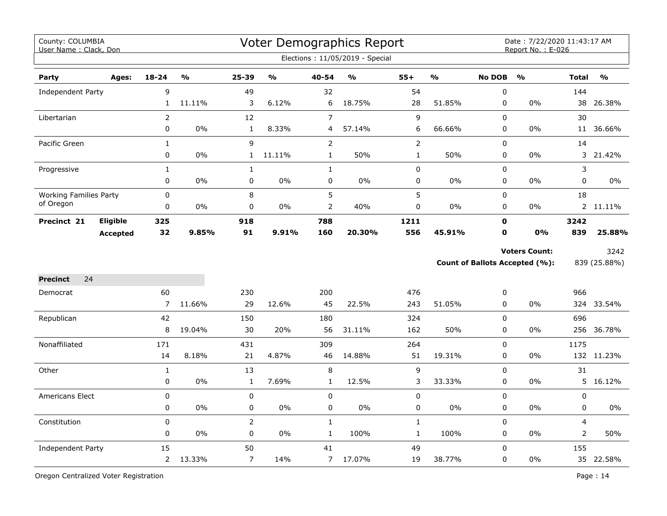| County: COLUMBIA<br>User Name: Clack, Don |                 |                |                         |                |               |                | Voter Demographics Report<br>Elections: 11/05/2019 - Special |              |               |               | Date: 7/22/2020 11:43:17 AM<br>Report No.: E-026       |                |                      |
|-------------------------------------------|-----------------|----------------|-------------------------|----------------|---------------|----------------|--------------------------------------------------------------|--------------|---------------|---------------|--------------------------------------------------------|----------------|----------------------|
| Party                                     | Ages:           | $18 - 24$      | $\mathbf{O}/\mathbf{O}$ | 25-39          | $\frac{1}{2}$ | 40-54          | $\mathbf{O}/\mathbf{o}$                                      | $55+$        | $\frac{1}{2}$ | <b>No DOB</b> | $\frac{0}{0}$                                          | <b>Total</b>   | $\frac{1}{2}$        |
| Independent Party                         |                 | 9              |                         | 49             |               | 32             |                                                              | 54           |               | 0             |                                                        | 144            |                      |
|                                           |                 | $\mathbf{1}$   | 11.11%                  | 3              | 6.12%         | 6              | 18.75%                                                       | 28           | 51.85%        | $\pmb{0}$     | $0\%$                                                  | 38             | 26.38%               |
| Libertarian                               |                 | $\overline{2}$ |                         | 12             |               | $\overline{7}$ |                                                              | $\mathsf 9$  |               | $\mathbf 0$   |                                                        | 30             |                      |
|                                           |                 | 0              | 0%                      | $\mathbf{1}$   | 8.33%         | 4              | 57.14%                                                       | 6            | 66.66%        | 0             | 0%                                                     | 11             | 36.66%               |
| Pacific Green                             |                 | $\mathbf{1}$   |                         | 9              |               | $\mathsf{2}$   |                                                              | $\mathsf{2}$ |               | $\pmb{0}$     |                                                        | 14             |                      |
|                                           |                 | 0              | 0%                      | $\mathbf{1}$   | 11.11%        | $\mathbf{1}$   | 50%                                                          | $\mathbf{1}$ | 50%           | 0             | 0%                                                     |                | 3 21.42%             |
| Progressive                               |                 | $\mathbf 1$    |                         | $\mathbf{1}$   |               | $\mathbf{1}$   |                                                              | $\mathsf 0$  |               | 0             |                                                        | 3              |                      |
|                                           |                 | 0              | $0\%$                   | $\mathsf 0$    | 0%            | $\pmb{0}$      | 0%                                                           | 0            | 0%            | 0             | $0\%$                                                  | 0              | $0\%$                |
| <b>Working Families Party</b>             |                 | 0              |                         | 8              |               | 5              |                                                              | 5            |               | $\pmb{0}$     |                                                        | 18             |                      |
| of Oregon                                 |                 | 0              | 0%                      | $\pmb{0}$      | 0%            | $\overline{2}$ | 40%                                                          | $\mathsf 0$  | 0%            | 0             | 0%                                                     |                | 2 11.11%             |
| Precinct 21                               | <b>Eligible</b> | 325            |                         | 918            |               | 788            |                                                              | 1211         |               | $\mathbf 0$   |                                                        | 3242           |                      |
|                                           | <b>Accepted</b> | 32             | 9.85%                   | 91             | 9.91%         | 160            | 20.30%                                                       | 556          | 45.91%        | 0             | 0%                                                     | 839            | 25.88%               |
|                                           |                 |                |                         |                |               |                |                                                              |              |               |               | <b>Voters Count:</b><br>Count of Ballots Accepted (%): |                | 3242<br>839 (25.88%) |
| 24<br><b>Precinct</b>                     |                 |                |                         |                |               |                |                                                              |              |               |               |                                                        |                |                      |
| Democrat                                  |                 | 60             |                         | 230            |               | 200            |                                                              | 476          |               | 0             |                                                        | 966            |                      |
|                                           |                 | 7              | 11.66%                  | 29             | 12.6%         | 45             | 22.5%                                                        | 243          | 51.05%        | $\mathbf 0$   | 0%                                                     |                | 324 33.54%           |
| Republican                                |                 | 42             |                         | 150            |               | 180            |                                                              | 324          |               | $\mathbf 0$   |                                                        | 696            |                      |
|                                           |                 | 8              | 19.04%                  | 30             | 20%           | 56             | 31.11%                                                       | 162          | 50%           | 0             | 0%                                                     |                | 256 36.78%           |
| Nonaffiliated                             |                 | 171            |                         | 431            |               | 309            |                                                              | 264          |               | $\mathbf 0$   |                                                        | 1175           |                      |
|                                           |                 | 14             | 8.18%                   | 21             | 4.87%         | 46             | 14.88%                                                       | 51           | 19.31%        | $\mathbf 0$   | 0%                                                     |                | 132 11.23%           |
| Other                                     |                 | $\mathbf{1}$   |                         | 13             |               | $\, 8$         |                                                              | $\mathsf 9$  |               | $\pmb{0}$     |                                                        | 31             |                      |
|                                           |                 | 0              | $0\%$                   | $\mathbf{1}$   | 7.69%         | $\mathbf{1}$   | 12.5%                                                        | 3            | 33.33%        | 0             | 0%                                                     | 5              | 16.12%               |
| <b>Americans Elect</b>                    |                 | $\mathbf 0$    |                         | $\mathbf 0$    |               | $\mathbf 0$    |                                                              | 0            |               | $\mathbf 0$   |                                                        | $\mathbf 0$    |                      |
|                                           |                 | 0              | 0%                      | $\pmb{0}$      | $0\%$         | $\pmb{0}$      | 0%                                                           | $\pmb{0}$    | $0\%$         | 0             | 0%                                                     | 0              | 0%                   |
| Constitution                              |                 | 0              |                         | $\overline{2}$ |               | $\mathbf{1}$   |                                                              | $\mathbf 1$  |               | $\pmb{0}$     |                                                        | 4              |                      |
|                                           |                 | $\mathbf 0$    | $0\%$                   | $\mathbf 0$    | $0\%$         | $\mathbf{1}$   | 100%                                                         | $\mathbf{1}$ | 100%          | 0             | 0%                                                     | $\overline{2}$ | 50%                  |
| Independent Party                         |                 | 15             |                         | 50             |               | 41             |                                                              | 49           |               | $\mathbf 0$   |                                                        | 155            |                      |
|                                           |                 | $\overline{2}$ | 13.33%                  | $\overline{7}$ | 14%           | $\overline{7}$ | 17.07%                                                       | 19           | 38.77%        | $\pmb{0}$     | 0%                                                     |                | 35 22.58%            |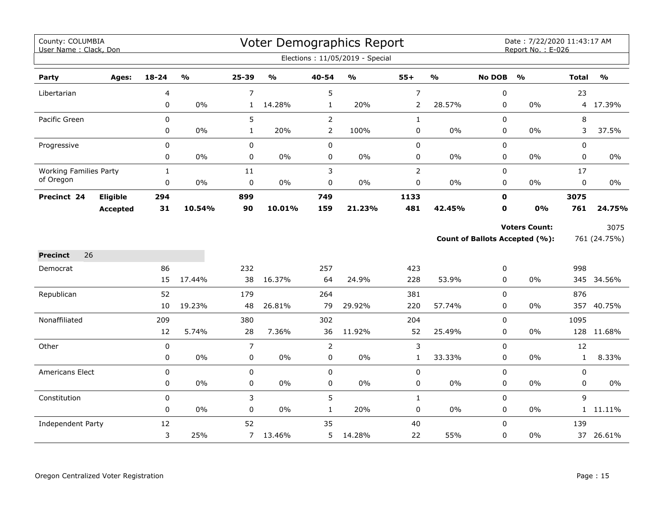| County: COLUMBIA<br>User Name: Clack, Don |                 |              |               |                |               |                | Voter Demographics Report       |                |               |               | Date: 7/22/2020 11:43:17 AM<br>Report No.: E-026 |              |               |
|-------------------------------------------|-----------------|--------------|---------------|----------------|---------------|----------------|---------------------------------|----------------|---------------|---------------|--------------------------------------------------|--------------|---------------|
|                                           |                 |              |               |                |               |                | Elections: 11/05/2019 - Special |                |               |               |                                                  |              |               |
| Party                                     | Ages:           | 18-24        | $\frac{1}{2}$ | 25-39          | $\frac{0}{0}$ | 40-54          | $\frac{0}{0}$                   | $55+$          | $\frac{1}{2}$ | <b>No DOB</b> | $\frac{1}{2}$                                    | <b>Total</b> | $\frac{1}{2}$ |
| Libertarian                               |                 | 4            |               | $\overline{7}$ |               | 5              |                                 | $\overline{7}$ |               | $\pmb{0}$     |                                                  | 23           |               |
|                                           |                 | 0            | 0%            | $\mathbf{1}$   | 14.28%        | $\mathbf{1}$   | 20%                             | $\overline{2}$ | 28.57%        | 0             | 0%                                               |              | 4 17.39%      |
| Pacific Green                             |                 | $\mathbf 0$  |               | 5              |               | $\overline{2}$ |                                 | $\mathbf{1}$   |               | 0             |                                                  | 8            |               |
|                                           |                 | 0            | 0%            | $\mathbf{1}$   | 20%           | $\overline{2}$ | 100%                            | $\pmb{0}$      | $0\%$         | 0             | 0%                                               | 3            | 37.5%         |
| Progressive                               |                 | $\mathbf 0$  |               | 0              |               | $\mathbf 0$    |                                 | $\pmb{0}$      |               | 0             |                                                  | 0            |               |
|                                           |                 | 0            | 0%            | $\mathbf 0$    | $0\%$         | $\mathbf 0$    | $0\%$                           | $\pmb{0}$      | $0\%$         | 0             | 0%                                               | 0            | $0\%$         |
| <b>Working Families Party</b>             |                 | $\mathbf{1}$ |               | 11             |               | 3              |                                 | $\mathbf 2$    |               | 0             |                                                  | 17           |               |
| of Oregon                                 |                 | 0            | 0%            | 0              | $0\%$         | $\pmb{0}$      | $0\%$                           | $\pmb{0}$      | $0\%$         | 0             | 0%                                               | 0            | $0\%$         |
| Precinct 24                               | Eligible        | 294          |               | 899            |               | 749            |                                 | 1133           |               | $\mathbf 0$   |                                                  | 3075         |               |
|                                           | <b>Accepted</b> | 31           | 10.54%        | 90             | 10.01%        | 159            | 21.23%                          | 481            | 42.45%        | $\mathbf 0$   | 0%                                               | 761          | 24.75%        |
|                                           |                 |              |               |                |               |                |                                 |                |               |               | <b>Voters Count:</b>                             |              | 3075          |
|                                           |                 |              |               |                |               |                |                                 |                |               |               | <b>Count of Ballots Accepted (%):</b>            |              | 761 (24.75%)  |
| 26<br><b>Precinct</b>                     |                 |              |               |                |               |                |                                 |                |               |               |                                                  |              |               |
| Democrat                                  |                 | 86           |               | 232            |               | 257            |                                 | 423            |               | 0             |                                                  | 998          |               |
|                                           |                 | 15           | 17.44%        | 38             | 16.37%        | 64             | 24.9%                           | 228            | 53.9%         | 0             | $0\%$                                            |              | 345 34.56%    |
| Republican                                |                 | 52           |               | 179            |               | 264            |                                 | 381            |               | $\Omega$      |                                                  | 876          |               |
|                                           |                 | 10           | 19.23%        | 48             | 26.81%        | 79             | 29.92%                          | 220            | 57.74%        | 0             | $0\%$                                            | 357          | 40.75%        |
| Nonaffiliated                             |                 | 209          |               | 380            |               | 302            |                                 | 204            |               | 0             |                                                  | 1095         |               |
|                                           |                 | 12           | 5.74%         | 28             | 7.36%         | 36             | 11.92%                          | 52             | 25.49%        | 0             | 0%                                               | 128          | 11.68%        |
| Other                                     |                 | 0            |               | $\overline{7}$ |               | 2              |                                 | 3              |               | 0             |                                                  | 12           |               |
|                                           |                 | 0            | 0%            | 0              | $0\%$         | 0              | $0\%$                           | $\mathbf{1}$   | 33.33%        | 0             | 0%                                               | $\mathbf{1}$ | 8.33%         |
| <b>Americans Elect</b>                    |                 | $\pmb{0}$    |               | $\mathbf 0$    |               | $\pmb{0}$      |                                 | $\pmb{0}$      |               | $\pmb{0}$     |                                                  | 0            |               |
|                                           |                 | 0            | $0\%$         | 0              | 0%            | 0              | $0\%$                           | 0              | $0\%$         | 0             | 0%                                               | 0            | $0\%$         |
| Constitution                              |                 | 0            |               | 3              |               | 5              |                                 | $\mathbf{1}$   |               | 0             |                                                  | 9            |               |
|                                           |                 | 0            | 0%            | 0              | 0%            | $\mathbf{1}$   | 20%                             | $\pmb{0}$      | $0\%$         | 0             | 0%                                               |              | 1 11.11%      |
| Independent Party                         |                 | 12           |               | 52             |               | 35             |                                 | 40             |               | $\Omega$      |                                                  | 139          |               |
|                                           |                 | 3            | 25%           | $\overline{7}$ | 13.46%        | 5              | 14.28%                          | 22             | 55%           | 0             | 0%                                               |              | 37 26.61%     |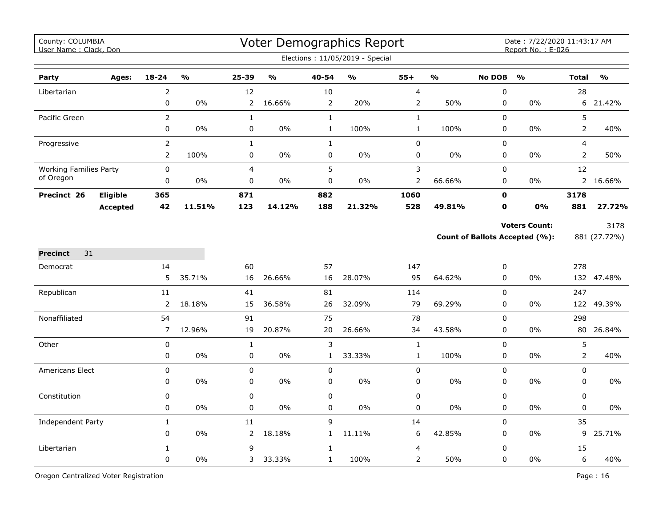| County: COLUMBIA<br>User Name: Clack, Don |                 |                            |        |                   |               |                          | Voter Demographics Report<br>Elections: 11/05/2019 - Special |                             |               |                | Date: 7/22/2020 11:43:17 AM<br>Report No.: E-026              |                     |                      |
|-------------------------------------------|-----------------|----------------------------|--------|-------------------|---------------|--------------------------|--------------------------------------------------------------|-----------------------------|---------------|----------------|---------------------------------------------------------------|---------------------|----------------------|
| Party                                     | Ages:           | $18 - 24$                  | %      | $25 - 39$         | $\frac{0}{0}$ | 40-54                    | $\frac{0}{0}$                                                | $55+$                       | $\frac{9}{6}$ | <b>No DOB</b>  | $\frac{0}{0}$                                                 | <b>Total</b>        | $\frac{0}{0}$        |
| Libertarian                               |                 | $\overline{2}$             |        | 12                |               | 10                       |                                                              | $\overline{\mathbf{4}}$     |               | 0              |                                                               | 28                  |                      |
|                                           |                 | 0                          | 0%     | 2                 | 16.66%        | $\overline{2}$           | 20%                                                          | 2                           | 50%           | 0              | 0%                                                            | 6                   | 21.42%               |
| Pacific Green                             |                 | $\overline{2}$             |        | $\mathbf{1}$      |               | $\mathbf{1}$             |                                                              | $\mathbf{1}$                |               | 0              |                                                               | 5                   |                      |
|                                           |                 | $\pmb{0}$                  | 0%     | 0                 | 0%            | $\mathbf 1$              | 100%                                                         | $\mathbf 1$                 | 100%          | 0              | 0%                                                            | $\overline{2}$      | 40%                  |
| Progressive                               |                 | $\overline{2}$             |        | $\mathbf{1}$      |               | $\mathbf{1}$             |                                                              | $\pmb{0}$                   |               | $\mathsf 0$    |                                                               | 4                   |                      |
|                                           |                 | $\overline{2}$             | 100%   | 0                 | 0%            | 0                        | 0%                                                           | 0                           | 0%            | 0              | 0%                                                            | $\overline{2}$      | 50%                  |
| <b>Working Families Party</b>             |                 | $\mathsf 0$                |        | 4                 |               | 5                        |                                                              | $\mathbf{3}$                |               | 0              |                                                               | 12                  |                      |
| of Oregon                                 |                 | $\pmb{0}$                  | 0%     | 0                 | 0%            | $\pmb{0}$                | 0%                                                           | $\overline{2}$              | 66.66%        | 0              | 0%                                                            |                     | 2 16.66%             |
| Precinct 26                               | Eligible        | 365                        |        | 871               |               | 882                      |                                                              | 1060                        |               | $\mathbf 0$    |                                                               | 3178                |                      |
|                                           | <b>Accepted</b> | 42                         | 11.51% | 123               | 14.12%        | 188                      | 21.32%                                                       | 528                         | 49.81%        | $\mathbf 0$    | <b>0%</b>                                                     | 881                 | 27.72%               |
|                                           |                 |                            |        |                   |               |                          |                                                              |                             |               |                | <b>Voters Count:</b><br><b>Count of Ballots Accepted (%):</b> |                     | 3178<br>881 (27.72%) |
| 31<br><b>Precinct</b>                     |                 |                            |        |                   |               |                          |                                                              |                             |               |                |                                                               |                     |                      |
| Democrat                                  |                 | 14                         |        | 60                |               | 57                       |                                                              | 147                         |               | 0              |                                                               | 278                 |                      |
|                                           |                 | 5                          | 35.71% | 16                | 26.66%        | 16                       | 28.07%                                                       | 95                          | 64.62%        | $\Omega$       | 0%                                                            |                     | 132 47.48%           |
| Republican                                |                 | $11\,$                     |        | 41                |               | 81                       |                                                              | 114                         |               | $\overline{0}$ |                                                               | 247                 |                      |
|                                           |                 | 2                          | 18.18% | 15                | 36.58%        | 26                       | 32.09%                                                       | 79                          | 69.29%        | 0              | 0%                                                            |                     | 122 49.39%           |
| Nonaffiliated                             |                 | 54                         |        | 91                |               | 75                       |                                                              | 78                          |               | 0              |                                                               | 298                 |                      |
|                                           |                 | $\overline{7}$             | 12.96% | 19                | 20.87%        | 20                       | 26.66%                                                       | 34                          | 43.58%        | 0              | 0%                                                            |                     | 80 26.84%            |
| Other                                     |                 | $\mathbf 0$<br>$\mathbf 0$ | 0%     | $\mathbf{1}$<br>0 | 0%            | 3<br>$\mathbf{1}$        | 33.33%                                                       | $\mathbf 1$<br>$\mathbf{1}$ | 100%          | 0<br>0         | $0\%$                                                         | 5<br>$\overline{2}$ | 40%                  |
|                                           |                 |                            |        |                   |               |                          |                                                              |                             |               |                |                                                               |                     |                      |
| <b>Americans Elect</b>                    |                 | $\mathbf 0$<br>$\pmb{0}$   | 0%     | 0<br>0            | 0%            | $\mathbf 0$<br>$\pmb{0}$ | 0%                                                           | 0<br>$\mathsf 0$            | 0%            | 0<br>0         | 0%                                                            | 0<br>0              | 0%                   |
| Constitution                              |                 | $\pmb{0}$                  |        | 0                 |               | $\mathsf 0$              |                                                              | $\pmb{0}$                   |               | 0              |                                                               | 0                   |                      |
|                                           |                 | $\pmb{0}$                  | $0\%$  | 0                 | 0%            | $\pmb{0}$                | 0%                                                           | $\pmb{0}$                   | $0\%$         | 0              | 0%                                                            | 0                   | 0%                   |
| Independent Party                         |                 | $\mathbf 1$                |        | 11                |               | 9                        |                                                              | 14                          |               | 0              |                                                               | 35                  |                      |
|                                           |                 | 0                          | $0\%$  | $\mathbf{2}$      | 18.18%        | $\mathbf{1}$             | 11.11%                                                       | 6                           | 42.85%        | 0              | $0\%$                                                         | 9                   | 25.71%               |
| Libertarian                               |                 | $\mathbf{1}$               |        | 9                 |               | $\mathbf{1}$             |                                                              | 4                           |               | 0              |                                                               | 15                  |                      |
|                                           |                 | $\pmb{0}$                  | 0%     | 3                 | 33.33%        | $\mathbf{1}$             | 100%                                                         | $\overline{2}$              | 50%           | 0              | 0%                                                            | 6                   | 40%                  |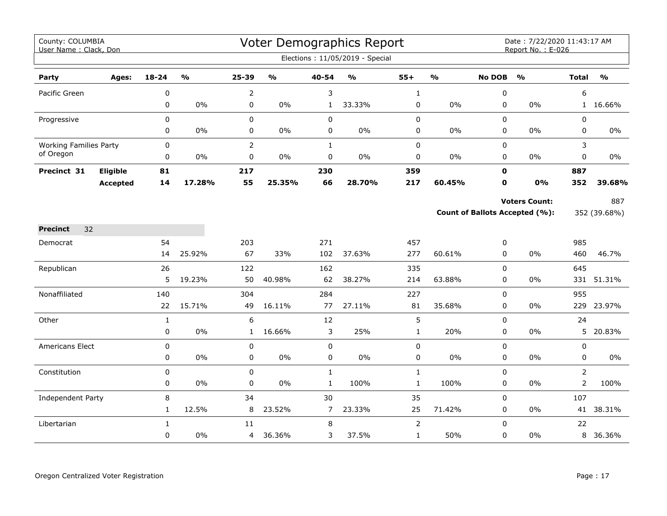| County: COLUMBIA<br>User Name: Clack, Don |                 |              |                         |                |                                   |                | <b>Voter Demographics Report</b> |                |                                   |               | Date: 7/22/2020 11:43:17 AM<br>Report No.: E-026 |                |               |
|-------------------------------------------|-----------------|--------------|-------------------------|----------------|-----------------------------------|----------------|----------------------------------|----------------|-----------------------------------|---------------|--------------------------------------------------|----------------|---------------|
|                                           |                 |              |                         |                |                                   |                | Elections: 11/05/2019 - Special  |                |                                   |               |                                                  |                |               |
| Party                                     | Ages:           | 18-24        | $\mathbf{O}/\mathbf{o}$ | 25-39          | $\mathsf{o}\mathsf{v}_\mathsf{o}$ | $40 - 54$      | $\mathbf{o}_{\mathbf{0}}$        | $55+$          | $\mathsf{o}\mathsf{v}_\mathsf{o}$ | <b>No DOB</b> | $\frac{0}{0}$                                    | <b>Total</b>   | $\frac{9}{0}$ |
| Pacific Green                             |                 | 0            |                         | $\overline{2}$ |                                   | 3              |                                  | $\mathbf{1}$   |                                   | 0             |                                                  | 6              |               |
|                                           |                 | 0            | $0\%$                   | $\pmb{0}$      | 0%                                | $\mathbf{1}$   | 33.33%                           | 0              | 0%                                | $\mathbf 0$   | 0%                                               |                | 1 16.66%      |
| Progressive                               |                 | 0            |                         | $\pmb{0}$      |                                   | $\pmb{0}$      |                                  | $\pmb{0}$      |                                   | 0             |                                                  | $\pmb{0}$      |               |
|                                           |                 | 0            | $0\%$                   | $\mathbf 0$    | $0\%$                             | 0              | 0%                               | 0              | 0%                                | 0             | $0\%$                                            | 0              | $0\%$         |
| <b>Working Families Party</b>             |                 | $\mathbf 0$  |                         | $\overline{2}$ |                                   | $\mathbf{1}$   |                                  | $\pmb{0}$      |                                   | 0             |                                                  | 3              |               |
| of Oregon                                 |                 | 0            | 0%                      | 0              | $0\%$                             | $\mathsf 0$    | 0%                               | $\pmb{0}$      | 0%                                | $\mathbf 0$   | 0%                                               | $\mathbf 0$    | $0\%$         |
| Precinct 31                               | Eligible        | 81           |                         | 217            |                                   | 230            |                                  | 359            |                                   | $\mathbf 0$   |                                                  | 887            |               |
|                                           | <b>Accepted</b> | 14           | 17.28%                  | 55             | 25.35%                            | 66             | 28.70%                           | 217            | 60.45%                            | $\mathbf 0$   | 0%                                               | 352            | 39.68%        |
|                                           |                 |              |                         |                |                                   |                |                                  |                |                                   |               | <b>Voters Count:</b>                             |                | 887           |
|                                           |                 |              |                         |                |                                   |                |                                  |                |                                   |               | Count of Ballots Accepted (%):                   |                | 352 (39.68%)  |
| <b>Precinct</b><br>32                     |                 |              |                         |                |                                   |                |                                  |                |                                   |               |                                                  |                |               |
| Democrat                                  |                 | 54           |                         | 203            |                                   | 271            |                                  | 457            |                                   | 0             |                                                  | 985            |               |
|                                           |                 | 14           | 25.92%                  | 67             | 33%                               | 102            | 37.63%                           | 277            | 60.61%                            | $\Omega$      | $0\%$                                            | 460            | 46.7%         |
| Republican                                |                 | 26           |                         | 122            |                                   | 162            |                                  | 335            |                                   | $\mathbf 0$   |                                                  | 645            |               |
|                                           |                 | 5            | 19.23%                  | 50             | 40.98%                            | 62             | 38.27%                           | 214            | 63.88%                            | 0             | 0%                                               |                | 331 51.31%    |
| Nonaffiliated                             |                 | 140          |                         | 304            |                                   | 284            |                                  | 227            |                                   | 0             |                                                  | 955            |               |
|                                           |                 | 22           | 15.71%                  | 49             | 16.11%                            | 77             | 27.11%                           | 81             | 35.68%                            | 0             | 0%                                               | 229            | 23.97%        |
| Other                                     |                 | $\mathbf{1}$ |                         | 6              |                                   | 12             |                                  | 5              |                                   | 0             |                                                  | 24             |               |
|                                           |                 | 0            | 0%                      | 1              | 16.66%                            | 3              | 25%                              | $\mathbf{1}$   | 20%                               | 0             | 0%                                               | 5              | 20.83%        |
| Americans Elect                           |                 | $\pmb{0}$    |                         | $\mathbf 0$    |                                   | $\mathbf 0$    |                                  | $\pmb{0}$      |                                   | 0             |                                                  | $\pmb{0}$      |               |
|                                           |                 | 0            | $0\%$                   | 0              | $0\%$                             | 0              | 0%                               | $\pmb{0}$      | 0%                                | 0             | 0%                                               | 0              | 0%            |
| Constitution                              |                 | $\pmb{0}$    |                         | $\mathbf 0$    |                                   | $\mathbf{1}$   |                                  | $\mathbf{1}$   |                                   | 0             |                                                  | 2              |               |
|                                           |                 | 0            | $0\%$                   | 0              | 0%                                | $\mathbf{1}$   | 100%                             | $\mathbf{1}$   | 100%                              | 0             | $0\%$                                            | $\overline{2}$ | 100%          |
| <b>Independent Party</b>                  |                 | 8            |                         | 34             |                                   | 30             |                                  | 35             |                                   | 0             |                                                  | 107            |               |
|                                           |                 | $\mathbf{1}$ | 12.5%                   | 8              | 23.52%                            | $\overline{7}$ | 23.33%                           | 25             | 71.42%                            | 0             | 0%                                               |                | 41 38.31%     |
| Libertarian                               |                 | $\mathbf{1}$ |                         | 11             |                                   | 8              |                                  | $\overline{2}$ |                                   | $\Omega$      |                                                  | 22             |               |
|                                           |                 | 0            | $0\%$                   | 4              | 36.36%                            | 3              | 37.5%                            | $\mathbf{1}$   | 50%                               | 0             | 0%                                               |                | 8 36.36%      |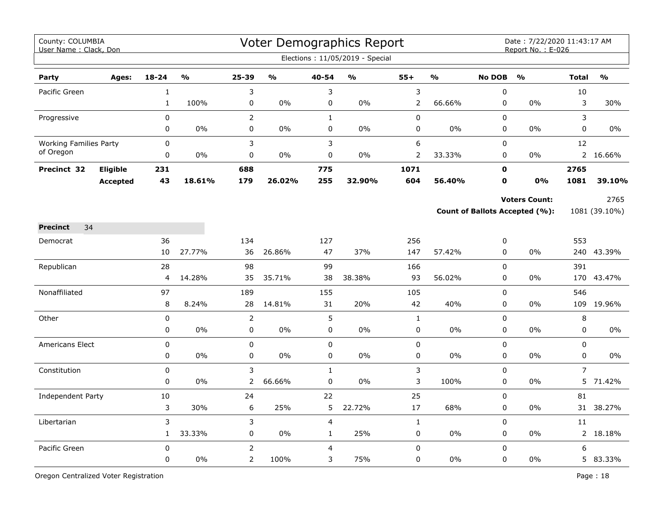| County: COLUMBIA<br>User Name: Clack, Don |                 |                  |               |                                  |               |                     | Voter Demographics Report<br>Elections: 11/05/2019 - Special |                           |               |               | Date: 7/22/2020 11:43:17 AM<br>Report No.: E-026 |                |               |
|-------------------------------------------|-----------------|------------------|---------------|----------------------------------|---------------|---------------------|--------------------------------------------------------------|---------------------------|---------------|---------------|--------------------------------------------------|----------------|---------------|
| Party                                     | Ages:           | $18 - 24$        | $\frac{1}{2}$ | $25 - 39$                        | $\frac{1}{2}$ | 40-54               | $\frac{0}{0}$                                                | $55+$                     | $\frac{1}{2}$ | <b>No DOB</b> | $\frac{1}{2}$                                    | <b>Total</b>   | $\frac{0}{0}$ |
| Pacific Green                             |                 | $\mathbf{1}$     |               | 3                                |               | 3                   |                                                              | $\mathsf 3$               |               | 0             |                                                  | 10             |               |
|                                           |                 | $1\,$            | 100%          | 0                                | 0%            | $\pmb{0}$           | 0%                                                           | $\mathbf 2$               | 66.66%        | 0             | 0%                                               | 3              | 30%           |
| Progressive                               |                 | 0                |               | $\overline{2}$                   |               | $\mathbf{1}$        |                                                              | $\pmb{0}$                 |               | 0             |                                                  | 3              |               |
|                                           |                 | 0                | 0%            | 0                                | 0%            | $\mathbf 0$         | 0%                                                           | $\pmb{0}$                 | 0%            | 0             | 0%                                               | $\mathbf 0$    | $0\%$         |
| <b>Working Families Party</b>             |                 | $\mathbf 0$      |               | 3                                |               | 3                   |                                                              | 6                         |               | 0             |                                                  | 12             |               |
| of Oregon                                 |                 | 0                | 0%            | 0                                | 0%            | 0                   | $0\%$                                                        | 2                         | 33.33%        | 0             | $0\%$                                            |                | 2 16.66%      |
| Precinct 32                               | <b>Eligible</b> | 231              |               | 688                              |               | 775                 |                                                              | 1071                      |               | $\mathbf 0$   |                                                  | 2765           |               |
|                                           | <b>Accepted</b> | 43               | 18.61%        | 179                              | 26.02%        | 255                 | 32.90%                                                       | 604                       | 56.40%        | $\mathbf 0$   | 0%                                               | 1081           | 39.10%        |
|                                           |                 |                  |               |                                  |               |                     |                                                              |                           |               |               | <b>Voters Count:</b>                             |                | 2765          |
|                                           |                 |                  |               |                                  |               |                     |                                                              |                           |               |               | Count of Ballots Accepted (%):                   |                | 1081 (39.10%) |
| 34<br><b>Precinct</b>                     |                 |                  |               |                                  |               |                     |                                                              |                           |               |               |                                                  |                |               |
| Democrat                                  |                 | 36               |               | 134                              |               | 127                 |                                                              | 256                       |               | 0             |                                                  | 553            |               |
|                                           |                 | 10               | 27.77%        | 36                               | 26.86%        | 47                  | 37%                                                          | 147                       | 57.42%        | 0             | $0\%$                                            |                | 240 43.39%    |
| Republican                                |                 | 28               |               | 98                               |               | 99                  |                                                              | 166                       |               | $\mathbf 0$   |                                                  | 391            |               |
|                                           |                 | $\overline{4}$   | 14.28%        | 35                               | 35.71%        | 38                  | 38.38%                                                       | 93                        | 56.02%        | $\mathbf 0$   | 0%                                               |                | 170 43.47%    |
| Nonaffiliated                             |                 | 97               |               | 189                              |               | 155                 |                                                              | 105                       |               | $\pmb{0}$     |                                                  | 546            |               |
|                                           |                 | 8                | 8.24%         | 28                               | 14.81%        | 31                  | 20%                                                          | 42                        | 40%           | 0             | 0%                                               |                | 109 19.96%    |
| Other                                     |                 | $\pmb{0}$        |               | $\overline{2}$                   |               | 5                   |                                                              | $\mathbf 1$               |               | 0             |                                                  | 8              |               |
|                                           |                 | $\mathbf 0$      | 0%            | 0                                | 0%            | $\mathbf 0$         | 0%                                                           | 0                         | 0%            | 0             | $0\%$                                            | 0              | $0\%$         |
| <b>Americans Elect</b>                    |                 | $\mathbf 0$      |               | 0                                |               | $\mathbf 0$         |                                                              | $\mathbf 0$               |               | 0             |                                                  | 0              |               |
|                                           |                 | 0                | 0%            | 0                                | 0%            | $\mathsf 0$         | 0%                                                           | $\pmb{0}$                 | 0%            | 0             | 0%                                               | $\mathbf 0$    | 0%            |
| Constitution                              |                 | $\pmb{0}$        |               | 3                                |               | $\mathbf{1}$        |                                                              | 3                         |               | 0             |                                                  | $\overline{7}$ |               |
|                                           |                 | 0                | 0%            | $\overline{2}$                   | 66.66%        | $\pmb{0}$           | 0%                                                           | $\mathsf 3$               | 100%          | 0             | 0%                                               | 5              | 71.42%        |
| <b>Independent Party</b>                  |                 | 10               |               | 24                               |               | 22                  |                                                              | 25                        |               | $\Omega$      |                                                  | 81             |               |
|                                           |                 | 3                | 30%           | 6                                | 25%           | 5                   | 22.72%                                                       | 17                        | 68%           | 0             | $0\%$                                            | 31             | 38.27%        |
| Libertarian                               |                 | 3                | 33.33%        | 3                                |               | $\overline{4}$      | 25%                                                          | $\mathbf{1}$<br>$\pmb{0}$ | $0\%$         | 0<br>0        |                                                  | 11             | 2 18.18%      |
|                                           |                 | $\mathbf{1}$     |               | 0                                | $0\%$         | $\mathbf{1}$        |                                                              |                           |               |               | 0%                                               |                |               |
| Pacific Green                             |                 | $\mathsf 0$<br>0 | 0%            | $\overline{2}$<br>$\overline{2}$ | 100%          | $\overline{4}$<br>3 | 75%                                                          | $\pmb{0}$<br>$\pmb{0}$    | 0%            | 0<br>0        | 0%                                               | 6              | 5 83.33%      |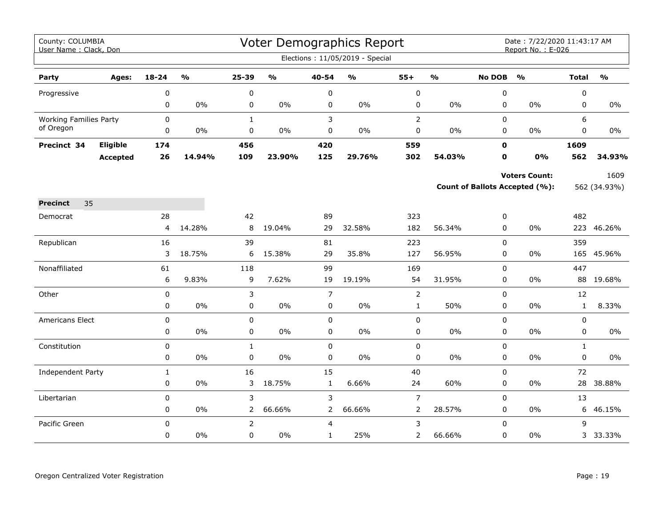| County: COLUMBIA<br>User Name: Clack, Don |          |                   |               |                           |               |                  | Voter Demographics Report       |                |               |                  | Date: 7/22/2020 11:43:17 AM<br>Report No.: E-026 |                   |               |
|-------------------------------------------|----------|-------------------|---------------|---------------------------|---------------|------------------|---------------------------------|----------------|---------------|------------------|--------------------------------------------------|-------------------|---------------|
|                                           |          |                   |               |                           |               |                  | Elections: 11/05/2019 - Special |                |               |                  |                                                  |                   |               |
| Party                                     | Ages:    | 18-24             | $\frac{1}{2}$ | 25-39                     | $\frac{0}{0}$ | 40-54            | $\frac{0}{0}$                   | $55+$          | $\frac{9}{6}$ | <b>No DOB</b>    | $\frac{0}{0}$                                    | <b>Total</b>      | $\frac{0}{0}$ |
| Progressive                               |          | 0                 |               | 0                         |               | 0                |                                 | 0              |               | 0                |                                                  | 0                 |               |
|                                           |          | 0                 | 0%            | 0                         | 0%            | 0                | 0%                              | 0              | $0\%$         | 0                | 0%                                               | 0                 | $0\%$         |
| <b>Working Families Party</b>             |          | 0                 |               | $\mathbf{1}$              |               | 3                |                                 | $\overline{2}$ |               | 0                |                                                  | 6                 |               |
| of Oregon                                 |          | 0                 | 0%            | $\pmb{0}$                 | $0\%$         | $\pmb{0}$        | $0\%$                           | 0              | $0\%$         | 0                | 0%                                               | 0                 | 0%            |
| Precinct 34                               | Eligible | 174               |               | 456                       |               | 420              |                                 | 559            |               | $\mathbf{0}$     |                                                  | 1609              |               |
|                                           | Accepted | 26                | 14.94%        | 109                       | 23.90%        | 125              | 29.76%                          | 302            | 54.03%        | O                | 0%                                               | 562               | 34.93%        |
|                                           |          |                   |               |                           |               |                  |                                 |                |               |                  | <b>Voters Count:</b>                             |                   | 1609          |
|                                           |          |                   |               |                           |               |                  |                                 |                |               |                  | <b>Count of Ballots Accepted (%):</b>            |                   | 562 (34.93%)  |
| <b>Precinct</b><br>35                     |          |                   |               |                           |               |                  |                                 |                |               |                  |                                                  |                   |               |
| Democrat                                  |          | 28                |               | 42                        |               | 89               |                                 | 323            |               | 0                |                                                  | 482               |               |
|                                           |          | 4                 | 14.28%        | 8                         | 19.04%        | 29               | 32.58%                          | 182            | 56.34%        | 0                | 0%                                               |                   | 223 46.26%    |
| Republican                                |          | 16                |               | 39                        |               | 81               |                                 | 223            |               | $\pmb{0}$        |                                                  | 359               |               |
|                                           |          | 3                 | 18.75%        | 6                         | 15.38%        | 29               | 35.8%                           | 127            | 56.95%        | 0                | 0%                                               | 165               | 45.96%        |
| Nonaffiliated                             |          | 61                |               | 118                       |               | 99               |                                 | 169            |               | 0                |                                                  | 447               |               |
|                                           |          | 6                 | 9.83%         | 9                         | 7.62%         | 19               | 19.19%                          | 54             | 31.95%        | 0                | 0%                                               |                   | 88 19.68%     |
| Other                                     |          | 0                 |               | 3                         |               | $\overline{7}$   |                                 | $\overline{2}$ |               | $\mathbf 0$      |                                                  | 12                |               |
|                                           |          | 0                 | $0\%$         | $\pmb{0}$                 | $0\%$         | $\pmb{0}$        | $0\%$                           | $\mathbf 1$    | 50%           | 0                | 0%                                               | $\mathbf{1}$      | 8.33%         |
| Americans Elect                           |          | $\mathbf 0$       |               | $\mathbf 0$               |               | $\mathbf 0$      |                                 | 0              |               | 0                |                                                  | 0                 |               |
|                                           |          | 0                 | $0\%$         | 0                         | $0\%$         | $\mathbf 0$      | $0\%$                           | 0              | $0\%$         | 0                | 0%                                               | 0                 | $0\%$         |
| Constitution                              |          | 0<br>0            | $0\%$         | $\mathbf{1}$<br>$\pmb{0}$ | $0\%$         | $\mathbf 0$<br>0 | $0\%$                           | $\pmb{0}$<br>0 | $0\%$         | 0<br>$\mathbf 0$ | 0%                                               | $\mathbf{1}$<br>0 | $0\%$         |
|                                           |          |                   |               | 16                        |               | 15               |                                 |                |               |                  |                                                  | 72                |               |
| Independent Party                         |          | $\mathbf{1}$<br>0 | $0\%$         | 3                         | 18.75%        | $\mathbf{1}$     | 6.66%                           | 40<br>24       | 60%           | 0<br>0           | 0%                                               | 28                | 38.88%        |
| Libertarian                               |          | 0                 |               | 3                         |               | 3                |                                 | $\overline{7}$ |               | $\mathbf 0$      |                                                  | 13                |               |
|                                           |          | 0                 | 0%            | $\overline{2}$            | 66.66%        | $\overline{2}$   | 66.66%                          | $\overline{2}$ | 28.57%        | 0                | 0%                                               | 6                 | 46.15%        |
| Pacific Green                             |          | 0                 |               | $\overline{2}$            |               | 4                |                                 | 3              |               | $\pmb{0}$        |                                                  | 9                 |               |
|                                           |          | 0                 | $0\%$         | 0                         | $0\%$         | $\mathbf{1}$     | 25%                             | 2              | 66.66%        | 0                | 0%                                               |                   | 3 33.33%      |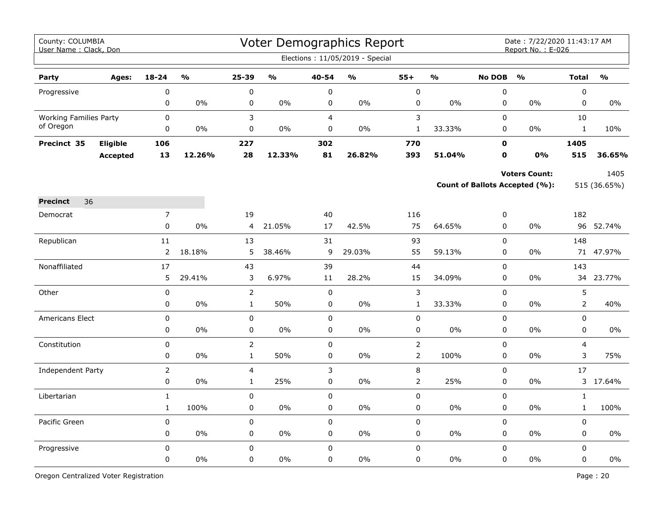| County: COLUMBIA<br>User Name: Clack, Don |                 |                |                         |                |        |                | Voter Demographics Report       |                |               |               | Date: 7/22/2020 11:43:17 AM<br>Report No.: E-026 |                |              |
|-------------------------------------------|-----------------|----------------|-------------------------|----------------|--------|----------------|---------------------------------|----------------|---------------|---------------|--------------------------------------------------|----------------|--------------|
|                                           |                 |                |                         |                |        |                | Elections: 11/05/2019 - Special |                |               |               |                                                  |                |              |
| Party                                     | Ages:           | $18 - 24$      | $\mathbf{O}/\mathbf{O}$ | 25-39          | O/2    | 40-54          | $\frac{1}{2}$                   | $55+$          | $\frac{0}{0}$ | <b>No DOB</b> | $\mathbf{O}/\mathbf{O}$                          | <b>Total</b>   | O/2          |
| Progressive                               |                 | 0              |                         | $\pmb{0}$      |        | $\pmb{0}$      |                                 | $\pmb{0}$      |               | $\pmb{0}$     |                                                  | $\pmb{0}$      |              |
|                                           |                 | 0              | 0%                      | 0              | 0%     | 0              | 0%                              | $\pmb{0}$      | $0\%$         | $\mathbf 0$   | $0\%$                                            | $\mathbf 0$    | $0\%$        |
| <b>Working Families Party</b>             |                 | $\mathbf 0$    |                         | 3              |        | $\overline{4}$ |                                 | 3              |               | $\Omega$      |                                                  | 10             |              |
| of Oregon                                 |                 | 0              | $0\%$                   | 0              | $0\%$  | 0              | $0\%$                           | $\mathbf{1}$   | 33.33%        | 0             | $0\%$                                            | $\mathbf{1}$   | 10%          |
| Precinct 35                               | Eligible        | 106            |                         | 227            |        | 302            |                                 | 770            |               | 0             |                                                  | 1405           |              |
|                                           | <b>Accepted</b> | 13             | 12.26%                  | 28             | 12.33% | 81             | 26.82%                          | 393            | 51.04%        | $\mathbf o$   | 0%                                               | 515            | 36.65%       |
|                                           |                 |                |                         |                |        |                |                                 |                |               |               | <b>Voters Count:</b>                             |                | 1405         |
|                                           |                 |                |                         |                |        |                |                                 |                |               |               | Count of Ballots Accepted (%):                   |                | 515 (36.65%) |
| 36<br><b>Precinct</b>                     |                 |                |                         |                |        |                |                                 |                |               |               |                                                  |                |              |
| Democrat                                  |                 | $\overline{7}$ |                         | 19             |        | 40             |                                 | 116            |               | 0             |                                                  | 182            |              |
|                                           |                 | $\pmb{0}$      | 0%                      | $\overline{4}$ | 21.05% | 17             | 42.5%                           | 75             | 64.65%        | $\mathsf 0$   | 0%                                               |                | 96 52.74%    |
| Republican                                |                 | $11\,$         |                         | 13             |        | 31             |                                 | 93             |               | $\mathsf 0$   |                                                  | 148            |              |
|                                           |                 | $\overline{2}$ | 18.18%                  | 5              | 38.46% | 9              | 29.03%                          | 55             | 59.13%        | 0             | 0%                                               |                | 71 47.97%    |
| Nonaffiliated                             |                 | 17             |                         | 43             |        | 39             |                                 | 44             |               | $\mathsf 0$   |                                                  | 143            |              |
|                                           |                 | 5              | 29.41%                  | 3              | 6.97%  | 11             | 28.2%                           | 15             | 34.09%        | $\mathbf 0$   | $0\%$                                            | 34             | 23.77%       |
| Other                                     |                 | 0              |                         | $\overline{2}$ |        | $\mathbf 0$    |                                 | $\mathsf{3}$   |               | 0             |                                                  | 5              |              |
|                                           |                 | $\pmb{0}$      | 0%                      | $\mathbf{1}$   | 50%    | $\mathbf 0$    | 0%                              | $1\,$          | 33.33%        | $\pmb{0}$     | 0%                                               | $\overline{2}$ | 40%          |
| <b>Americans Elect</b>                    |                 | 0              |                         | $\pmb{0}$      |        | $\mathbf 0$    |                                 | $\pmb{0}$      |               | 0             |                                                  | 0              |              |
|                                           |                 | 0              | 0%                      | 0              | 0%     | $\mathbf 0$    | 0%                              | 0              | $0\%$         | $\mathbf 0$   | $0\%$                                            | $\mathbf 0$    | 0%           |
| Constitution                              |                 | 0              |                         | $\overline{2}$ |        | $\mathbf 0$    |                                 | $\overline{2}$ |               | $\Omega$      |                                                  | 4              |              |
|                                           |                 | 0              | $0\%$                   | $\mathbf{1}$   | 50%    | $\mathbf 0$    | 0%                              | $\overline{2}$ | 100%          | $\mathbf 0$   | 0%                                               | 3              | 75%          |
| Independent Party                         |                 | $\overline{2}$ |                         | 4              |        | $\mathsf{3}$   |                                 | $\,8\,$        |               | $\mathsf 0$   |                                                  | 17             |              |
|                                           |                 | 0              | 0%                      | $\mathbf{1}$   | 25%    | $\pmb{0}$      | 0%                              | $\overline{2}$ | 25%           | $\pmb{0}$     | 0%                                               | 3              | 17.64%       |
| Libertarian                               |                 | $1\,$          |                         | $\pmb{0}$      |        | $\mathsf 0$    |                                 | $\pmb{0}$      |               | $\pmb{0}$     |                                                  | $\mathbf{1}$   |              |
|                                           |                 | $\mathbf{1}$   | 100%                    | 0              | 0%     | $\mathbf 0$    | $0\%$                           | $\pmb{0}$      | $0\%$         | $\mathbf 0$   | 0%                                               | $\mathbf{1}$   | 100%         |
| Pacific Green                             |                 | $\mathsf 0$    |                         | 0              |        | $\mathsf 0$    |                                 | $\pmb{0}$      |               | $\mathsf 0$   |                                                  | $\mathbf 0$    |              |
|                                           |                 | 0              | $0\%$                   | 0              | $0\%$  | 0              | $0\%$                           | 0              | 0%            | 0             | 0%                                               | 0              | $0\%$        |
| Progressive                               |                 | 0              |                         | $\mathsf 0$    |        | $\mathsf 0$    |                                 | $\pmb{0}$      |               | $\mathsf 0$   |                                                  | $\mathsf 0$    |              |
|                                           |                 | 0              | 0%                      | 0              | 0%     | $\mathbf 0$    | 0%                              | 0              | 0%            | $\pmb{0}$     | 0%                                               | $\pmb{0}$      | $0\%$        |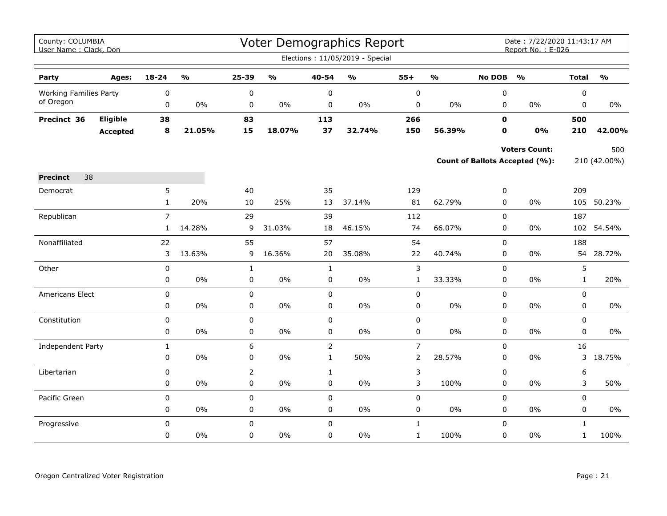| County: COLUMBIA<br>User Name: Clack, Don |                 |                |                         |                |                         |                | Voter Demographics Report         |                |                         |               | Date: 7/22/2020 11:43:17 AM<br>Report No.: E-026 |              |                                   |
|-------------------------------------------|-----------------|----------------|-------------------------|----------------|-------------------------|----------------|-----------------------------------|----------------|-------------------------|---------------|--------------------------------------------------|--------------|-----------------------------------|
|                                           |                 |                |                         |                |                         |                | Elections: 11/05/2019 - Special   |                |                         |               |                                                  |              |                                   |
| Party                                     | Ages:           | $18 - 24$      | $\mathbf{0}/\mathbf{0}$ | 25-39          | $\mathbf{O}/\mathbf{o}$ | 40-54          | $\mathsf{o}\mathsf{v}_\mathsf{o}$ | $55+$          | $\mathbf{O}/\mathbf{o}$ | <b>No DOB</b> | $\mathbf{O}/\mathbf{o}$                          | <b>Total</b> | $\mathsf{o}\mathsf{v}_\mathsf{o}$ |
| <b>Working Families Party</b>             |                 | 0              |                         | $\pmb{0}$      |                         | $\pmb{0}$      |                                   | $\pmb{0}$      |                         | 0             |                                                  | 0            |                                   |
| of Oregon                                 |                 | 0              | 0%                      | 0              | 0%                      | 0              | 0%                                | 0              | $0\%$                   | $\mathbf 0$   | $0\%$                                            | 0            | $0\%$                             |
| Precinct 36                               | Eligible        | 38             |                         | 83             |                         | 113            |                                   | 266            |                         | $\mathbf 0$   |                                                  | 500          |                                   |
|                                           | <b>Accepted</b> | 8              | 21.05%                  | 15             | 18.07%                  | 37             | 32.74%                            | 150            | 56.39%                  | 0             | 0%                                               | 210          | 42.00%                            |
|                                           |                 |                |                         |                |                         |                |                                   |                |                         |               | <b>Voters Count:</b>                             |              | 500                               |
|                                           |                 |                |                         |                |                         |                |                                   |                |                         |               | <b>Count of Ballots Accepted (%):</b>            |              | 210 (42.00%)                      |
| 38<br><b>Precinct</b>                     |                 |                |                         |                |                         |                |                                   |                |                         |               |                                                  |              |                                   |
| Democrat                                  |                 | 5              |                         | 40             |                         | 35             |                                   | 129            |                         | $\pmb{0}$     |                                                  | 209          |                                   |
|                                           |                 | $\mathbf{1}$   | 20%                     | 10             | 25%                     | 13             | 37.14%                            | 81             | 62.79%                  | 0             | $0\%$                                            |              | 105 50.23%                        |
| Republican                                |                 | $\overline{7}$ |                         | 29             |                         | 39             |                                   | 112            |                         | $\mathbf 0$   |                                                  | 187          |                                   |
|                                           |                 | $\mathbf{1}$   | 14.28%                  | 9              | 31.03%                  | 18             | 46.15%                            | 74             | 66.07%                  | $\mathbf 0$   | $0\%$                                            | 102          | 54.54%                            |
| Nonaffiliated                             |                 | 22             |                         | 55             |                         | 57             |                                   | 54             |                         | 0             |                                                  | 188          |                                   |
|                                           |                 | 3              | 13.63%                  | 9              | 16.36%                  | 20             | 35.08%                            | 22             | 40.74%                  | $\mathbf 0$   | $0\%$                                            | 54           | 28.72%                            |
| Other                                     |                 | $\pmb{0}$      |                         | $\mathbf{1}$   |                         | $\mathbf{1}$   |                                   | 3              |                         | $\mathsf 0$   |                                                  | 5            |                                   |
|                                           |                 | 0              | 0%                      | $\pmb{0}$      | 0%                      | 0              | $0\%$                             | $\mathbf{1}$   | 33.33%                  | $\pmb{0}$     | $0\%$                                            | $\mathbf{1}$ | 20%                               |
| Americans Elect                           |                 | $\mathbf 0$    |                         | 0              |                         | $\mathbf 0$    |                                   | $\pmb{0}$      |                         | $\mathbf 0$   |                                                  | $\mathbf 0$  |                                   |
|                                           |                 | $\pmb{0}$      | 0%                      | $\pmb{0}$      | 0%                      | $\pmb{0}$      | $0\%$                             | 0              | $0\%$                   | 0             | $0\%$                                            | 0            | $0\%$                             |
| Constitution                              |                 | 0              |                         | $\mathbf 0$    |                         | $\mathbf 0$    |                                   | $\pmb{0}$      |                         | $\mathbf 0$   |                                                  | $\mathbf 0$  |                                   |
|                                           |                 | $\mathbf 0$    | 0%                      | 0              | 0%                      | $\mathbf 0$    | $0\%$                             | 0              | $0\%$                   | $\mathbf 0$   | $0\%$                                            | $\mathbf 0$  | 0%                                |
| Independent Party                         |                 | $\mathbf{1}$   |                         | 6              |                         | $\overline{2}$ |                                   | $\overline{7}$ |                         | $\mathbf 0$   |                                                  | 16           |                                   |
|                                           |                 | 0              | 0%                      | 0              | $0\%$                   | $\mathbf{1}$   | 50%                               | $\overline{2}$ | 28.57%                  | 0             | $0\%$                                            |              | 3 18.75%                          |
| Libertarian                               |                 | 0              |                         | $\overline{2}$ |                         | $\mathbf{1}$   |                                   | 3              |                         | $\mathbf 0$   |                                                  | 6            |                                   |
|                                           |                 | 0              | 0%                      | $\pmb{0}$      | 0%                      | $\pmb{0}$      | 0%                                | 3              | 100%                    | $\pmb{0}$     | $0\%$                                            | 3            | 50%                               |
| Pacific Green                             |                 | $\mathbf 0$    |                         | 0              |                         | $\mathbf 0$    |                                   | 0              |                         | $\mathsf 0$   |                                                  | $\mathsf 0$  |                                   |
|                                           |                 | 0              | 0%                      | 0              | $0\%$                   | $\pmb{0}$      | $0\%$                             | 0              | $0\%$                   | $\pmb{0}$     | $0\%$                                            | $\pmb{0}$    | $0\%$                             |
| Progressive                               |                 | 0              |                         | $\mathbf 0$    |                         | $\mathbf 0$    |                                   | $\mathbf{1}$   |                         | $\mathsf 0$   |                                                  | $\mathbf{1}$ |                                   |
|                                           |                 | $\Omega$       | $0\%$                   | $\Omega$       | $0\%$                   | $\Omega$       | $0\%$                             | $\mathbf 1$    | 100%                    | $\pmb{0}$     | 0%                                               | $\mathbf{1}$ | 100%                              |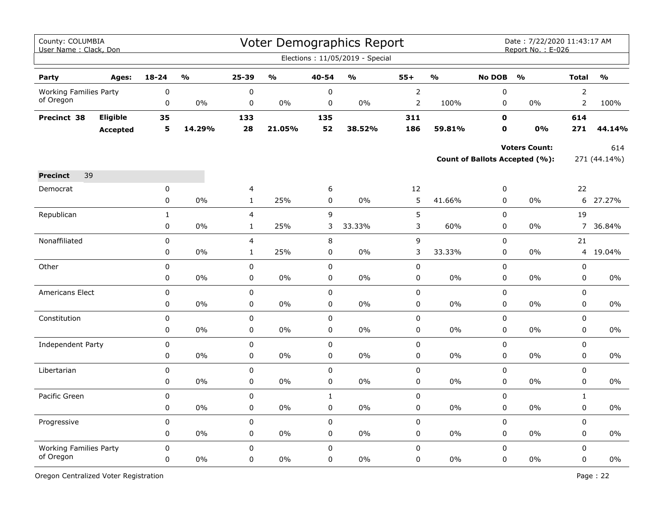| County: COLUMBIA<br>User Name: Clack, Don |                 |              |        |                |                         |                   | Voter Demographics Report<br>Elections: 11/05/2019 - Special |                |                         |                          | Date: 7/22/2020 11:43:17 AM<br>Report No.: E-026 |                |               |
|-------------------------------------------|-----------------|--------------|--------|----------------|-------------------------|-------------------|--------------------------------------------------------------|----------------|-------------------------|--------------------------|--------------------------------------------------|----------------|---------------|
|                                           |                 |              |        |                |                         |                   |                                                              |                |                         |                          |                                                  |                |               |
| Party                                     | Ages:           | $18 - 24$    | %      | 25-39          | $\mathbf{O}/\mathbf{O}$ | 40-54             | $\frac{1}{2}$                                                | $55+$          | $\mathbf{O}/\mathbf{O}$ | <b>No DOB</b>            | $\frac{1}{2}$                                    | <b>Total</b>   | $\frac{1}{2}$ |
| <b>Working Families Party</b>             |                 | $\mathbf 0$  |        | 0              |                         | $\mathbf 0$       |                                                              | $\overline{2}$ |                         | $\pmb{0}$                |                                                  | $\overline{2}$ |               |
| of Oregon                                 |                 | 0            | $0\%$  | $\pmb{0}$      | 0%                      | 0                 | 0%                                                           | $\overline{2}$ | 100%                    | 0                        | $0\%$                                            | $\overline{2}$ | 100%          |
| Precinct 38                               | Eligible        | 35           |        | 133            |                         | 135               |                                                              | 311            |                         | $\mathbf 0$              |                                                  | 614            |               |
|                                           | <b>Accepted</b> | 5            | 14.29% | 28             | 21.05%                  | 52                | 38.52%                                                       | 186            | 59.81%                  | 0                        | 0%                                               | 271            | 44.14%        |
|                                           |                 |              |        |                |                         |                   |                                                              |                |                         |                          | <b>Voters Count:</b>                             |                | 614           |
|                                           |                 |              |        |                |                         |                   |                                                              |                |                         |                          | Count of Ballots Accepted (%):                   |                | 271 (44.14%)  |
|                                           |                 |              |        |                |                         |                   |                                                              |                |                         |                          |                                                  |                |               |
| 39<br><b>Precinct</b>                     |                 |              |        |                |                         |                   |                                                              |                |                         |                          |                                                  |                |               |
| Democrat                                  |                 | 0<br>0       | 0%     | 4              | 25%                     | 6<br>$\mathsf{O}$ | 0%                                                           | 12<br>5        |                         | $\pmb{0}$<br>$\mathsf 0$ | $0\%$                                            | 22             | 27.27%        |
|                                           |                 |              |        | $\mathbf 1$    |                         |                   |                                                              |                | 41.66%                  |                          |                                                  | 6              |               |
| Republican                                |                 | $\mathbf{1}$ |        | $\overline{4}$ |                         | 9                 |                                                              | 5              |                         | $\mathbf 0$              |                                                  | 19             |               |
|                                           |                 | $\mathbf 0$  | 0%     | $\mathbf{1}$   | 25%                     | 3                 | 33.33%                                                       | 3              | 60%                     | $\mathbf 0$              | $0\%$                                            |                | 7 36.84%      |
| Nonaffiliated                             |                 | 0            |        | 4              |                         | 8                 |                                                              | 9              |                         | $\mathsf 0$              |                                                  | 21             |               |
|                                           |                 | 0            | 0%     | $\mathbf{1}$   | 25%                     | 0                 | 0%                                                           | 3              | 33.33%                  | $\pmb{0}$                | 0%                                               | 4              | 19.04%        |
| Other                                     |                 | 0            |        | 0              |                         | 0                 |                                                              | $\pmb{0}$      |                         | $\pmb{0}$                |                                                  | $\pmb{0}$      |               |
|                                           |                 | 0            | 0%     | 0              | 0%                      | $\mathbf 0$       | 0%                                                           | 0              | $0\%$                   | $\pmb{0}$                | $0\%$                                            | $\pmb{0}$      | 0%            |
| Americans Elect                           |                 | 0            |        | 0              |                         | $\mathbf 0$       |                                                              | 0              |                         | $\mathbf 0$              |                                                  | $\mathbf 0$    |               |
|                                           |                 | 0            | 0%     | 0              | 0%                      | 0                 | 0%                                                           | 0              | 0%                      | $\pmb{0}$                | 0%                                               | $\pmb{0}$      | 0%            |
| Constitution                              |                 | 0            |        | 0              |                         | 0                 |                                                              | $\pmb{0}$      |                         | $\pmb{0}$                |                                                  | $\pmb{0}$      |               |
|                                           |                 | 0            | 0%     | 0              | $0\%$                   | 0                 | $0\%$                                                        | 0              | $0\%$                   | $\mathbf 0$              | $0\%$                                            | $\mathbf 0$    | 0%            |
| Independent Party                         |                 | 0            |        | 0              |                         | 0                 |                                                              | 0              |                         | $\mathbf 0$              |                                                  | $\mathbf 0$    |               |
|                                           |                 | 0            | 0%     | 0              | 0%                      | 0                 | 0%                                                           | 0              | 0%                      | $\mathbf 0$              | 0%                                               | $\mathbf 0$    | 0%            |
| Libertarian                               |                 | 0            |        | 0              |                         | $\mathbf 0$       |                                                              | 0              |                         | $\pmb{0}$                |                                                  | $\pmb{0}$      |               |
|                                           |                 | 0            | $0\%$  | 0              | $0\%$                   | 0                 | $0\%$                                                        | 0              | $0\%$                   | $\pmb{0}$                | $0\%$                                            | $\pmb{0}$      | 0%            |
| Pacific Green                             |                 | 0            |        | 0              |                         | $\mathbf{1}$      |                                                              | 0              |                         | $\mathbf 0$              |                                                  | $\mathbf{1}$   |               |
|                                           |                 | 0            | 0%     | 0              | 0%                      | 0                 | 0%                                                           | 0              | 0%                      | $\mathsf 0$              | 0%                                               | $\pmb{0}$      | $0\%$         |
| Progressive                               |                 | 0            |        | 0              |                         | 0                 |                                                              | $\pmb{0}$      |                         | $\pmb{0}$                |                                                  | $\pmb{0}$      |               |
|                                           |                 | 0            | $0\%$  | 0              | $0\%$                   | 0                 | $0\%$                                                        | 0              | $0\%$                   | 0                        | $0\%$                                            | 0              | $0\%$         |
| <b>Working Families Party</b>             |                 | 0            |        | 0              |                         | 0                 |                                                              | 0              |                         | $\mathbf 0$              |                                                  | $\mathbf 0$    |               |
| of Oregon                                 |                 | 0            | 0%     | 0              | 0%                      | $\mathbf 0$       | 0%                                                           | 0              | 0%                      | $\mathbf 0$              | 0%                                               | $\mathsf 0$    | $0\%$         |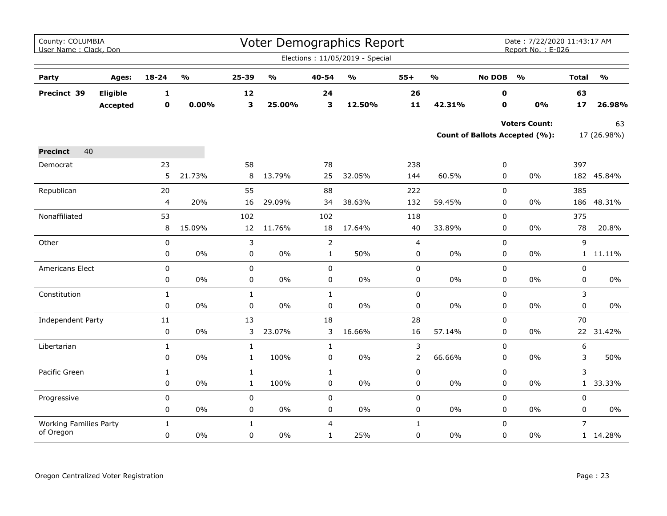| County: COLUMBIA<br>User Name: Clack, Don |          |                |                         |              |               |                | <b>Voter Demographics Report</b>  |              |                         |               | Date: 7/22/2020 11:43:17 AM<br>Report No.: E-026 |                |               |
|-------------------------------------------|----------|----------------|-------------------------|--------------|---------------|----------------|-----------------------------------|--------------|-------------------------|---------------|--------------------------------------------------|----------------|---------------|
|                                           |          |                |                         |              |               |                | Elections: 11/05/2019 - Special   |              |                         |               |                                                  |                |               |
| Party                                     | Ages:    | $18 - 24$      | $\mathbf{O}/\mathbf{o}$ | 25-39        | $\frac{0}{0}$ | 40-54          | $\mathsf{o}\mathsf{v}_\mathsf{o}$ | $55+$        | $\mathbf{O}/\mathbf{o}$ | <b>No DOB</b> | $\frac{1}{2}$                                    | <b>Total</b>   | $\frac{1}{2}$ |
| Precinct 39                               | Eligible | 1              |                         | 12           |               | 24             |                                   | 26           |                         | 0             |                                                  | 63             |               |
|                                           | Accepted | $\mathbf 0$    | 0.00%                   | 3            | 25.00%        | 3              | 12.50%                            | 11           | 42.31%                  | $\mathbf 0$   | 0%                                               | 17             | 26.98%        |
|                                           |          |                |                         |              |               |                |                                   |              |                         |               | <b>Voters Count:</b>                             |                | 63            |
|                                           |          |                |                         |              |               |                |                                   |              |                         |               | Count of Ballots Accepted (%):                   |                | 17 (26.98%)   |
| 40<br><b>Precinct</b>                     |          |                |                         |              |               |                |                                   |              |                         |               |                                                  |                |               |
| Democrat                                  |          | 23             |                         | 58           |               | 78             |                                   | 238          |                         | 0             |                                                  | 397            |               |
|                                           |          | 5              | 21.73%                  | 8            | 13.79%        | 25             | 32.05%                            | 144          | 60.5%                   | 0             | 0%                                               |                | 182 45.84%    |
| Republican                                |          | 20             |                         | 55           |               | 88             |                                   | 222          |                         | 0             |                                                  | 385            |               |
|                                           |          | $\overline{4}$ | 20%                     | 16           | 29.09%        | 34             | 38.63%                            | 132          | 59.45%                  | 0             | 0%                                               | 186            | 48.31%        |
| Nonaffiliated                             |          | 53             |                         | 102          |               | 102            |                                   | 118          |                         | 0             |                                                  | 375            |               |
|                                           |          | 8              | 15.09%                  | 12           | 11.76%        | 18             | 17.64%                            | 40           | 33.89%                  | 0             | $0\%$                                            | 78             | 20.8%         |
| Other                                     |          | $\mathbf 0$    |                         | 3            |               | $\overline{2}$ |                                   | 4            |                         | 0             |                                                  | 9              |               |
|                                           |          | 0              | $0\%$                   | 0            | $0\%$         | $\mathbf{1}$   | 50%                               | 0            | 0%                      | 0             | 0%                                               |                | 1 11.11%      |
| Americans Elect                           |          | $\mathbf 0$    |                         | 0            |               | $\mathbf 0$    |                                   | $\pmb{0}$    |                         | 0             |                                                  | 0              |               |
|                                           |          | 0              | 0%                      | 0            | $0\%$         | 0              | 0%                                | 0            | 0%                      | 0             | $0\%$                                            | 0              | 0%            |
| Constitution                              |          | $\mathbf{1}$   |                         | $\mathbf{1}$ |               | $\mathbf{1}$   |                                   | 0            |                         | 0             |                                                  | 3              |               |
|                                           |          | $\mathbf 0$    | $0\%$                   | 0            | 0%            | $\mathbf 0$    | $0\%$                             | $\mathbf 0$  | 0%                      | 0             | $0\%$                                            | 0              | 0%            |
| Independent Party                         |          | $11\,$         |                         | 13           |               | 18             |                                   | 28           |                         | 0             |                                                  | 70             |               |
|                                           |          | $\pmb{0}$      | $0\%$                   | 3            | 23.07%        | 3              | 16.66%                            | 16           | 57.14%                  | 0             | $0\%$                                            |                | 22 31.42%     |
| Libertarian                               |          | $\mathbf{1}$   |                         | $\mathbf{1}$ |               | $\mathbf{1}$   |                                   | 3            |                         | 0             |                                                  | 6              |               |
|                                           |          | $\pmb{0}$      | $0\%$                   | $\mathbf{1}$ | 100%          | 0              | 0%                                | $\mathsf{2}$ | 66.66%                  | 0             | $0\%$                                            | 3              | 50%           |
| Pacific Green                             |          | $\mathbf{1}$   |                         | $\mathbf{1}$ |               | $\mathbf{1}$   |                                   | $\mathbf 0$  |                         | 0             |                                                  | 3              |               |
|                                           |          | 0              | $0\%$                   | $\mathbf{1}$ | 100%          | 0              | $0\%$                             | 0            | 0%                      | 0             | 0%                                               | $\mathbf{1}$   | 33.33%        |
| Progressive                               |          | $\pmb{0}$      |                         | 0            |               | $\pmb{0}$      |                                   | $\pmb{0}$    |                         | 0             |                                                  | 0              |               |
|                                           |          | 0              | $0\%$                   | 0            | $0\%$         | 0              | 0%                                | 0            | 0%                      | 0             | 0%                                               | 0              | 0%            |
| <b>Working Families Party</b>             |          | $\mathbf{1}$   |                         | $\mathbf{1}$ |               | $\overline{4}$ |                                   | $\mathbf{1}$ |                         | 0             |                                                  | $\overline{7}$ |               |
| of Oregon                                 |          | $\pmb{0}$      | $0\%$                   | 0            | $0\%$         | $\mathbf{1}$   | 25%                               | $\mathbf 0$  | $0\%$                   | 0             | $0\%$                                            |                | 1 14.28%      |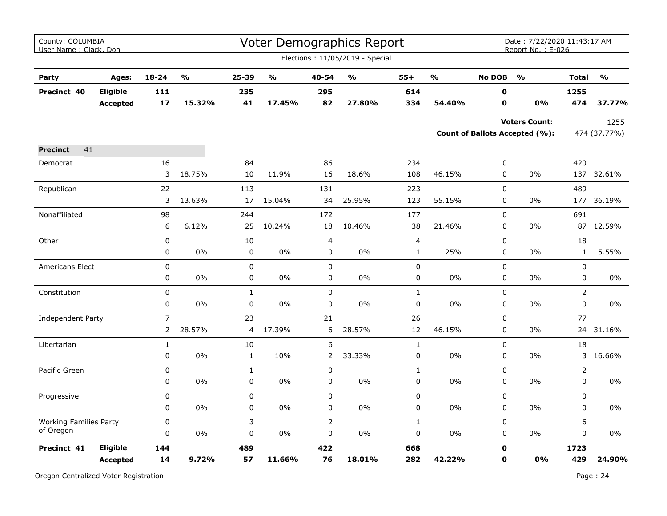| County: COLUMBIA<br>User Name: Clack, Don |                 |                |        |              |                         |                | Voter Demographics Report<br>Elections: 11/05/2019 - Special |                |                                   |               | Date: 7/22/2020 11:43:17 AM<br>Report No.: E-026 |                |                         |
|-------------------------------------------|-----------------|----------------|--------|--------------|-------------------------|----------------|--------------------------------------------------------------|----------------|-----------------------------------|---------------|--------------------------------------------------|----------------|-------------------------|
|                                           |                 |                |        |              |                         |                |                                                              |                |                                   |               |                                                  |                |                         |
| Party                                     | Ages:           | $18 - 24$      | %      | 25-39        | $\mathbf{0}/\mathbf{0}$ | 40-54          | $\mathsf{o}\mathsf{v}_\mathsf{o}$                            | $55+$          | $\mathsf{o}\mathsf{v}_\mathsf{o}$ | <b>No DOB</b> | $\frac{0}{0}$                                    | <b>Total</b>   | $\mathbf{O}/\mathbf{O}$ |
| Precinct 40                               | <b>Eligible</b> | 111            |        | 235          |                         | 295            |                                                              | 614            |                                   | 0             |                                                  | 1255           |                         |
|                                           | <b>Accepted</b> | 17             | 15.32% | 41           | 17.45%                  | 82             | 27.80%                                                       | 334            | 54.40%                            | 0             | 0%                                               | 474            | 37.77%                  |
|                                           |                 |                |        |              |                         |                |                                                              |                |                                   |               | <b>Voters Count:</b>                             |                | 1255                    |
|                                           |                 |                |        |              |                         |                |                                                              |                |                                   |               | Count of Ballots Accepted (%):                   |                | 474 (37.77%)            |
| 41<br><b>Precinct</b>                     |                 |                |        |              |                         |                |                                                              |                |                                   |               |                                                  |                |                         |
| Democrat                                  |                 | 16             |        | 84           |                         | 86             |                                                              | 234            |                                   | 0             |                                                  | 420            |                         |
|                                           |                 | 3              | 18.75% | 10           | 11.9%                   | 16             | 18.6%                                                        | 108            | 46.15%                            | 0             | 0%                                               | 137            | 32.61%                  |
| Republican                                |                 | 22             |        | 113          |                         | 131            |                                                              | 223            |                                   | $\mathbf 0$   |                                                  | 489            |                         |
|                                           |                 | 3              | 13.63% | 17           | 15.04%                  | 34             | 25.95%                                                       | 123            | 55.15%                            | 0             | 0%                                               | 177            | 36.19%                  |
| Nonaffiliated                             |                 | 98             |        | 244          |                         | 172            |                                                              | 177            |                                   | $\mathbf 0$   |                                                  | 691            |                         |
|                                           |                 | 6              | 6.12%  | 25           | 10.24%                  | 18             | 10.46%                                                       | 38             | 21.46%                            | $\mathbf 0$   | 0%                                               |                | 87 12.59%               |
| Other                                     |                 | 0              |        | 10           |                         | $\overline{4}$ |                                                              | $\overline{4}$ |                                   | 0             |                                                  | 18             |                         |
|                                           |                 | 0              | 0%     | $\pmb{0}$    | 0%                      | $\pmb{0}$      | 0%                                                           | $\mathbf{1}$   | 25%                               | 0             | 0%                                               | $\mathbf{1}$   | 5.55%                   |
| <b>Americans Elect</b>                    |                 | 0              |        | $\mathbf 0$  |                         | $\mathbf 0$    |                                                              | $\pmb{0}$      |                                   | $\mathbf 0$   |                                                  | 0              |                         |
|                                           |                 | 0              | $0\%$  | $\pmb{0}$    | 0%                      | 0              | $0\%$                                                        | 0              | $0\%$                             | 0             | 0%                                               | 0              | 0%                      |
| Constitution                              |                 | 0              |        | $\mathbf{1}$ |                         | $\pmb{0}$      |                                                              | $\mathbf 1$    |                                   | 0             |                                                  | $\overline{2}$ |                         |
|                                           |                 | 0              | $0\%$  | $\pmb{0}$    | 0%                      | $\mathbf 0$    | $0\%$                                                        | 0              | $0\%$                             | 0             | 0%                                               | 0              | 0%                      |
| Independent Party                         |                 | $\overline{7}$ |        | 23           |                         | 21             |                                                              | 26             |                                   | 0             |                                                  | 77             |                         |
|                                           |                 | $\overline{2}$ | 28.57% | 4            | 17.39%                  | 6              | 28.57%                                                       | 12             | 46.15%                            | 0             | 0%                                               |                | 24 31.16%               |
| Libertarian                               |                 | $\mathbf 1$    |        | 10           |                         | 6              |                                                              | $1\,$          |                                   | 0             |                                                  | 18             |                         |
|                                           |                 | 0              | $0\%$  | $\mathbf{1}$ | 10%                     | $\overline{2}$ | 33.33%                                                       | $\pmb{0}$      | $0\%$                             | 0             | 0%                                               |                | 3 16.66%                |
| Pacific Green                             |                 | 0              |        | $\mathbf{1}$ |                         | $\pmb{0}$      |                                                              | $1\,$          |                                   | 0             |                                                  | $\overline{2}$ |                         |
|                                           |                 | 0              | 0%     | 0            | 0%                      | $\pmb{0}$      | $0\%$                                                        | $\pmb{0}$      | 0%                                | $\mathbf 0$   | 0%                                               | $\mathbf 0$    | $0\%$                   |
| Progressive                               |                 | 0              |        | 0            |                         | $\pmb{0}$      |                                                              | $\pmb{0}$      |                                   | 0             |                                                  | 0              |                         |
|                                           |                 | 0              | 0%     | 0            | 0%                      | $\pmb{0}$      | 0%                                                           | $\pmb{0}$      | 0%                                | 0             | 0%                                               | 0              | 0%                      |
| <b>Working Families Party</b>             |                 | 0              |        | 3            |                         | $\overline{2}$ |                                                              | $\mathbf{1}$   |                                   | $\mathbf 0$   |                                                  | 6              |                         |
| of Oregon                                 |                 | 0              | $0\%$  | 0            | 0%                      | 0              | 0%                                                           | 0              | 0%                                | 0             | $0\%$                                            | $\mathsf 0$    | $0\%$                   |
| Precinct 41                               | Eligible        | 144            |        | 489          |                         | 422            |                                                              | 668            |                                   | 0             |                                                  | 1723           |                         |
|                                           | <b>Accepted</b> | 14             | 9.72%  | 57           | 11.66%                  | 76             | 18.01%                                                       | 282            | 42.22%                            | 0             | 0%                                               | 429            | 24.90%                  |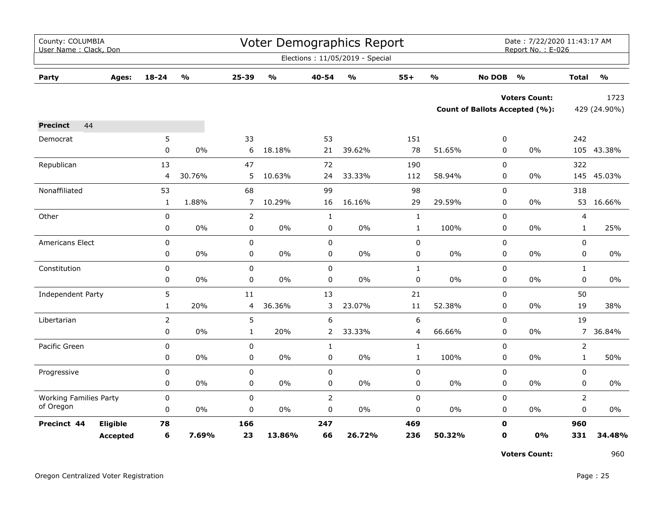|                         |                                                                                                                                                                                                              |                                                                                                     |                                           |                                                                                                        |                                              |                                                                                                                                                     |                                           |                                                                           | <b>Total</b><br>429 (24.90%)<br>242<br>$0\%$<br>105 43.38%<br>322<br>145<br>$0\%$<br>318<br>$0\%$<br>4<br>0%<br>$\mathbf{1}$<br>0<br>$\mathbf 0$<br>$0\%$<br>$\mathbf{1}$<br>$0\%$<br>$\mathbf 0$<br>50<br>$0\%$<br>19<br>19<br>$0\%$<br>$\overline{7}$<br>$\overline{2}$<br>$0\%$<br>$\mathbf{1}$<br>0<br>$0\%$<br>0<br>$\overline{2}$<br>$\mathbf 0$<br>0% |                                                         |  |  |  |  |  |  |
|-------------------------|--------------------------------------------------------------------------------------------------------------------------------------------------------------------------------------------------------------|-----------------------------------------------------------------------------------------------------|-------------------------------------------|--------------------------------------------------------------------------------------------------------|----------------------------------------------|-----------------------------------------------------------------------------------------------------------------------------------------------------|-------------------------------------------|---------------------------------------------------------------------------|--------------------------------------------------------------------------------------------------------------------------------------------------------------------------------------------------------------------------------------------------------------------------------------------------------------------------------------------------------------|---------------------------------------------------------|--|--|--|--|--|--|
| $\mathbf{O}/\mathbf{O}$ | 25-39                                                                                                                                                                                                        | $\mathsf{o}\mathsf{v}_\mathsf{o}$                                                                   | 40-54                                     | $\mathsf{o}\mathsf{v}_\mathsf{o}$                                                                      | $55+$                                        | $\mathbf{O}/\mathbf{O}$                                                                                                                             | <b>No DOB</b>                             | $\frac{1}{2}$                                                             |                                                                                                                                                                                                                                                                                                                                                              | $\mathbf{O}/\mathbf{o}$                                 |  |  |  |  |  |  |
|                         |                                                                                                                                                                                                              |                                                                                                     |                                           |                                                                                                        |                                              |                                                                                                                                                     |                                           |                                                                           |                                                                                                                                                                                                                                                                                                                                                              | 1723                                                    |  |  |  |  |  |  |
|                         |                                                                                                                                                                                                              |                                                                                                     |                                           |                                                                                                        |                                              |                                                                                                                                                     |                                           |                                                                           |                                                                                                                                                                                                                                                                                                                                                              |                                                         |  |  |  |  |  |  |
|                         |                                                                                                                                                                                                              |                                                                                                     |                                           |                                                                                                        |                                              |                                                                                                                                                     |                                           |                                                                           |                                                                                                                                                                                                                                                                                                                                                              |                                                         |  |  |  |  |  |  |
|                         |                                                                                                                                                                                                              |                                                                                                     |                                           |                                                                                                        |                                              |                                                                                                                                                     |                                           |                                                                           |                                                                                                                                                                                                                                                                                                                                                              |                                                         |  |  |  |  |  |  |
|                         |                                                                                                                                                                                                              |                                                                                                     |                                           |                                                                                                        |                                              |                                                                                                                                                     |                                           |                                                                           |                                                                                                                                                                                                                                                                                                                                                              |                                                         |  |  |  |  |  |  |
|                         |                                                                                                                                                                                                              |                                                                                                     |                                           |                                                                                                        |                                              |                                                                                                                                                     |                                           |                                                                           |                                                                                                                                                                                                                                                                                                                                                              |                                                         |  |  |  |  |  |  |
|                         |                                                                                                                                                                                                              |                                                                                                     |                                           |                                                                                                        |                                              |                                                                                                                                                     |                                           |                                                                           |                                                                                                                                                                                                                                                                                                                                                              | 45.03%                                                  |  |  |  |  |  |  |
|                         | 68                                                                                                                                                                                                           |                                                                                                     | 99                                        |                                                                                                        | 98                                           |                                                                                                                                                     | 0                                         |                                                                           |                                                                                                                                                                                                                                                                                                                                                              |                                                         |  |  |  |  |  |  |
|                         | $\overline{7}$                                                                                                                                                                                               |                                                                                                     |                                           |                                                                                                        |                                              |                                                                                                                                                     | 0                                         |                                                                           |                                                                                                                                                                                                                                                                                                                                                              | 53 16.66%                                               |  |  |  |  |  |  |
|                         | $\overline{2}$                                                                                                                                                                                               |                                                                                                     | $\mathbf{1}$                              |                                                                                                        | $\mathbf{1}$                                 |                                                                                                                                                     | 0                                         |                                                                           |                                                                                                                                                                                                                                                                                                                                                              |                                                         |  |  |  |  |  |  |
| 0%                      | 0                                                                                                                                                                                                            | 0%                                                                                                  | 0                                         | $0\%$                                                                                                  | $\mathbf{1}$                                 | 100%                                                                                                                                                | 0                                         |                                                                           |                                                                                                                                                                                                                                                                                                                                                              | 25%                                                     |  |  |  |  |  |  |
|                         | $\pmb{0}$                                                                                                                                                                                                    |                                                                                                     | 0                                         |                                                                                                        | 0                                            |                                                                                                                                                     | 0                                         |                                                                           |                                                                                                                                                                                                                                                                                                                                                              |                                                         |  |  |  |  |  |  |
| 0%                      | $\mathbf 0$                                                                                                                                                                                                  | $0\%$                                                                                               | 0                                         | 0%                                                                                                     | 0                                            | 0%                                                                                                                                                  | $\mathbf 0$                               |                                                                           |                                                                                                                                                                                                                                                                                                                                                              | 0%                                                      |  |  |  |  |  |  |
|                         | $\pmb{0}$                                                                                                                                                                                                    |                                                                                                     | $\pmb{0}$                                 |                                                                                                        | $\mathbf 1$                                  |                                                                                                                                                     | 0                                         |                                                                           |                                                                                                                                                                                                                                                                                                                                                              |                                                         |  |  |  |  |  |  |
| 0%                      | 0                                                                                                                                                                                                            | $0\%$                                                                                               | 0                                         | $0\%$                                                                                                  | 0                                            | $0\%$                                                                                                                                               | 0                                         |                                                                           |                                                                                                                                                                                                                                                                                                                                                              | 0%                                                      |  |  |  |  |  |  |
|                         | 11                                                                                                                                                                                                           |                                                                                                     | 13                                        |                                                                                                        | 21                                           |                                                                                                                                                     | 0                                         |                                                                           |                                                                                                                                                                                                                                                                                                                                                              |                                                         |  |  |  |  |  |  |
| 20%                     | 4                                                                                                                                                                                                            | 36.36%                                                                                              | 3                                         | 23.07%                                                                                                 | $11\,$                                       | 52.38%                                                                                                                                              | 0                                         |                                                                           |                                                                                                                                                                                                                                                                                                                                                              | 38%                                                     |  |  |  |  |  |  |
|                         |                                                                                                                                                                                                              |                                                                                                     | 6                                         |                                                                                                        |                                              |                                                                                                                                                     | $\mathbf 0$                               |                                                                           |                                                                                                                                                                                                                                                                                                                                                              |                                                         |  |  |  |  |  |  |
| 0%                      | $\mathbf{1}$                                                                                                                                                                                                 | 20%                                                                                                 | $\mathbf{2}^{\prime}$                     | 33.33%                                                                                                 | 4                                            | 66.66%                                                                                                                                              | $\mathbf 0$                               |                                                                           |                                                                                                                                                                                                                                                                                                                                                              | 36.84%                                                  |  |  |  |  |  |  |
|                         |                                                                                                                                                                                                              |                                                                                                     |                                           |                                                                                                        |                                              |                                                                                                                                                     |                                           |                                                                           |                                                                                                                                                                                                                                                                                                                                                              |                                                         |  |  |  |  |  |  |
| $0\%$                   | $\mathbf 0$                                                                                                                                                                                                  | $0\%$                                                                                               | 0                                         | $0\%$                                                                                                  | $\mathbf{1}$                                 | 100%                                                                                                                                                | 0                                         |                                                                           |                                                                                                                                                                                                                                                                                                                                                              | 50%                                                     |  |  |  |  |  |  |
|                         |                                                                                                                                                                                                              |                                                                                                     |                                           |                                                                                                        |                                              |                                                                                                                                                     |                                           |                                                                           |                                                                                                                                                                                                                                                                                                                                                              |                                                         |  |  |  |  |  |  |
|                         |                                                                                                                                                                                                              |                                                                                                     |                                           |                                                                                                        |                                              |                                                                                                                                                     |                                           |                                                                           |                                                                                                                                                                                                                                                                                                                                                              | $0\%$                                                   |  |  |  |  |  |  |
|                         |                                                                                                                                                                                                              |                                                                                                     |                                           |                                                                                                        |                                              |                                                                                                                                                     |                                           |                                                                           |                                                                                                                                                                                                                                                                                                                                                              |                                                         |  |  |  |  |  |  |
|                         |                                                                                                                                                                                                              |                                                                                                     |                                           |                                                                                                        |                                              |                                                                                                                                                     |                                           |                                                                           |                                                                                                                                                                                                                                                                                                                                                              | 0%                                                      |  |  |  |  |  |  |
|                         |                                                                                                                                                                                                              |                                                                                                     |                                           |                                                                                                        |                                              |                                                                                                                                                     |                                           |                                                                           |                                                                                                                                                                                                                                                                                                                                                              |                                                         |  |  |  |  |  |  |
|                         |                                                                                                                                                                                                              |                                                                                                     |                                           |                                                                                                        |                                              |                                                                                                                                                     |                                           |                                                                           |                                                                                                                                                                                                                                                                                                                                                              |                                                         |  |  |  |  |  |  |
|                         | 5<br>0<br>0%<br>13<br>30.76%<br>4<br>53<br>1.88%<br>$\mathbf{1}$<br>$\mathbf 0$<br>0<br>$\pmb{0}$<br>0<br>0<br>0<br>5<br>$\mathbf{1}$<br>$\overline{2}$<br>0<br>0<br>0<br>0<br>0%<br>0<br>0<br>0<br>0%<br>78 | 33<br>6<br>47<br>5<br>5<br>$\pmb{0}$<br>$\pmb{0}$<br>$\pmb{0}$<br>$\mathbf 0$<br>$\mathbf 0$<br>166 | 18.18%<br>10.63%<br>10.29%<br>$0\%$<br>0% | 53<br>21<br>72<br>24<br>16<br>$\mathbf{1}$<br>$\mathbf 0$<br>0<br>$\overline{2}$<br>$\mathbf 0$<br>247 | 39.62%<br>33.33%<br>16.16%<br>$0\%$<br>$0\%$ | <b>Voter Demographics Report</b><br>Elections: 11/05/2019 - Special<br>151<br>78<br>190<br>112<br>29<br>6<br>$\mathbf 1$<br>0<br>0<br>0<br>0<br>469 | 51.65%<br>58.94%<br>29.59%<br>$0\%$<br>0% | 0<br>0<br>0<br>0<br>0<br>$\mathbf 0$<br>0<br>$\Omega$<br>0<br>$\mathbf 0$ | <b>Voters Count:</b><br>Count of Ballots Accepted (%):                                                                                                                                                                                                                                                                                                       | Date: 7/22/2020 11:43:17 AM<br>Report No.: E-026<br>960 |  |  |  |  |  |  |

**Voters Count:** 960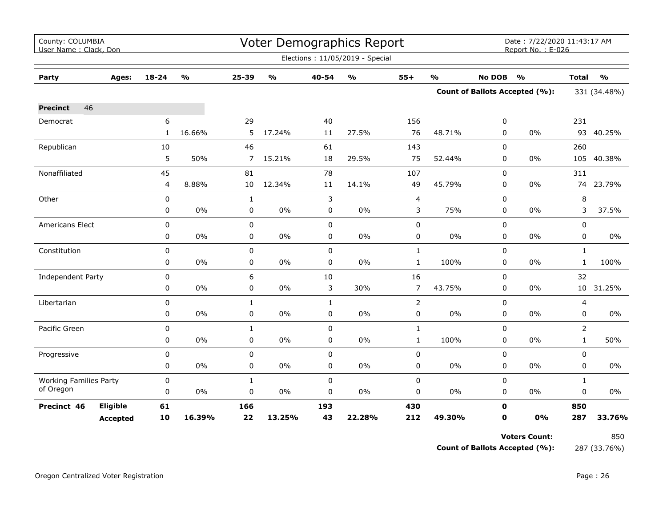| County: COLUMBIA<br>User Name: Clack, Don |                 |              |               |                |               |              | Voter Demographics Report       |                |               |               | Date: 7/22/2020 11:43:17 AM<br>Report No.: E-026 |                |               |
|-------------------------------------------|-----------------|--------------|---------------|----------------|---------------|--------------|---------------------------------|----------------|---------------|---------------|--------------------------------------------------|----------------|---------------|
|                                           |                 |              |               |                |               |              | Elections: 11/05/2019 - Special |                |               |               |                                                  |                |               |
| Party                                     | Ages:           | 18-24        | $\frac{1}{2}$ | 25-39          | $\frac{0}{0}$ | 40-54        | $\frac{1}{2}$                   | $55+$          | $\frac{1}{2}$ | <b>No DOB</b> | $\frac{1}{2}$                                    | <b>Total</b>   | $\frac{1}{2}$ |
|                                           |                 |              |               |                |               |              |                                 |                |               |               | Count of Ballots Accepted (%):                   |                | 331 (34.48%)  |
| 46<br><b>Precinct</b>                     |                 |              |               |                |               |              |                                 |                |               |               |                                                  |                |               |
| Democrat                                  |                 | 6            |               | 29             |               | 40           |                                 | 156            |               | 0             |                                                  | 231            |               |
|                                           |                 | $\mathbf{1}$ | 16.66%        | 5              | 17.24%        | 11           | 27.5%                           | 76             | 48.71%        | $\Omega$      | $0\%$                                            |                | 93 40.25%     |
| Republican                                |                 | 10           |               | 46             |               | 61           |                                 | 143            |               | 0             |                                                  | 260            |               |
|                                           |                 | 5            | 50%           | $\overline{7}$ | 15.21%        | 18           | 29.5%                           | 75             | 52.44%        | 0             | 0%                                               | 105            | 40.38%        |
| Nonaffiliated                             |                 | 45           |               | 81             |               | 78           |                                 | 107            |               | 0             |                                                  | 311            |               |
|                                           |                 | 4            | 8.88%         | 10             | 12.34%        | 11           | 14.1%                           | 49             | 45.79%        | 0             | 0%                                               |                | 74 23.79%     |
| Other                                     |                 | 0            |               | $\mathbf{1}$   |               | 3            |                                 | $\overline{4}$ |               | 0             |                                                  | 8              |               |
|                                           |                 | 0            | 0%            | 0              | 0%            | 0            | 0%                              | 3              | 75%           | 0             | 0%                                               | 3              | 37.5%         |
| Americans Elect                           |                 | 0            |               | 0              |               | $\mathbf 0$  |                                 | 0              |               | 0             |                                                  | 0              |               |
|                                           |                 | 0            | $0\%$         | 0              | $0\%$         | 0            | $0\%$                           | 0              | $0\%$         | 0             | 0%                                               | 0              | $0\%$         |
| Constitution                              |                 | 0            |               | 0              |               | $\mathbf 0$  |                                 | $\mathbf{1}$   |               | $\mathbf 0$   |                                                  | $\mathbf{1}$   |               |
|                                           |                 | 0            | 0%            | $\mathbf 0$    | 0%            | $\mathbf 0$  | 0%                              | $\mathbf{1}$   | 100%          | 0             | 0%                                               | $\mathbf{1}$   | 100%          |
| <b>Independent Party</b>                  |                 | 0            |               | 6              |               | 10           |                                 | 16             |               | 0             |                                                  | 32             |               |
|                                           |                 | 0            | 0%            | 0              | $0\%$         | 3            | 30%                             | $\overline{7}$ | 43.75%        | 0             | 0%                                               | 10             | 31.25%        |
| Libertarian                               |                 | $\mathbf 0$  |               | $\mathbf{1}$   |               | $\mathbf{1}$ |                                 | $\overline{2}$ |               | 0             |                                                  | 4              |               |
|                                           |                 | 0            | $0\%$         | 0              | 0%            | $\mathbf 0$  | 0%                              | 0              | $0\%$         | 0             | 0%                                               | 0              | $0\%$         |
| Pacific Green                             |                 | 0            |               | $\mathbf{1}$   |               | $\mathbf 0$  |                                 | $\mathbf{1}$   |               | 0             |                                                  | $\overline{2}$ |               |
|                                           |                 | 0            | 0%            | 0              | $0\%$         | 0            | 0%                              | $\mathbf{1}$   | 100%          | 0             | 0%                                               | $\mathbf{1}$   | 50%           |
| Progressive                               |                 | 0            |               | 0              |               | $\Omega$     |                                 | $\mathbf 0$    |               | $\Omega$      |                                                  | $\Omega$       |               |
|                                           |                 | 0            | 0%            | 0              | $0\%$         | $\mathbf 0$  | $0\%$                           | 0              | 0%            | 0             | 0%                                               | 0              | $0\%$         |
| <b>Working Families Party</b>             |                 | 0            |               | $\mathbf{1}$   |               | $\mathbf 0$  |                                 | $\pmb{0}$      |               | $\mathbf 0$   |                                                  | $\mathbf{1}$   |               |
| of Oregon                                 |                 | 0            | 0%            | 0              | 0%            | $\mathbf 0$  | $0\%$                           | 0              | $0\%$         | 0             | 0%                                               | 0              | $0\%$         |
| Precinct 46                               | Eligible        | 61           |               | 166            |               | 193          |                                 | 430            |               | O             |                                                  | 850            |               |
|                                           | <b>Accepted</b> | 10           | 16.39%        | 22             | 13.25%        | 43           | 22.28%                          | 212            | 49.30%        | O             | 0%                                               | 287            | 33.76%        |

**Voters Count:** 850 **Count of Ballots Accepted (%):** 287 (33.76%)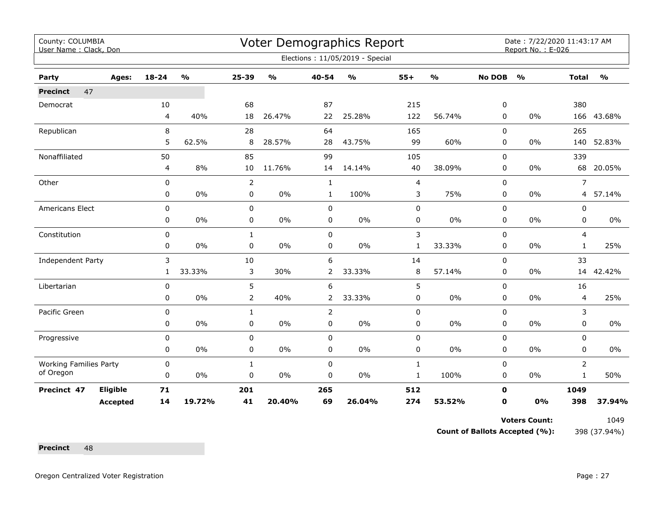| County: COLUMBIA<br>User Name: Clack, Don |                 |              |                                   |                |                           |                | Voter Demographics Report       |                |                                   |               | Date: 7/22/2020 11:43:17 AM<br>Report No.: E-026 |                |               |
|-------------------------------------------|-----------------|--------------|-----------------------------------|----------------|---------------------------|----------------|---------------------------------|----------------|-----------------------------------|---------------|--------------------------------------------------|----------------|---------------|
|                                           |                 |              |                                   |                |                           |                | Elections: 11/05/2019 - Special |                |                                   |               |                                                  |                |               |
| Party                                     | Ages:           | $18 - 24$    | $\mathsf{o}\mathsf{v}_\mathsf{o}$ | $25 - 39$      | $\mathbf{o}_{\mathbf{0}}$ | 40-54          | $\frac{0}{0}$                   | $55+$          | $\mathsf{o}\mathsf{v}_\mathsf{o}$ | <b>No DOB</b> | $\frac{1}{2}$                                    | <b>Total</b>   | $\frac{1}{2}$ |
| 47<br><b>Precinct</b>                     |                 |              |                                   |                |                           |                |                                 |                |                                   |               |                                                  |                |               |
| Democrat                                  |                 | 10           |                                   | 68             |                           | 87             |                                 | 215            |                                   | 0             |                                                  | 380            |               |
|                                           |                 | 4            | 40%                               | 18             | 26.47%                    | 22             | 25.28%                          | 122            | 56.74%                            | 0             | 0%                                               |                | 166 43.68%    |
| Republican                                |                 | 8            |                                   | 28             |                           | 64             |                                 | 165            |                                   | 0             |                                                  | 265            |               |
|                                           |                 | 5            | 62.5%                             | 8              | 28.57%                    | 28             | 43.75%                          | 99             | 60%                               | 0             | $0\%$                                            | 140            | 52.83%        |
| Nonaffiliated                             |                 | 50           |                                   | 85             |                           | 99             |                                 | 105            |                                   | $\mathbf 0$   |                                                  | 339            |               |
|                                           |                 | 4            | 8%                                | 10             | 11.76%                    | 14             | 14.14%                          | 40             | 38.09%                            | 0             | 0%                                               | 68             | 20.05%        |
| Other                                     |                 | $\mathbf 0$  |                                   | $\overline{2}$ |                           | $\mathbf{1}$   |                                 | $\overline{4}$ |                                   | $\Omega$      |                                                  | $\overline{7}$ |               |
|                                           |                 | 0            | $0\%$                             | 0              | $0\%$                     | $\mathbf{1}$   | 100%                            | 3              | 75%                               | 0             | $0\%$                                            | $\overline{4}$ | 57.14%        |
| Americans Elect                           |                 | $\pmb{0}$    |                                   | 0              |                           | 0              |                                 | 0              |                                   | 0             |                                                  | 0              |               |
|                                           |                 | 0            | 0%                                | 0              | 0%                        | 0              | 0%                              | 0              | 0%                                | 0             | 0%                                               | $\mathbf 0$    | 0%            |
| Constitution                              |                 | $\mathbf 0$  |                                   | $\mathbf{1}$   |                           | 0              |                                 | 3              |                                   | 0             |                                                  | 4              |               |
|                                           |                 | 0            | $0\%$                             | 0              | 0%                        | 0              | 0%                              | $\mathbf{1}$   | 33.33%                            | 0             | $0\%$                                            | $\mathbf{1}$   | 25%           |
| Independent Party                         |                 | 3            |                                   | 10             |                           | 6              |                                 | 14             |                                   | 0             |                                                  | 33             |               |
|                                           |                 | $\mathbf{1}$ | 33.33%                            | 3              | 30%                       | $\overline{2}$ | 33.33%                          | 8              | 57.14%                            | 0             | 0%                                               | 14             | 42.42%        |
| Libertarian                               |                 | 0            |                                   | 5              |                           | 6              |                                 | 5              |                                   | 0             |                                                  | 16             |               |
|                                           |                 | 0            | $0\%$                             | $\overline{2}$ | 40%                       | $\overline{2}$ | 33.33%                          | 0              | 0%                                | 0             | $0\%$                                            | $\overline{4}$ | 25%           |
| Pacific Green                             |                 | $\mathbf 0$  |                                   | $\mathbf{1}$   |                           | $\overline{2}$ |                                 | 0              |                                   | 0             |                                                  | 3              |               |
|                                           |                 | 0            | $0\%$                             | 0              | $0\%$                     | 0              | 0%                              | 0              | 0%                                | 0             | 0%                                               | 0              | 0%            |
| Progressive                               |                 | 0            |                                   | 0              |                           | 0              |                                 | 0              |                                   | 0             |                                                  | 0              |               |
|                                           |                 | 0            | 0%                                | 0              | $0\%$                     | 0              | 0%                              | 0              | 0%                                | 0             | 0%                                               | $\mathbf 0$    | $0\%$         |
| <b>Working Families Party</b>             |                 | $\pmb{0}$    |                                   | $\mathbf{1}$   |                           | 0              |                                 | $\mathbf{1}$   |                                   | $\Omega$      |                                                  | $\overline{2}$ |               |
| of Oregon                                 |                 | $\mathbf 0$  | $0\%$                             | 0              | 0%                        | $\mathbf 0$    | 0%                              | $\mathbf{1}$   | 100%                              | 0             | $0\%$                                            | $\mathbf{1}$   | 50%           |
| Precinct 47                               | Eligible        | 71           |                                   | 201            |                           | 265            |                                 | 512            |                                   | $\mathbf 0$   |                                                  | 1049           |               |
|                                           | <b>Accepted</b> | 14           | 19.72%                            | 41             | 20.40%                    | 69             | 26.04%                          | 274            | 53.52%                            | $\mathbf 0$   | 0%                                               | 398            | 37.94%        |

**Voters Count:** 1049

**Count of Ballots Accepted (%):** 398 (37.94%)

Precinct 48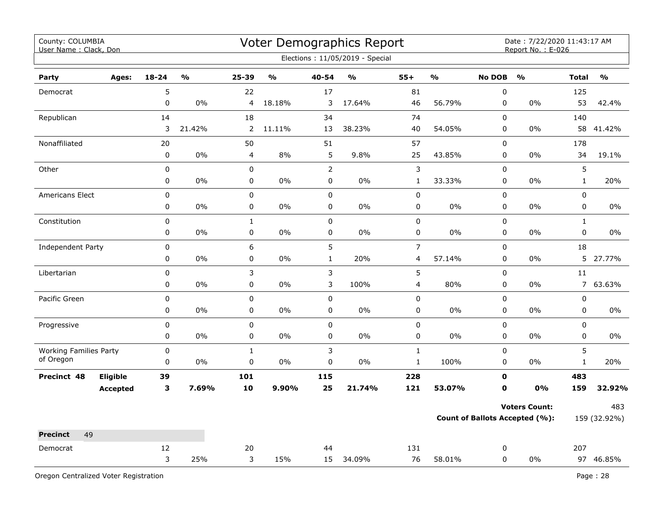| County: COLUMBIA<br>User Name: Clack, Don  |                 |             | Voter Demographics Report<br>Date: 7/22/2020 11:43:17 AM<br>Report No.: E-026<br>Elections: 11/05/2019 - Special |                |               |                |                         |                  |                         |                                       |                      |              |               |
|--------------------------------------------|-----------------|-------------|------------------------------------------------------------------------------------------------------------------|----------------|---------------|----------------|-------------------------|------------------|-------------------------|---------------------------------------|----------------------|--------------|---------------|
| Party                                      | Ages:           | $18 - 24$   | $\frac{0}{0}$                                                                                                    | 25-39          | $\frac{0}{0}$ | 40-54          | $\mathbf{O}/\mathbf{o}$ | $55+$            | $\mathbf{O}/\mathbf{O}$ | <b>No DOB</b>                         | $\frac{0}{0}$        | <b>Total</b> | $\frac{0}{0}$ |
| Democrat                                   |                 | 5           |                                                                                                                  | 22             |               | 17             |                         | 81               |                         | $\pmb{0}$                             |                      | 125          |               |
|                                            |                 | 0           | $0\%$                                                                                                            | 4              | 18.18%        | 3              | 17.64%                  | 46               | 56.79%                  | $\pmb{0}$                             | $0\%$                | 53           | 42.4%         |
| Republican                                 |                 | 14          |                                                                                                                  | 18             |               | 34             |                         | 74               |                         | $\pmb{0}$                             |                      | 140          |               |
|                                            |                 | 3           | 21.42%                                                                                                           | $\overline{2}$ | 11.11%        | 13             | 38.23%                  | 40               | 54.05%                  | 0                                     | 0%                   | 58           | 41.42%        |
| Nonaffiliated                              |                 | 20          |                                                                                                                  | 50             |               | 51             |                         | 57               |                         | 0                                     |                      | 178          |               |
|                                            |                 | $\pmb{0}$   | 0%                                                                                                               | 4              | 8%            | 5              | 9.8%                    | 25               | 43.85%                  | 0                                     | 0%                   | 34           | 19.1%         |
| Other                                      |                 | $\pmb{0}$   |                                                                                                                  | 0              |               | $\overline{2}$ |                         | 3                |                         | $\pmb{0}$                             |                      | 5            |               |
|                                            |                 | 0           | 0%                                                                                                               | 0              | $0\%$         | 0              | 0%                      | $\mathbf{1}$     | 33.33%                  | $\pmb{0}$                             | 0%                   | $\mathbf{1}$ | 20%           |
| Americans Elect                            |                 | 0           |                                                                                                                  | $\mathsf 0$    |               | $\mathsf 0$    |                         | $\mathbf 0$      |                         | $\pmb{0}$                             |                      | $\pmb{0}$    |               |
|                                            |                 | 0           | 0%                                                                                                               | 0              | 0%            | $\pmb{0}$      | 0%                      | 0                | $0\%$                   | 0                                     | 0%                   | 0            | $0\%$         |
| Constitution                               |                 | 0           |                                                                                                                  | $\mathbf 1$    |               | $\pmb{0}$      |                         | 0                |                         | $\pmb{0}$                             |                      | $\mathbf{1}$ |               |
|                                            |                 | 0           | 0%                                                                                                               | 0              | 0%            | $\pmb{0}$      | 0%                      | 0                | $0\%$                   | $\pmb{0}$                             | 0%                   | $\pmb{0}$    | 0%            |
| Independent Party                          |                 | 0           |                                                                                                                  | 6              |               | 5              |                         | $\boldsymbol{7}$ |                         | $\mathbf 0$                           |                      | 18           |               |
|                                            |                 | 0           | 0%                                                                                                               | $\pmb{0}$      | 0%            | $\mathbf{1}$   | 20%                     | $\overline{4}$   | 57.14%                  | $\pmb{0}$                             | 0%                   | 5            | 27.77%        |
| Libertarian                                |                 | 0           |                                                                                                                  | 3              |               | 3              |                         | 5                |                         | $\mathbf 0$                           |                      | 11           |               |
|                                            |                 | 0           | 0%                                                                                                               | 0              | 0%            | 3              | 100%                    | 4                | 80%                     | 0                                     | 0%                   |              | 7 63.63%      |
| Pacific Green                              |                 | 0           |                                                                                                                  | $\mathbf 0$    |               | $\mathbf 0$    |                         | 0                |                         | $\mathbf 0$                           |                      | $\pmb{0}$    |               |
|                                            |                 | 0           | 0%                                                                                                               | 0              | 0%            | $\pmb{0}$      | 0%                      | 0                | $0\%$                   | $\pmb{0}$                             | 0%                   | $\mathsf 0$  | $0\%$         |
| Progressive                                |                 | $\pmb{0}$   |                                                                                                                  | $\mathbf 0$    |               | $\pmb{0}$      |                         | $\mathbf 0$      |                         | $\pmb{0}$                             |                      | $\pmb{0}$    |               |
|                                            |                 | 0           | 0%                                                                                                               | 0              | 0%            | $\pmb{0}$      | 0%                      | 0                | 0%                      | 0                                     | $0\%$                | $\pmb{0}$    | 0%            |
| <b>Working Families Party</b><br>of Oregon |                 | $\mathbf 0$ |                                                                                                                  | $\mathbf{1}$   |               | 3              |                         | $\mathbf{1}$     |                         | $\pmb{0}$                             |                      | 5            |               |
|                                            |                 | $\pmb{0}$   | 0%                                                                                                               | 0              | 0%            | 0              | 0%                      | $\mathbf 1$      | 100%                    | $\pmb{0}$                             | 0%                   | $\mathbf 1$  | 20%           |
| Precinct 48                                | Eligible        | 39          |                                                                                                                  | 101            |               | 115            |                         | 228              |                         | 0                                     |                      | 483          |               |
|                                            | <b>Accepted</b> | 3           | 7.69%                                                                                                            | 10             | 9.90%         | 25             | 21.74%                  | 121              | 53.07%                  | 0                                     | 0%                   | 159          | 32.92%        |
|                                            |                 |             |                                                                                                                  |                |               |                |                         |                  |                         |                                       | <b>Voters Count:</b> |              | 483           |
|                                            |                 |             |                                                                                                                  |                |               |                |                         |                  |                         | <b>Count of Ballots Accepted (%):</b> |                      | 159 (32.92%) |               |
| 49<br><b>Precinct</b>                      |                 |             |                                                                                                                  |                |               |                |                         |                  |                         |                                       |                      |              |               |
| Democrat                                   |                 | 12          |                                                                                                                  | 20             |               | 44             |                         | 131              |                         | 0                                     |                      | 207          |               |
|                                            |                 | 3           | 25%                                                                                                              | 3              | 15%           | 15             | 34.09%                  | 76               | 58.01%                  | 0                                     | $0\%$                |              | 97 46.85%     |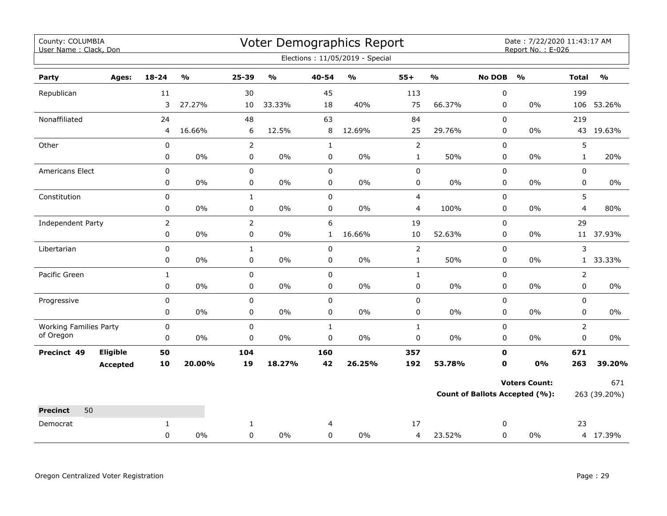| County: COLUMBIA<br>User Name: Clack, Don  |                 |                |                         |                |                                   |              | Voter Demographics Report         |                |                         |               | Date: 7/22/2020 11:43:17 AM<br>Report No.: E-026 |                |                                   |
|--------------------------------------------|-----------------|----------------|-------------------------|----------------|-----------------------------------|--------------|-----------------------------------|----------------|-------------------------|---------------|--------------------------------------------------|----------------|-----------------------------------|
|                                            |                 |                |                         |                |                                   |              | Elections: 11/05/2019 - Special   |                |                         |               |                                                  |                |                                   |
| Party                                      | Ages:           | $18 - 24$      | $\mathbf{O}/\mathbf{O}$ | 25-39          | $\mathsf{o}\mathsf{v}_\mathsf{o}$ | 40-54        | $\mathsf{o}\mathsf{v}_\mathsf{o}$ | $55+$          | $\mathbf{O}/\mathbf{o}$ | <b>No DOB</b> | $\mathbf{O}/\mathbf{o}$                          | <b>Total</b>   | $\mathsf{o}\mathsf{v}_\mathsf{o}$ |
| Republican                                 |                 | 11             |                         | 30             |                                   | 45           |                                   | 113            |                         | 0             |                                                  | 199            |                                   |
|                                            |                 | 3              | 27.27%                  | 10             | 33.33%                            | 18           | 40%                               | 75             | 66.37%                  | 0             | $0\%$                                            |                | 106 53.26%                        |
| Nonaffiliated                              |                 | 24             |                         | 48             |                                   | 63           |                                   | 84             |                         | 0             |                                                  | 219            |                                   |
|                                            |                 | 4              | 16.66%                  | 6              | 12.5%                             | 8            | 12.69%                            | 25             | 29.76%                  | 0             | $0\%$                                            |                | 43 19.63%                         |
| Other                                      |                 | $\pmb{0}$      |                         | $\overline{2}$ |                                   | $\mathbf{1}$ |                                   | $\overline{2}$ |                         | $\pmb{0}$     |                                                  | 5              |                                   |
|                                            |                 | $\pmb{0}$      | $0\%$                   | $\pmb{0}$      | $0\%$                             | $\pmb{0}$    | $0\%$                             | $\mathbf{1}$   | 50%                     | $\pmb{0}$     | $0\%$                                            | $\mathbf{1}$   | 20%                               |
| Americans Elect                            |                 | 0              |                         | $\mathbf 0$    |                                   | $\mathbf 0$  |                                   | $\mathbf 0$    |                         | $\mathbf 0$   |                                                  | 0              |                                   |
|                                            |                 | 0              | 0%                      | $\pmb{0}$      | 0%                                | $\mathbf 0$  | 0%                                | 0              | $0\%$                   | $\mathbf 0$   | $0\%$                                            | 0              | $0\%$                             |
| Constitution                               |                 | $\pmb{0}$      |                         | $\mathbf 1$    |                                   | $\pmb{0}$    |                                   | $\overline{4}$ |                         | $\pmb{0}$     |                                                  | 5              |                                   |
|                                            |                 | $\pmb{0}$      | $0\%$                   | $\pmb{0}$      | 0%                                | $\pmb{0}$    | 0%                                | 4              | 100%                    | 0             | $0\%$                                            | 4              | 80%                               |
| Independent Party                          |                 | $\overline{2}$ |                         | $\overline{2}$ |                                   | 6            |                                   | 19             |                         | $\mathbf 0$   |                                                  | 29             |                                   |
|                                            |                 | $\pmb{0}$      | 0%                      | $\pmb{0}$      | 0%                                | $\mathbf{1}$ | 16.66%                            | 10             | 52.63%                  | 0             | $0\%$                                            |                | 11 37.93%                         |
| Libertarian                                |                 | $\pmb{0}$      |                         | $\mathbf{1}$   |                                   | $\pmb{0}$    |                                   | $\mathbf 2$    |                         | $\mathbf 0$   |                                                  | 3              |                                   |
|                                            |                 | 0              | $0\%$                   | 0              | 0%                                | 0            | $0\%$                             | $\mathbf{1}$   | 50%                     | 0             | $0\%$                                            | $\mathbf{1}$   | 33.33%                            |
| Pacific Green                              |                 | $\mathbf{1}$   |                         | 0              |                                   | $\mathbf 0$  |                                   | $\mathbf{1}$   |                         | $\mathbf 0$   |                                                  | $\overline{2}$ |                                   |
|                                            |                 | 0              | 0%                      | 0              | $0\%$                             | 0            | $0\%$                             | 0              | $0\%$                   | 0             | $0\%$                                            | 0              | $0\%$                             |
| Progressive                                |                 | $\pmb{0}$      |                         | $\pmb{0}$      |                                   | $\pmb{0}$    |                                   | 0              |                         | 0             |                                                  | 0              |                                   |
|                                            |                 | 0              | 0%                      | $\mathbf 0$    | 0%                                | $\mathbf 0$  | 0%                                | 0              | $0\%$                   | $\mathbf 0$   | $0\%$                                            | 0              | $0\%$                             |
| <b>Working Families Party</b><br>of Oregon |                 | $\mathbf 0$    |                         | $\mathbf 0$    |                                   | $\mathbf{1}$ |                                   | $\mathbf{1}$   |                         | $\mathbf 0$   |                                                  | $\overline{2}$ |                                   |
|                                            |                 | $\pmb{0}$      | 0%                      | $\mathbf 0$    | 0%                                | $\mathsf 0$  | $0\%$                             | $\pmb{0}$      | $0\%$                   | $\mathbf 0$   | $0\%$                                            | $\mathbf 0$    | 0%                                |
| Precinct 49                                | Eligible        | 50             |                         | 104            |                                   | 160          |                                   | 357            |                         | 0             |                                                  | 671            |                                   |
|                                            | <b>Accepted</b> | 10             | 20.00%                  | 19             | 18.27%                            | 42           | 26.25%                            | 192            | 53.78%                  | $\mathbf 0$   | 0%                                               | 263            | 39.20%                            |
|                                            |                 |                |                         |                |                                   |              |                                   |                |                         |               | <b>Voters Count:</b>                             |                | 671                               |
|                                            |                 |                |                         |                |                                   |              |                                   |                |                         |               | <b>Count of Ballots Accepted (%):</b>            |                | 263 (39.20%)                      |
| <b>Precinct</b><br>50                      |                 |                |                         |                |                                   |              |                                   |                |                         |               |                                                  |                |                                   |
| Democrat                                   |                 | $\mathbf{1}$   |                         | $\mathbf{1}$   |                                   | 4            |                                   | 17             |                         | 0             |                                                  | 23             |                                   |
|                                            |                 | $\mathbf 0$    | 0%                      | $\mathbf 0$    | 0%                                | $\Omega$     | 0%                                | 4              | 23.52%                  | $\mathbf 0$   | $0\%$                                            |                | 4 17.39%                          |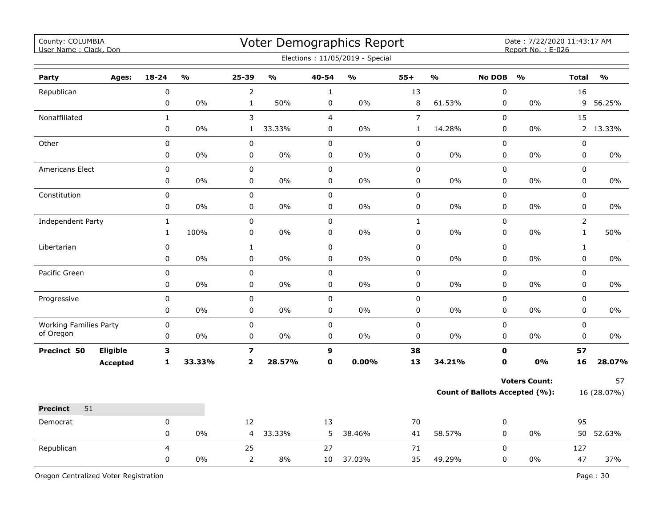| County: COLUMBIA<br>User Name: Clack, Don  |                 |              |               |                         |               |                | Voter Demographics Report<br>Elections: 11/05/2019 - Special |                |               |                                | Date: 7/22/2020 11:43:17 AM<br>Report No.: E-026 |                |               |
|--------------------------------------------|-----------------|--------------|---------------|-------------------------|---------------|----------------|--------------------------------------------------------------|----------------|---------------|--------------------------------|--------------------------------------------------|----------------|---------------|
| Party                                      | Ages:           | $18 - 24$    | $\frac{1}{2}$ | 25-39                   | $\frac{1}{2}$ | 40-54          | $\frac{1}{2}$                                                | $55+$          | $\frac{1}{2}$ | <b>No DOB</b>                  | $\frac{0}{0}$                                    | <b>Total</b>   | $\frac{1}{2}$ |
| Republican                                 |                 | 0            |               | $\overline{2}$          |               | $\mathbf 1$    |                                                              | 13             |               | $\pmb{0}$                      |                                                  | 16             |               |
|                                            |                 | 0            | $0\%$         | $\mathbf{1}$            | 50%           | 0              | 0%                                                           | $\,8\,$        | 61.53%        | 0                              | $0\%$                                            | 9              | 56.25%        |
| Nonaffiliated                              |                 | $\mathbf{1}$ |               | 3                       |               | $\overline{4}$ |                                                              | $\overline{7}$ |               | $\mathbf 0$                    |                                                  | 15             |               |
|                                            |                 | $\mathbf 0$  | 0%            | $\mathbf{1}$            | 33.33%        | 0              | 0%                                                           | $\mathbf{1}$   | 14.28%        | $\pmb{0}$                      | $0\%$                                            |                | 2 13.33%      |
| Other                                      |                 | 0            |               | 0                       |               | $\pmb{0}$      |                                                              | 0              |               | 0                              |                                                  | 0              |               |
|                                            |                 | 0            | 0%            | 0                       | 0%            | 0              | 0%                                                           | 0              | 0%            | $\pmb{0}$                      | 0%                                               | 0              | 0%            |
| <b>Americans Elect</b>                     |                 | 0            |               | $\pmb{0}$               |               | $\pmb{0}$      |                                                              | $\pmb{0}$      |               | $\pmb{0}$                      |                                                  | 0              |               |
|                                            |                 | 0            | 0%            | $\mathsf 0$             | 0%            | $\pmb{0}$      | 0%                                                           | 0              | 0%            | 0                              | 0%                                               | 0              | 0%            |
| Constitution                               |                 | 0            |               | $\pmb{0}$               |               | $\pmb{0}$      |                                                              | $\pmb{0}$      |               | $\pmb{0}$                      |                                                  | 0              |               |
|                                            |                 | 0            | 0%            | $\pmb{0}$               | 0%            | 0              | 0%                                                           | 0              | 0%            | 0                              | 0%                                               | 0              | 0%            |
| <b>Independent Party</b>                   |                 | $\mathbf{1}$ |               | $\pmb{0}$               |               | $\pmb{0}$      |                                                              | $\mathbf{1}$   |               | $\pmb{0}$                      |                                                  | $\overline{2}$ |               |
|                                            |                 | $\mathbf{1}$ | 100%          | $\pmb{0}$               | 0%            | 0              | 0%                                                           | $\mathsf 0$    | 0%            | $\pmb{0}$                      | 0%                                               | $\mathbf{1}$   | 50%           |
| Libertarian                                |                 | 0            |               | $\mathbf 1$             |               | $\pmb{0}$      |                                                              | 0              |               | $\mathsf 0$                    |                                                  | $\mathbf{1}$   |               |
|                                            |                 | 0            | $0\%$         | 0                       | $0\%$         | $\pmb{0}$      | $0\%$                                                        | 0              | $0\%$         | 0                              | 0%                                               | 0              | $0\%$         |
| Pacific Green                              |                 | $\mathbf 0$  |               | $\pmb{0}$               |               | $\pmb{0}$      |                                                              | $\pmb{0}$      |               | $\pmb{0}$                      |                                                  | 0              |               |
|                                            |                 | 0            | 0%            | 0                       | 0%            | $\mathbf 0$    | 0%                                                           | 0              | 0%            | 0                              | 0%                                               | 0              | $0\%$         |
| Progressive                                |                 | 0            |               | $\pmb{0}$               |               | $\pmb{0}$      |                                                              | $\pmb{0}$      |               | $\pmb{0}$                      |                                                  | 0              |               |
|                                            |                 | 0            | 0%            | 0                       | 0%            | $\mathbf 0$    | 0%                                                           | 0              | 0%            | 0                              | 0%                                               | 0              | $0\%$         |
| <b>Working Families Party</b><br>of Oregon |                 | $\mathbf 0$  |               | $\pmb{0}$               |               | $\mathsf 0$    |                                                              | $\mathsf 0$    |               | 0                              |                                                  | 0              |               |
|                                            |                 | 0            | 0%            | 0                       | 0%            | 0              | 0%                                                           | 0              | 0%            | $\mathbf 0$                    | 0%                                               | 0              | $0\%$         |
| Precinct 50                                | Eligible        | 3            |               | $\overline{\mathbf{z}}$ |               | 9              |                                                              | 38             |               | $\mathbf o$                    |                                                  | 57             |               |
|                                            | <b>Accepted</b> | $\mathbf{1}$ | 33.33%        | $\overline{2}$          | 28.57%        | $\mathbf 0$    | 0.00%                                                        | 13             | 34.21%        | $\mathbf{0}$                   | <b>0%</b>                                        | 16             | 28.07%        |
|                                            |                 |              |               |                         |               |                |                                                              |                |               |                                | <b>Voters Count:</b>                             |                | 57            |
|                                            |                 |              |               |                         |               |                |                                                              |                |               | Count of Ballots Accepted (%): |                                                  |                | 16 (28.07%)   |
| 51<br><b>Precinct</b>                      |                 |              |               |                         |               |                |                                                              |                |               |                                |                                                  |                |               |
| Democrat                                   |                 | 0            |               | 12                      |               | 13             |                                                              | 70             |               | 0                              |                                                  | 95             |               |
|                                            |                 | 0            | 0%            | 4                       | 33.33%        | 5              | 38.46%                                                       | 41             | 58.57%        | $\pmb{0}$                      | 0%                                               |                | 50 52.63%     |
| Republican                                 |                 | 4            |               | 25                      |               | 27             |                                                              | 71             |               | 0                              |                                                  | 127            |               |
|                                            |                 | $\mathbf 0$  | 0%            | $\overline{2}$          | 8%            | 10             | 37.03%                                                       | 35             | 49.29%        | 0                              | $0\%$                                            | 47             | 37%           |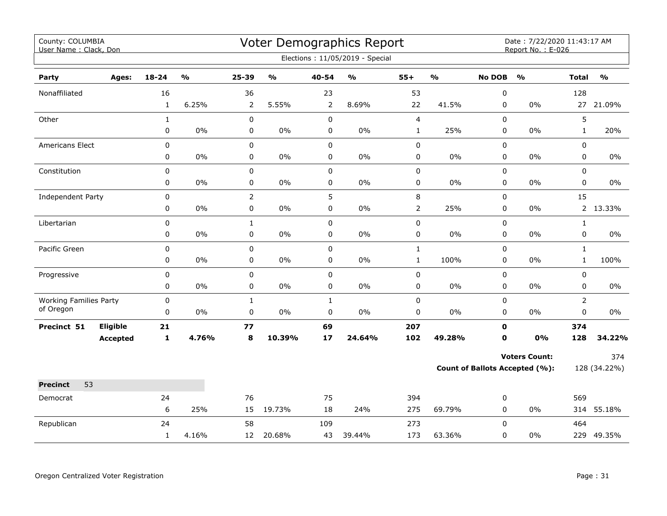| County: COLUMBIA<br>User Name: Clack, Don |                 |              |                         |                |                                   |             | Voter Demographics Report<br>Elections: 11/05/2019 - Special |                |                                   |               | Date: 7/22/2020 11:43:17 AM<br>Report No.: E-026 |                |               |
|-------------------------------------------|-----------------|--------------|-------------------------|----------------|-----------------------------------|-------------|--------------------------------------------------------------|----------------|-----------------------------------|---------------|--------------------------------------------------|----------------|---------------|
|                                           |                 |              |                         |                |                                   |             |                                                              |                |                                   |               |                                                  |                |               |
| Party                                     | Ages:           | 18-24        | $\mathbf{O}/\mathbf{o}$ | 25-39          | $\mathsf{o}\mathsf{v}_\mathsf{o}$ | 40-54       | $\mathsf{o}\mathsf{v}_\mathsf{o}$                            | $55+$          | $\mathsf{o}\mathsf{v}_\mathsf{o}$ | <b>No DOB</b> | $\mathbf{O}/\mathbf{o}$                          | <b>Total</b>   | $\frac{0}{0}$ |
| Nonaffiliated                             |                 | 16           |                         | 36             |                                   | 23          |                                                              | 53             |                                   | 0             |                                                  | 128            |               |
|                                           |                 | $\mathbf{1}$ | 6.25%                   | 2              | 5.55%                             | 2           | 8.69%                                                        | 22             | 41.5%                             | 0             | 0%                                               |                | 27 21.09%     |
| Other                                     |                 | $\mathbf{1}$ |                         | $\pmb{0}$      |                                   | $\pmb{0}$   |                                                              | $\overline{4}$ |                                   | $\mathbf 0$   |                                                  | 5              |               |
|                                           |                 | 0            | $0\%$                   | 0              | $0\%$                             | 0           | 0%                                                           | $\mathbf 1$    | 25%                               | 0             | $0\%$                                            | $\mathbf{1}$   | 20%           |
| Americans Elect                           |                 | 0            |                         | $\mathbf 0$    |                                   | $\mathbf 0$ |                                                              | $\pmb{0}$      |                                   | $\mathbf 0$   |                                                  | $\mathbf 0$    |               |
|                                           |                 | 0            | $0\%$                   | 0              | $0\%$                             | $\mathbf 0$ | 0%                                                           | $\pmb{0}$      | 0%                                | 0             | $0\%$                                            | $\mathbf 0$    | $0\%$         |
| Constitution                              |                 | 0            |                         | $\mathsf 0$    |                                   | $\mathsf 0$ |                                                              | $\pmb{0}$      |                                   | 0             |                                                  | $\mathbf 0$    |               |
|                                           |                 | 0            | $0\%$                   | $\pmb{0}$      | $0\%$                             | 0           | $0\%$                                                        | $\mathbf 0$    | 0%                                | 0             | $0\%$                                            | 0              | $0\%$         |
| Independent Party                         |                 | 0            |                         | $\overline{2}$ |                                   | 5           |                                                              | $\,8\,$        |                                   | 0             |                                                  | 15             |               |
|                                           |                 | 0            | $0\%$                   | $\pmb{0}$      | $0\%$                             | $\mathbf 0$ | $0\%$                                                        | $\overline{2}$ | 25%                               | 0             | $0\%$                                            | $2^{\circ}$    | 13.33%        |
| Libertarian                               |                 | 0            |                         | $\mathbf{1}$   |                                   | $\mathbf 0$ |                                                              | $\pmb{0}$      |                                   | 0             |                                                  | $\mathbf{1}$   |               |
|                                           |                 | 0            | 0%                      | $\pmb{0}$      | 0%                                | $\pmb{0}$   | $0\%$                                                        | $\pmb{0}$      | 0%                                | $\pmb{0}$     | $0\%$                                            | $\pmb{0}$      | $0\%$         |
| Pacific Green                             |                 | $\mathbf 0$  |                         | $\mathsf 0$    |                                   | $\mathsf 0$ |                                                              | $\mathbf 1$    |                                   | 0             |                                                  | $\mathbf{1}$   |               |
|                                           |                 | 0            | $0\%$                   | 0              | $0\%$                             | 0           | $0\%$                                                        | $\mathbf 1$    | 100%                              | $\mathbf 0$   | 0%                                               | $\mathbf{1}$   | 100%          |
| Progressive                               |                 | 0            |                         | 0              |                                   | $\mathsf 0$ |                                                              | $\pmb{0}$      |                                   | 0             |                                                  | $\mathbf 0$    |               |
|                                           |                 | 0            | $0\%$                   | 0              | $0\%$                             | 0           | $0\%$                                                        | 0              | 0%                                | 0             | $0\%$                                            | $\mathbf 0$    | 0%            |
| <b>Working Families Party</b>             |                 | 0            |                         | $\mathbf{1}$   |                                   | $\mathbf 1$ |                                                              | $\pmb{0}$      |                                   | 0             |                                                  | $\overline{2}$ |               |
| of Oregon                                 |                 | 0            | $0\%$                   | $\pmb{0}$      | $0\%$                             | $\pmb{0}$   | 0%                                                           | $\pmb{0}$      | 0%                                | 0             | 0%                                               | 0              | 0%            |
| Precinct 51                               | Eligible        | $21$         |                         | 77             |                                   | 69          |                                                              | 207            |                                   | $\mathbf{0}$  |                                                  | 374            |               |
|                                           | <b>Accepted</b> | 1            | 4.76%                   | 8              | 10.39%                            | 17          | 24.64%                                                       | 102            | 49.28%                            | $\mathbf 0$   | 0%                                               | 128            | 34.22%        |
|                                           |                 |              |                         |                |                                   |             |                                                              |                |                                   |               | <b>Voters Count:</b>                             |                | 374           |
|                                           |                 |              |                         |                |                                   |             |                                                              |                |                                   |               | <b>Count of Ballots Accepted (%):</b>            |                | 128 (34.22%)  |
| 53<br><b>Precinct</b>                     |                 |              |                         |                |                                   |             |                                                              |                |                                   |               |                                                  |                |               |
| Democrat                                  |                 | 24           |                         | 76             |                                   | 75          |                                                              | 394            |                                   | 0             |                                                  | 569            |               |
|                                           |                 | 6            | 25%                     | 15             | 19.73%                            | 18          | 24%                                                          | 275            | 69.79%                            | $\mathbf 0$   | $0\%$                                            |                | 314 55.18%    |
| Republican                                |                 | 24           |                         | 58             |                                   | 109         |                                                              | 273            |                                   | $\Omega$      |                                                  | 464            |               |
|                                           |                 | $\mathbf{1}$ | 4.16%                   | 12             | 20.68%                            | 43          | 39.44%                                                       | 173            | 63.36%                            | 0             | 0%                                               |                | 229 49.35%    |